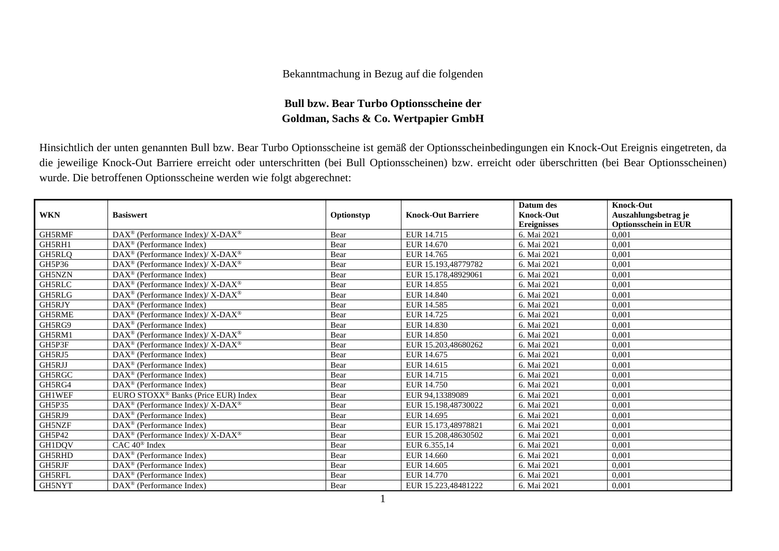## Bekanntmachung in Bezug auf die folgenden

## **Bull bzw. Bear Turbo Optionsscheine der Goldman, Sachs & Co. Wertpapier GmbH**

Hinsichtlich der unten genannten Bull bzw. Bear Turbo Optionsscheine ist gemäß der Optionsscheinbedingungen ein Knock-Out Ereignis eingetreten, da die jeweilige Knock-Out Barriere erreicht oder unterschritten (bei Bull Optionsscheinen) bzw. erreicht oder überschritten (bei Bear Optionsscheinen) wurde. Die betroffenen Optionsscheine werden wie folgt abgerechnet:

|               |                                                              |            |                           | Datum des          | <b>Knock-Out</b>            |
|---------------|--------------------------------------------------------------|------------|---------------------------|--------------------|-----------------------------|
| <b>WKN</b>    | <b>Basiswert</b>                                             | Optionstyp | <b>Knock-Out Barriere</b> | <b>Knock-Out</b>   | Auszahlungsbetrag je        |
|               |                                                              |            |                           | <b>Ereignisses</b> | <b>Optionsschein in EUR</b> |
| GH5RMF        | DAX <sup>®</sup> (Performance Index)/X-DAX <sup>®</sup>      | Bear       | EUR 14.715                | 6. Mai 2021        | 0,001                       |
| GH5RH1        | $DAX^{\circledR}$ (Performance Index)                        | Bear       | EUR 14.670                | 6. Mai 2021        | 0,001                       |
| GH5RLO        | DAX <sup>®</sup> (Performance Index)/X-DAX <sup>®</sup>      | Bear       | EUR 14.765                | 6. Mai 2021        | 0,001                       |
| GH5P36        | DAX <sup>®</sup> (Performance Index)/ X-DAX <sup>®</sup>     | Bear       | EUR 15.193,48779782       | 6. Mai 2021        | 0,001                       |
| GH5NZN        | $DAX^{\circledcirc}$ (Performance Index)                     | Bear       | EUR 15.178.48929061       | 6. Mai 2021        | 0.001                       |
| GH5RLC        | $DAX^{\circledast}$ (Performance Index)/X-DAX <sup>®</sup>   | Bear       | EUR 14.855                | 6. Mai 2021        | 0,001                       |
| GH5RLG        | $DAX^{\circledcirc}$ (Performance Index)/X-DAX <sup>®</sup>  | Bear       | EUR 14.840                | 6. Mai 2021        | 0.001                       |
| GH5RJY        | $DAX^{\circledcirc}$ (Performance Index)                     | Bear       | EUR 14.585                | 6. Mai 2021        | 0,001                       |
| <b>GH5RME</b> | $DAX^{\circledcirc}$ (Performance Index)/X-DAX <sup>®</sup>  | Bear       | EUR 14.725                | 6. Mai 2021        | 0.001                       |
| GH5RG9        | $DAX^{\circledcirc}$ (Performance Index)                     | Bear       | EUR 14.830                | 6. Mai 2021        | 0,001                       |
| GH5RM1        | DAX <sup>®</sup> (Performance Index)/X-DAX <sup>®</sup>      | Bear       | EUR 14.850                | 6. Mai 2021        | 0,001                       |
| GH5P3F        | $DAX^{\circledast}$ (Performance Index)/X-DAX <sup>®</sup>   | Bear       | EUR 15.203,48680262       | 6. Mai 2021        | 0,001                       |
| GH5RJ5        | DAX <sup>®</sup> (Performance Index)                         | Bear       | EUR 14.675                | 6. Mai 2021        | 0,001                       |
| GH5RJJ        | $DAX^{\circledR}$ (Performance Index)                        | Bear       | EUR 14.615                | 6. Mai 2021        | 0,001                       |
| GH5RGC        | $DAX^{\circledcirc}$ (Performance Index)                     | Bear       | EUR 14.715                | 6. Mai 2021        | 0,001                       |
| GH5RG4        | $\text{DAX}^{\textcircled{n}}$ (Performance Index)           | Bear       | EUR 14.750                | 6. Mai 2021        | 0,001                       |
| <b>GH1WEF</b> | EURO STOXX <sup>®</sup> Banks (Price EUR) Index              | Bear       | EUR 94.13389089           | 6. Mai 2021        | 0.001                       |
| <b>GH5P35</b> | $DAX^{\circledcirc}$ (Performance Index)/ X-DAX <sup>®</sup> | Bear       | EUR 15.198.48730022       | 6. Mai 2021        | 0.001                       |
| GH5RJ9        | DAX <sup>®</sup> (Performance Index)                         | Bear       | EUR 14.695                | 6. Mai 2021        | 0.001                       |
| GH5NZF        | $\text{DAX}^{\otimes}$ (Performance Index)                   | Bear       | EUR 15.173,48978821       | 6. Mai 2021        | 0,001                       |
| GH5P42        | DAX <sup>®</sup> (Performance Index)/ X-DAX <sup>®</sup>     | Bear       | EUR 15.208,48630502       | 6. Mai 2021        | 0,001                       |
| GH1DQV        | $CAC 40$ <sup>®</sup> Index                                  | Bear       | EUR 6.355.14              | 6. Mai 2021        | 0,001                       |
| GH5RHD        | $DAX^{\circledR}$ (Performance Index)                        | Bear       | EUR 14.660                | 6. Mai 2021        | 0.001                       |
| GH5RJF        | $DAX^{\circledR}$ (Performance Index)                        | Bear       | EUR 14.605                | 6. Mai 2021        | 0,001                       |
| <b>GH5RFL</b> | $DAX^{\circledR}$ (Performance Index)                        | Bear       | EUR 14.770                | 6. Mai 2021        | 0,001                       |
| GH5NYT        | $DAX^{\circledcirc}$ (Performance Index)                     | Bear       | EUR 15.223.48481222       | 6. Mai 2021        | 0,001                       |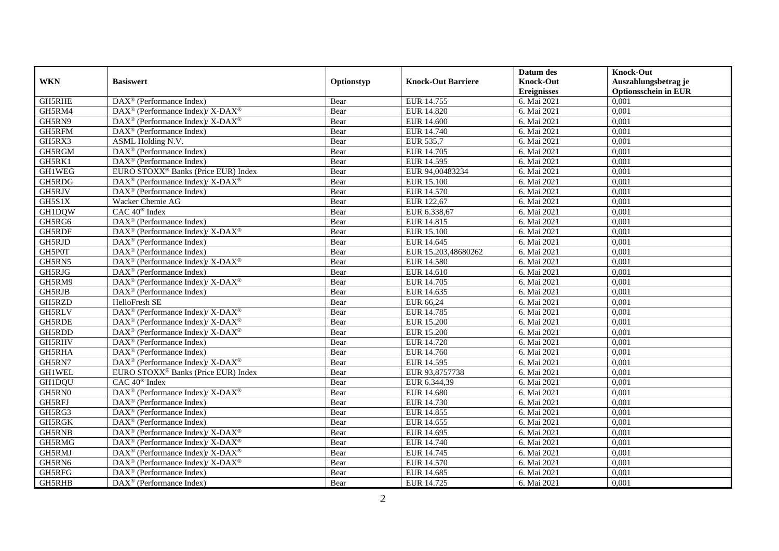|               |                                                                    |            |                           | Datum des          | <b>Knock-Out</b>            |
|---------------|--------------------------------------------------------------------|------------|---------------------------|--------------------|-----------------------------|
| <b>WKN</b>    | <b>Basiswert</b>                                                   | Optionstyp | <b>Knock-Out Barriere</b> | <b>Knock-Out</b>   | Auszahlungsbetrag je        |
|               |                                                                    |            |                           | <b>Ereignisses</b> | <b>Optionsschein in EUR</b> |
| GH5RHE        | DAX <sup>®</sup> (Performance Index)                               | Bear       | EUR 14.755                | 6. Mai 2021        | 0,001                       |
| GH5RM4        | $DAX^{\circledcirc}$ (Performance Index)/ X-DAX <sup>®</sup>       | Bear       | EUR 14.820                | 6. Mai 2021        | 0,001                       |
| GH5RN9        | $\text{DAX}^{\circledR}$ (Performance Index)/ X-DAX <sup>®</sup>   | Bear       | <b>EUR 14.600</b>         | 6. Mai 2021        | 0,001                       |
| GH5RFM        | $\text{DAX}^{\textcircled{p}}$ (Performance Index)                 | Bear       | EUR 14.740                | 6. Mai 2021        | 0,001                       |
| GH5RX3        | ASML Holding N.V.                                                  | Bear       | <b>EUR 535,7</b>          | 6. Mai 2021        | 0,001                       |
| GH5RGM        | $\overline{\text{DAX}^{\otimes}}$ (Performance Index)              | Bear       | EUR 14.705                | 6. Mai 2021        | 0,001                       |
| GH5RK1        | DAX <sup>®</sup> (Performance Index)                               | Bear       | EUR 14.595                | 6. Mai 2021        | 0,001                       |
| <b>GH1WEG</b> | EURO STOXX <sup>®</sup> Banks (Price EUR) Index                    | Bear       | EUR 94,00483234           | 6. Mai 2021        | 0,001                       |
| GH5RDG        | $\text{DAX}^{\circledR}$ (Performance Index)/ X-DAX <sup>®</sup>   | Bear       | <b>EUR 15.100</b>         | 6. Mai 2021        | 0,001                       |
| GH5RJV        | DAX <sup>®</sup> (Performance Index)                               | Bear       | <b>EUR 14.570</b>         | 6. Mai 2021        | 0,001                       |
| GH5S1X        | Wacker Chemie AG                                                   | Bear       | EUR 122,67                | 6. Mai 2021        | 0,001                       |
| GH1DQW        | CAC 40 <sup>®</sup> Index                                          | Bear       | EUR 6.338,67              | 6. Mai 2021        | 0,001                       |
| GH5RG6        | $\overline{\text{DAX}^{\circledast}}$ (Performance Index)          | Bear       | EUR 14.815                | 6. Mai 2021        | 0,001                       |
| GH5RDF        | DAX <sup>®</sup> (Performance Index)/ X-DAX <sup>®</sup>           | Bear       | <b>EUR 15.100</b>         | 6. Mai 2021        | 0,001                       |
| GH5RJD        | DAX <sup>®</sup> (Performance Index)                               | Bear       | EUR 14.645                | 6. Mai 2021        | 0,001                       |
| GH5P0T        | DAX <sup>®</sup> (Performance Index)                               | Bear       | EUR 15.203,48680262       | 6. Mai 2021        | 0,001                       |
| GH5RN5        | $\text{DAX}^{\circledR}$ (Performance Index)/ X-DAX <sup>®</sup>   | Bear       | <b>EUR 14.580</b>         | 6. Mai 2021        | 0,001                       |
| GH5RJG        | DAX <sup>®</sup> (Performance Index)                               | Bear       | EUR 14.610                | 6. Mai 2021        | 0,001                       |
| GH5RM9        | $DAX^{\circledcirc}$ (Performance Index)/ X-DAX <sup>®</sup>       | Bear       | EUR 14.705                | 6. Mai 2021        | 0,001                       |
| GH5RJB        | DAX <sup>®</sup> (Performance Index)                               | Bear       | EUR 14.635                | 6. Mai 2021        | 0,001                       |
| GH5RZD        | HelloFresh SE                                                      | Bear       | EUR 66,24                 | 6. Mai 2021        | 0,001                       |
| <b>GH5RLV</b> | $\text{DAX}^{\circledR}$ (Performance Index)/ X-DAX <sup>®</sup>   | Bear       | EUR 14.785                | 6. Mai 2021        | 0,001                       |
| <b>GH5RDE</b> | $\text{DAX}^{\circledR}$ (Performance Index)/ X-DAX <sup>®</sup>   | Bear       | <b>EUR 15.200</b>         | 6. Mai 2021        | 0,001                       |
| GH5RDD        | $DAX^{\circledcirc}$ (Performance Index)/X-DAX <sup>®</sup>        | Bear       | <b>EUR 15.200</b>         | 6. Mai 2021        | 0,001                       |
| GH5RHV        | DAX <sup>®</sup> (Performance Index)                               | Bear       | EUR 14.720                | 6. Mai 2021        | 0,001                       |
| <b>GH5RHA</b> | DAX <sup>®</sup> (Performance Index)                               | Bear       | EUR 14.760                | 6. Mai 2021        | 0,001                       |
| GH5RN7        | DAX <sup>®</sup> (Performance Index)/ X-DAX <sup>®</sup>           | Bear       | EUR 14.595                | 6. Mai 2021        | 0,001                       |
| <b>GH1WEL</b> | EURO STOXX <sup>®</sup> Banks (Price EUR) Index                    | Bear       | EUR 93,8757738            | 6. Mai 2021        | 0,001                       |
| GH1DQU        | $CAC 40^{\circledast}$ Index                                       | Bear       | EUR 6.344,39              | 6. Mai 2021        | 0,001                       |
| GH5RN0        | DAX <sup>®</sup> (Performance Index)/X-DAX <sup>®</sup>            | Bear       | <b>EUR 14.680</b>         | 6. Mai 2021        | 0,001                       |
| GH5RFJ        | $DAX^{\circledR}$ (Performance Index)                              | Bear       | EUR 14.730                | 6. Mai 2021        | 0,001                       |
| GH5RG3        | DAX <sup>®</sup> (Performance Index)                               | Bear       | EUR 14.855                | 6. Mai 2021        | 0,001                       |
| GH5RGK        | $DAX^{\circledR}$ (Performance Index)                              | Bear       | EUR 14.655                | 6. Mai 2021        | 0,001                       |
| GH5RNB        | DAX <sup>®</sup> (Performance Index)/ X-DAX <sup>®</sup>           | Bear       | EUR 14.695                | 6. Mai 2021        | 0,001                       |
| GH5RMG        | $\text{DAX}^{\otimes}$ (Performance Index)/X-DAX <sup>®</sup>      | Bear       | EUR 14.740                | 6. Mai 2021        | 0,001                       |
| GH5RMJ        | $\text{DAX}^{\circledR}$ (Performance Index)/ X-DAX <sup>®</sup>   | Bear       | EUR 14.745                | 6. Mai 2021        | 0,001                       |
| GH5RN6        | $\text{DAX}^{\circledast}$ (Performance Index)/ X-DAX <sup>®</sup> | Bear       | EUR 14.570                | 6. Mai 2021        | 0,001                       |
| GH5RFG        | DAX <sup>®</sup> (Performance Index)                               | Bear       | EUR 14.685                | 6. Mai 2021        | 0,001                       |
| <b>GH5RHB</b> | DAX <sup>®</sup> (Performance Index)                               | Bear       | EUR 14.725                | 6. Mai 2021        | 0,001                       |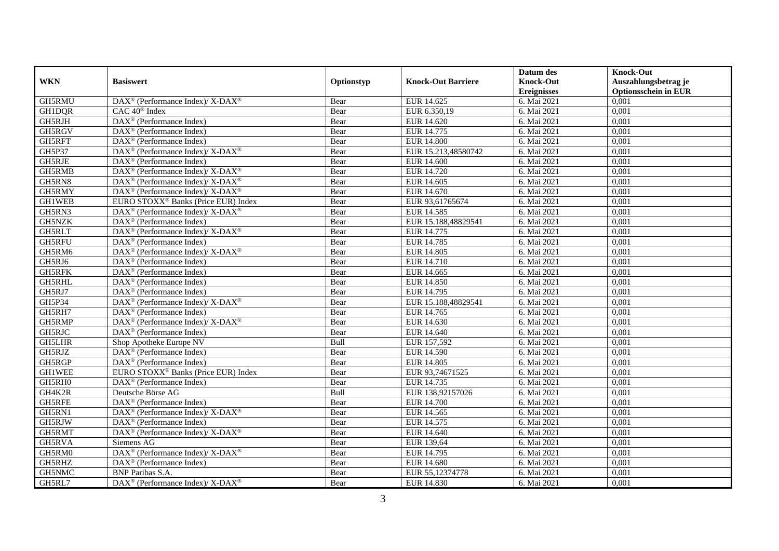|               |                                                                          |            |                           | Datum des          | <b>Knock-Out</b>            |
|---------------|--------------------------------------------------------------------------|------------|---------------------------|--------------------|-----------------------------|
| <b>WKN</b>    | <b>Basiswert</b>                                                         | Optionstyp | <b>Knock-Out Barriere</b> | <b>Knock-Out</b>   | Auszahlungsbetrag je        |
|               |                                                                          |            |                           | <b>Ereignisses</b> | <b>Optionsschein in EUR</b> |
| GH5RMU        | DAX <sup>®</sup> (Performance Index)/ X-DAX <sup>®</sup>                 | Bear       | EUR 14.625                | 6. Mai 2021        | 0,001                       |
| GH1DQR        | $CAC 40^{\circledast}$ Index                                             | Bear       | EUR 6.350.19              | 6. Mai 2021        | 0,001                       |
| GH5RJH        | DAX <sup>®</sup> (Performance Index)                                     | Bear       | EUR 14.620                | 6. Mai 2021        | 0,001                       |
| GH5RGV        | $DAX^{\circledR}$ (Performance Index)                                    | Bear       | EUR 14.775                | 6. Mai 2021        | 0,001                       |
| GH5RFT        | DAX <sup>®</sup> (Performance Index)                                     | Bear       | <b>EUR 14.800</b>         | 6. Mai 2021        | 0,001                       |
| GH5P37        | DAX <sup>®</sup> (Performance Index)/ X-DAX <sup>®</sup>                 | Bear       | EUR 15.213,48580742       | 6. Mai 2021        | 0,001                       |
| <b>GH5RJE</b> | $DAX^{\circledcirc}$ (Performance Index)                                 | Bear       | <b>EUR 14.600</b>         | 6. Mai 2021        | 0,001                       |
| GH5RMB        | $DAX^{\circledast}$ (Performance Index)/ X-DAX <sup>®</sup>              | Bear       | EUR 14.720                | 6. Mai 2021        | 0,001                       |
| GH5RN8        | $\overline{\text{DAX}^{\otimes}}$ (Performance Index)/X-DAX <sup>®</sup> | Bear       | EUR 14.605                | 6. Mai 2021        | 0,001                       |
| GH5RMY        | DAX <sup>®</sup> (Performance Index)/ X-DAX <sup>®</sup>                 | Bear       | EUR 14.670                | 6. Mai 2021        | 0,001                       |
| <b>GH1WEB</b> | EURO STOXX <sup>®</sup> Banks (Price EUR) Index                          | Bear       | EUR 93,61765674           | 6. Mai 2021        | 0,001                       |
| GH5RN3        | DAX <sup>®</sup> (Performance Index)/ X-DAX <sup>®</sup>                 | Bear       | EUR 14.585                | 6. Mai 2021        | 0,001                       |
| GH5NZK        | $\text{DAX}^{\circledast}$ (Performance Index)                           | Bear       | EUR 15.188,48829541       | 6. Mai 2021        | 0,001                       |
| GH5RLT        | DAX <sup>®</sup> (Performance Index)/ X-DAX <sup>®</sup>                 | Bear       | EUR 14.775                | 6. Mai 2021        | 0,001                       |
| GH5RFU        | $DAX^{\circledR}$ (Performance Index)                                    | Bear       | EUR 14.785                | 6. Mai 2021        | 0,001                       |
| GH5RM6        | DAX <sup>®</sup> (Performance Index)/ X-DAX <sup>®</sup>                 | Bear       | <b>EUR 14.805</b>         | 6. Mai 2021        | 0,001                       |
| GH5RJ6        | $DAX^{\circledR}$ (Performance Index)                                    | Bear       | <b>EUR 14.710</b>         | 6. Mai 2021        | 0,001                       |
| GH5RFK        | $\overline{\text{DAX}^{\otimes}}$ (Performance Index)                    | Bear       | EUR 14.665                | 6. Mai 2021        | 0,001                       |
| <b>GH5RHL</b> | $\text{DAX}^{\circledast}$ (Performance Index)                           | Bear       | <b>EUR 14.850</b>         | 6. Mai 2021        | 0,001                       |
| GH5RJ7        | DAX <sup>®</sup> (Performance Index)                                     | Bear       | EUR 14.795                | 6. Mai 2021        | 0,001                       |
| GH5P34        | DAX <sup>®</sup> (Performance Index)/X-DAX <sup>®</sup>                  | Bear       | EUR 15.188,48829541       | 6. Mai 2021        | 0,001                       |
| GH5RH7        | $DAX^{\circledR}$ (Performance Index)                                    | Bear       | EUR 14.765                | 6. Mai 2021        | 0,001                       |
| GH5RMP        | DAX <sup>®</sup> (Performance Index)/ X-DAX <sup>®</sup>                 | Bear       | EUR 14.630                | 6. Mai 2021        | 0,001                       |
| GH5RJC        | $DAX^{\circledR}$ (Performance Index)                                    | Bear       | EUR 14.640                | 6. Mai 2021        | 0,001                       |
| <b>GH5LHR</b> | Shop Apotheke Europe NV                                                  | Bull       | EUR 157,592               | 6. Mai 2021        | 0,001                       |
| GH5RJZ        | $\overline{\text{DAX}^{\otimes}}$ (Performance Index)                    | Bear       | <b>EUR 14.590</b>         | 6. Mai 2021        | 0,001                       |
| GH5RGP        | $\overline{\text{DAX}^{\otimes}}$ (Performance Index)                    | Bear       | <b>EUR 14.805</b>         | 6. Mai 2021        | 0,001                       |
| <b>GH1WEE</b> | EURO STOXX <sup>®</sup> Banks (Price EUR) Index                          | Bear       | EUR 93,74671525           | 6. Mai 2021        | 0,001                       |
| GH5RH0        | $DAX^{\circledast}$ (Performance Index)                                  | Bear       | EUR 14.735                | 6. Mai 2021        | 0,001                       |
| GH4K2R        | Deutsche Börse AG                                                        | Bull       | EUR 138,92157026          | 6. Mai 2021        | 0,001                       |
| GH5RFE        | $\overline{\text{DAX}}^{\textcirc}$ (Performance Index)                  | Bear       | <b>EUR 14.700</b>         | 6. Mai 2021        | 0,001                       |
| GH5RN1        | DAX <sup>®</sup> (Performance Index)/ X-DAX <sup>®</sup>                 | Bear       | EUR 14.565                | 6. Mai 2021        | 0,001                       |
| GH5RJW        | $DAX^{\circledR}$ (Performance Index)                                    | Bear       | EUR 14.575                | 6. Mai 2021        | 0,001                       |
| GH5RMT        | DAX <sup>®</sup> (Performance Index)/ X-DAX <sup>®</sup>                 | Bear       | EUR 14.640                | 6. Mai 2021        | 0,001                       |
| GH5RVA        | Siemens AG                                                               | Bear       | EUR 139,64                | 6. Mai 2021        | 0,001                       |
| GH5RM0        | DAX <sup>®</sup> (Performance Index)/ X-DAX <sup>®</sup>                 | Bear       | EUR 14.795                | 6. Mai 2021        | 0,001                       |
| GH5RHZ        | $\text{DAX}^{\textcircled{}}$ (Performance Index)                        | Bear       | <b>EUR 14.680</b>         | 6. Mai 2021        | 0,001                       |
| GH5NMC        | <b>BNP</b> Paribas S.A.                                                  | Bear       | EUR 55,12374778           | 6. Mai 2021        | 0,001                       |
| GH5RL7        | DAX <sup>®</sup> (Performance Index)/ X-DAX <sup>®</sup>                 | Bear       | <b>EUR 14.830</b>         | 6. Mai 2021        | 0,001                       |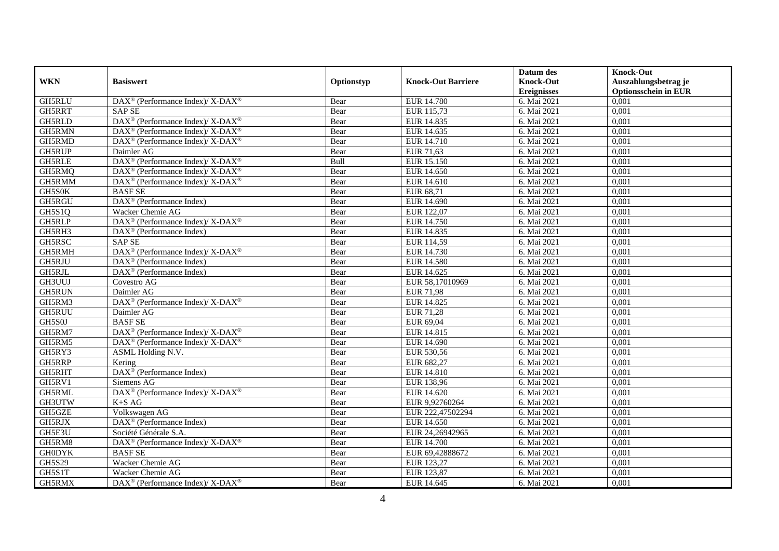|               |                                                                           |            |                           | Datum des          | <b>Knock-Out</b>            |
|---------------|---------------------------------------------------------------------------|------------|---------------------------|--------------------|-----------------------------|
| <b>WKN</b>    | <b>Basiswert</b>                                                          | Optionstyp | <b>Knock-Out Barriere</b> | <b>Knock-Out</b>   | Auszahlungsbetrag je        |
|               |                                                                           |            |                           | <b>Ereignisses</b> | <b>Optionsschein in EUR</b> |
| GH5RLU        | DAX <sup>®</sup> (Performance Index)/ X-DAX <sup>®</sup>                  | Bear       | <b>EUR 14.780</b>         | 6. Mai 2021        | 0,001                       |
| GH5RRT        | <b>SAP SE</b>                                                             | Bear       | EUR 115,73                | 6. Mai 2021        | 0,001                       |
| GH5RLD        | DAX <sup>®</sup> (Performance Index)/X-DAX <sup>®</sup>                   | Bear       | EUR 14.835                | 6. Mai 2021        | 0,001                       |
| GH5RMN        | $DAX^{\circledcirc}$ (Performance Index)/X-DAX <sup>®</sup>               | Bear       | EUR 14.635                | 6. Mai 2021        | 0,001                       |
| GH5RMD        | DAX <sup>®</sup> (Performance Index)/ X-DAX <sup>®</sup>                  | Bear       | EUR 14.710                | 6. Mai 2021        | 0,001                       |
| GH5RUP        | Daimler AG                                                                | Bear       | EUR 71,63                 | 6. Mai 2021        | 0,001                       |
| <b>GH5RLE</b> | DAX <sup>®</sup> (Performance Index)/ X-DAX <sup>®</sup>                  | Bull       | EUR 15.150                | 6. Mai 2021        | 0,001                       |
| GH5RMQ        | DAX <sup>®</sup> (Performance Index)/ X-DAX <sup>®</sup>                  | Bear       | EUR 14.650                | 6. Mai 2021        | 0,001                       |
| GH5RMM        | DAX <sup>®</sup> (Performance Index)/X-DAX <sup>®</sup>                   | Bear       | EUR 14.610                | 6. Mai 2021        | 0,001                       |
| GH5S0K        | <b>BASF SE</b>                                                            | Bear       | EUR 68,71                 | 6. Mai 2021        | 0,001                       |
| GH5RGU        | $DAX^{\circledR}$ (Performance Index)                                     | Bear       | EUR 14.690                | 6. Mai 2021        | 0,001                       |
| GH5S1Q        | Wacker Chemie AG                                                          | Bear       | EUR 122,07                | 6. Mai 2021        | 0,001                       |
| GH5RLP        | DAX <sup>®</sup> (Performance Index)/ X-DAX <sup>®</sup>                  | Bear       | <b>EUR 14.750</b>         | 6. Mai 2021        | 0,001                       |
| GH5RH3        | $DAX^{\circledR}$ (Performance Index)                                     | Bear       | EUR 14.835                | 6. Mai 2021        | 0,001                       |
| GH5RSC        | <b>SAP SE</b>                                                             | Bear       | EUR 114,59                | 6. Mai 2021        | 0,001                       |
| GH5RMH        | DAX <sup>®</sup> (Performance Index)/ X-DAX <sup>®</sup>                  | Bear       | EUR 14.730                | 6. Mai 2021        | 0,001                       |
| GH5RJU        | $\overline{\text{DAX}}^{\textcirc}$ (Performance Index)                   | Bear       | <b>EUR 14.580</b>         | 6. Mai 2021        | 0,001                       |
| GH5RJL        | DAX <sup>®</sup> (Performance Index)                                      | Bear       | EUR 14.625                | 6. Mai 2021        | 0,001                       |
| GH3UUJ        | Covestro AG                                                               | Bear       | EUR 58,17010969           | 6. Mai 2021        | 0,001                       |
| <b>GH5RUN</b> | Daimler AG                                                                | Bear       | <b>EUR 71,98</b>          | 6. Mai 2021        | 0,001                       |
| GH5RM3        | DAX <sup>®</sup> (Performance Index)/ X-DAX <sup>®</sup>                  | Bear       | EUR 14.825                | 6. Mai 2021        | 0,001                       |
| <b>GH5RUU</b> | Daimler AG                                                                | Bear       | <b>EUR 71,28</b>          | 6. Mai 2021        | 0,001                       |
| GH5S0J        | <b>BASF SE</b>                                                            | Bear       | EUR 69,04                 | 6. Mai 2021        | 0,001                       |
| GH5RM7        | DAX <sup>®</sup> (Performance Index)/X-DAX <sup>®</sup>                   | Bear       | EUR 14.815                | 6. Mai 2021        | 0,001                       |
| GH5RM5        | DAX <sup>®</sup> (Performance Index)/ X-DAX <sup>®</sup>                  | Bear       | EUR 14.690                | 6. Mai 2021        | 0,001                       |
| GH5RY3        | ASML Holding N.V.                                                         | Bear       | EUR 530,56                | 6. Mai 2021        | 0,001                       |
| GH5RRP        | Kering                                                                    | Bear       | EUR 682,27                | 6. Mai 2021        | 0,001                       |
| GH5RHT        | DAX <sup>®</sup> (Performance Index)                                      | Bear       | <b>EUR 14.810</b>         | 6. Mai 2021        | 0,001                       |
| GH5RV1        | Siemens AG                                                                | Bear       | EUR 138,96                | 6. Mai 2021        | 0,001                       |
| GH5RML        | DAX <sup>®</sup> (Performance Index)/ X-DAX <sup>®</sup>                  | Bear       | EUR 14.620                | 6. Mai 2021        | 0,001                       |
| GH3UTW        | $K+SAG$                                                                   | Bear       | EUR 9,92760264            | 6. Mai 2021        | 0,001                       |
| GH5GZE        | Volkswagen AG                                                             | Bear       | EUR 222,47502294          | 6. Mai 2021        | 0,001                       |
| GH5RJX        | $DAX^{\circledR}$ (Performance Index)                                     | Bear       | EUR 14.650                | 6. Mai 2021        | 0,001                       |
| GH5E3U        | Société Générale S.A.                                                     | Bear       | EUR 24,26942965           | 6. Mai 2021        | 0,001                       |
| GH5RM8        | $DAX^{\circledast}$ (Performance Index)/ $\overline{X-DAX^{\circledast}}$ | Bear       | <b>EUR 14.700</b>         | 6. Mai 2021        | 0,001                       |
| <b>GH0DYK</b> | <b>BASF SE</b>                                                            | Bear       | EUR 69,42888672           | 6. Mai 2021        | 0,001                       |
| <b>GH5S29</b> | Wacker Chemie AG                                                          | Bear       | EUR 123,27                | 6. Mai 2021        | 0,001                       |
| GH5S1T        | Wacker Chemie AG                                                          | Bear       | EUR 123,87                | 6. Mai 2021        | 0,001                       |
| GH5RMX        | DAX <sup>®</sup> (Performance Index)/X-DAX <sup>®</sup>                   | Bear       | EUR 14.645                | 6. Mai 2021        | 0,001                       |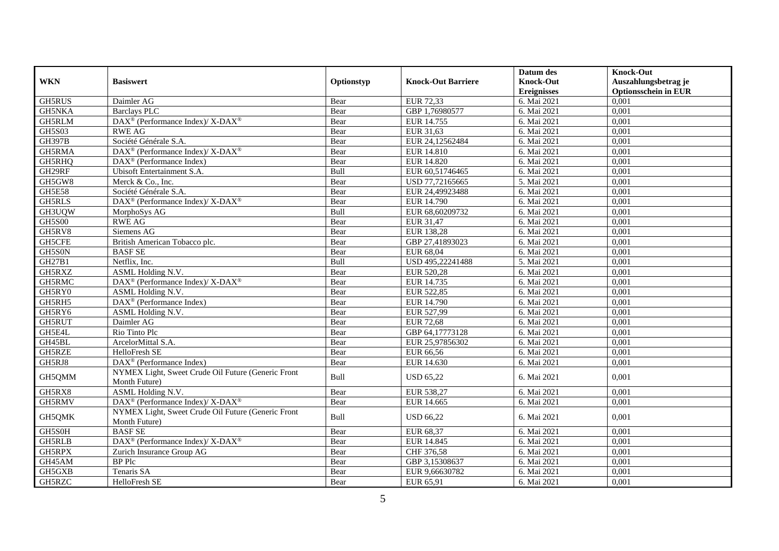|               |                                                                                         |            |                           | Datum des          | <b>Knock-Out</b>            |
|---------------|-----------------------------------------------------------------------------------------|------------|---------------------------|--------------------|-----------------------------|
| <b>WKN</b>    | <b>Basiswert</b>                                                                        | Optionstyp | <b>Knock-Out Barriere</b> | <b>Knock-Out</b>   | Auszahlungsbetrag je        |
|               |                                                                                         |            |                           | <b>Ereignisses</b> | <b>Optionsschein in EUR</b> |
| GH5RUS        | Daimler AG                                                                              | Bear       | <b>EUR 72,33</b>          | 6. Mai 2021        | 0,001                       |
| <b>GH5NKA</b> | <b>Barclays PLC</b>                                                                     | Bear       | GBP 1,76980577            | 6. Mai 2021        | 0,001                       |
| GH5RLM        | DAX <sup>®</sup> (Performance Index)/ X-DAX <sup>®</sup>                                | Bear       | EUR 14.755                | 6. Mai 2021        | 0,001                       |
| <b>GH5S03</b> | <b>RWE AG</b>                                                                           | Bear       | EUR 31,63                 | 6. Mai 2021        | 0,001                       |
| <b>GH397B</b> | Société Générale S.A.                                                                   | Bear       | EUR 24,12562484           | 6. Mai 2021        | 0,001                       |
| GH5RMA        | DAX <sup>®</sup> (Performance Index)/X-DAX <sup>®</sup>                                 | Bear       | EUR 14.810                | 6. Mai 2021        | 0,001                       |
| GH5RHQ        | $DAX^{\circledR}$ (Performance Index)                                                   | Bear       | <b>EUR 14.820</b>         | 6. Mai 2021        | 0,001                       |
| GH29RF        | Ubisoft Entertainment S.A.                                                              | Bull       | EUR 60,51746465           | 6. Mai 2021        | 0,001                       |
| GH5GW8        | Merck & Co., Inc.                                                                       | Bear       | USD 77,72165665           | 5. Mai 2021        | 0,001                       |
| <b>GH5E58</b> | Société Générale S.A.                                                                   | Bear       | EUR 24,49923488           | 6. Mai 2021        | 0,001                       |
| <b>GH5RLS</b> | $\text{DAX}^{\circledast}$ (Performance Index)/ $\overline{\text{X-DAX}^{\circledast}}$ | Bear       | EUR 14.790                | 6. Mai 2021        | 0,001                       |
| GH3UQW        | MorphoSys AG                                                                            | Bull       | EUR 68,60209732           | 6. Mai 2021        | 0,001                       |
| <b>GH5S00</b> | <b>RWE AG</b>                                                                           | Bear       | EUR 31,47                 | 6. Mai 2021        | 0,001                       |
| GH5RV8        | Siemens AG                                                                              | Bear       | EUR 138,28                | 6. Mai 2021        | 0,001                       |
| GH5CFE        | British American Tobacco plc.                                                           | Bear       | GBP 27,41893023           | 6. Mai 2021        | 0,001                       |
| GH5S0N        | <b>BASF SE</b>                                                                          | Bear       | EUR 68,04                 | 6. Mai 2021        | 0,001                       |
| GH27B1        | Netflix, Inc.                                                                           | Bull       | USD 495,22241488          | 5. Mai 2021        | 0,001                       |
| GH5RXZ        | ASML Holding N.V.                                                                       | Bear       | EUR 520,28                | 6. Mai 2021        | 0,001                       |
| GH5RMC        | DAX <sup>®</sup> (Performance Index)/ X-DAX <sup>®</sup>                                | Bear       | EUR 14.735                | 6. Mai 2021        | 0,001                       |
| GH5RY0        | ASML Holding N.V.                                                                       | Bear       | EUR 522,85                | 6. Mai 2021        | 0,001                       |
| GH5RH5        | DAX <sup>®</sup> (Performance Index)                                                    | Bear       | EUR 14.790                | 6. Mai 2021        | 0,001                       |
| GH5RY6        | ASML Holding N.V.                                                                       | Bear       | EUR 527,99                | 6. Mai 2021        | 0,001                       |
| GH5RUT        | Daimler AG                                                                              | Bear       | <b>EUR 72,68</b>          | 6. Mai 2021        | 0,001                       |
| GH5E4L        | Rio Tinto Plc                                                                           | Bear       | GBP 64,17773128           | 6. Mai 2021        | 0,001                       |
| GH45BL        | ArcelorMittal S.A.                                                                      | Bear       | EUR 25,97856302           | 6. Mai 2021        | 0,001                       |
| GH5RZE        | <b>HelloFresh SE</b>                                                                    | Bear       | EUR 66,56                 | 6. Mai 2021        | 0,001                       |
| GH5RJ8        | DAX <sup>®</sup> (Performance Index)                                                    | Bear       | EUR 14.630                | 6. Mai 2021        | 0,001                       |
| GH5QMM        | NYMEX Light, Sweet Crude Oil Future (Generic Front                                      | Bull       | <b>USD 65,22</b>          | 6. Mai 2021        | 0,001                       |
|               | Month Future)                                                                           |            |                           |                    |                             |
| GH5RX8        | ASML Holding N.V.                                                                       | Bear       | EUR 538,27                | 6. Mai 2021        | 0,001                       |
| GH5RMV        | DAX <sup>®</sup> (Performance Index)/X-DAX <sup>®</sup>                                 | Bear       | EUR 14.665                | 6. Mai 2021        | 0,001                       |
| GH5QMK        | NYMEX Light, Sweet Crude Oil Future (Generic Front                                      | Bull       | <b>USD 66,22</b>          | 6. Mai 2021        | 0,001                       |
|               | Month Future)                                                                           |            |                           |                    |                             |
| GH5S0H        | <b>BASF SE</b>                                                                          | Bear       | EUR 68,37                 | 6. Mai 2021        | 0,001                       |
| GH5RLB        | DAX <sup>®</sup> (Performance Index)/ X-DAX <sup>®</sup>                                | Bear       | EUR 14.845                | 6. Mai 2021        | 0,001                       |
| GH5RPX        | Zurich Insurance Group AG                                                               | Bear       | CHF 376,58                | 6. Mai 2021        | 0,001                       |
| GH45AM        | <b>BP</b> Plc                                                                           | Bear       | GBP 3,15308637            | 6. Mai 2021        | 0,001                       |
| GH5GXB        | Tenaris SA                                                                              | Bear       | EUR 9,66630782            | 6. Mai 2021        | 0,001                       |
| GH5RZC        | <b>HelloFresh SE</b>                                                                    | Bear       | EUR 65,91                 | 6. Mai 2021        | 0,001                       |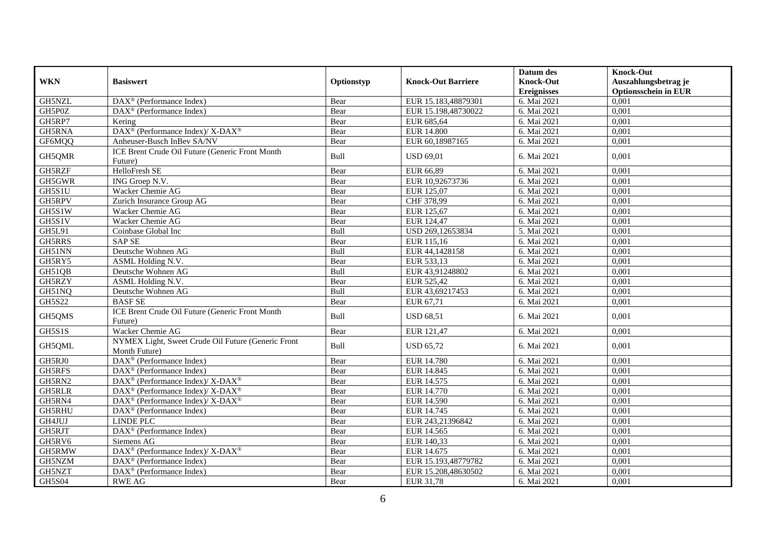|               |                                                                     |            |                           | Datum des          | <b>Knock-Out</b>            |
|---------------|---------------------------------------------------------------------|------------|---------------------------|--------------------|-----------------------------|
| <b>WKN</b>    | <b>Basiswert</b>                                                    | Optionstyp | <b>Knock-Out Barriere</b> | <b>Knock-Out</b>   | Auszahlungsbetrag je        |
|               |                                                                     |            |                           | <b>Ereignisses</b> | <b>Optionsschein in EUR</b> |
| GH5NZL        | $DAX^{\circledR}$ (Performance Index)                               | Bear       | EUR 15.183,48879301       | 6. Mai 2021        | 0,001                       |
| GH5P0Z        | $DAX^{\circledcirc}$ (Performance Index)                            | Bear       | EUR 15.198,48730022       | 6. Mai 2021        | 0,001                       |
| GH5RP7        | Kering                                                              | Bear       | EUR 685,64                | 6. Mai 2021        | 0,001                       |
| GH5RNA        | DAX <sup>®</sup> (Performance Index)/ X-DAX <sup>®</sup>            | Bear       | <b>EUR 14.800</b>         | 6. Mai 2021        | 0,001                       |
| GF6MQQ        | Anheuser-Busch InBev SA/NV                                          | Bear       | EUR 60,18987165           | 6. Mai 2021        | 0,001                       |
| GH5QMR        | ICE Brent Crude Oil Future (Generic Front Month<br>Future)          | Bull       | <b>USD 69,01</b>          | 6. Mai 2021        | 0,001                       |
| GH5RZF        | HelloFresh SE                                                       | Bear       | EUR 66,89                 | 6. Mai 2021        | 0,001                       |
| GH5GWR        | ING Groep N.V.                                                      | Bear       | EUR 10,92673736           | 6. Mai 2021        | 0,001                       |
| GH5S1U        | Wacker Chemie AG                                                    | Bear       | EUR 125,07                | 6. Mai 2021        | 0,001                       |
| GH5RPV        | Zurich Insurance Group AG                                           | Bear       | CHF 378,99                | 6. Mai 2021        | 0,001                       |
| GH5S1W        | Wacker Chemie AG                                                    | Bear       | EUR 125,67                | 6. Mai 2021        | 0,001                       |
| GH5S1V        | Wacker Chemie AG                                                    | Bear       | EUR 124,47                | 6. Mai 2021        | 0,001                       |
| GH5L91        | Coinbase Global Inc                                                 | Bull       | USD 269,12653834          | 5. Mai 2021        | 0,001                       |
| GH5RRS        | <b>SAP SE</b>                                                       | Bear       | EUR 115,16                | 6. Mai 2021        | 0,001                       |
| GH51NN        | Deutsche Wohnen AG                                                  | Bull       | EUR 44,1428158            | 6. Mai 2021        | 0,001                       |
| GH5RY5        | ASML Holding N.V.                                                   | Bear       | EUR 533,13                | 6. Mai 2021        | 0,001                       |
| GH51QB        | Deutsche Wohnen AG                                                  | Bull       | EUR 43,91248802           | 6. Mai 2021        | 0,001                       |
| GH5RZY        | ASML Holding N.V.                                                   | Bear       | EUR 525,42                | 6. Mai 2021        | 0,001                       |
| GH51NQ        | Deutsche Wohnen AG                                                  | Bull       | EUR 43,69217453           | 6. Mai 2021        | 0,001                       |
| GH5S22        | <b>BASF SE</b>                                                      | Bear       | EUR 67,71                 | 6. Mai 2021        | 0.001                       |
| GH5QMS        | ICE Brent Crude Oil Future (Generic Front Month<br>Future)          | Bull       | <b>USD 68,51</b>          | 6. Mai 2021        | 0,001                       |
| GH5S1S        | Wacker Chemie AG                                                    | Bear       | EUR 121,47                | 6. Mai 2021        | 0.001                       |
| GH5QML        | NYMEX Light, Sweet Crude Oil Future (Generic Front<br>Month Future) | Bull       | <b>USD 65,72</b>          | 6. Mai 2021        | 0,001                       |
| GH5RJ0        | $\overline{\text{DAX}^{\otimes}}$ (Performance Index)               | Bear       | <b>EUR 14.780</b>         | 6. Mai 2021        | 0,001                       |
| GH5RFS        | $DAX^{\circledcirc}$ (Performance Index)                            | Bear       | EUR 14.845                | 6. Mai 2021        | 0,001                       |
| GH5RN2        | DAX <sup>®</sup> (Performance Index)/ X-DAX <sup>®</sup>            | Bear       | EUR 14.575                | 6. Mai 2021        | 0,001                       |
| <b>GH5RLR</b> | DAX <sup>®</sup> (Performance Index)/X-DAX <sup>®</sup>             | Bear       | EUR 14.770                | 6. Mai 2021        | 0,001                       |
| GH5RN4        | DAX <sup>®</sup> (Performance Index)/X-DAX <sup>®</sup>             | Bear       | <b>EUR 14.590</b>         | 6. Mai 2021        | 0,001                       |
| GH5RHU        | $\overline{\text{DAX}}^{\textcirc}$ (Performance Index)             | Bear       | EUR 14.745                | 6. Mai 2021        | 0,001                       |
| GH4JUJ        | <b>LINDE PLC</b>                                                    | Bear       | EUR 243,21396842          | 6. Mai 2021        | 0,001                       |
| GH5RJT        | DAX <sup>®</sup> (Performance Index)                                | Bear       | EUR 14.565                | 6. Mai 2021        | 0,001                       |
| GH5RV6        | Siemens AG                                                          | Bear       | EUR 140,33                | 6. Mai 2021        | 0,001                       |
| GH5RMW        | DAX <sup>®</sup> (Performance Index)/ X-DAX <sup>®</sup>            | Bear       | EUR 14.675                | 6. Mai 2021        | 0,001                       |
| GH5NZM        | $DAX^{\circledR}$ (Performance Index)                               | Bear       | EUR 15.193,48779782       | 6. Mai 2021        | 0,001                       |
| GH5NZT        | DAX <sup>®</sup> (Performance Index)                                | Bear       | EUR 15.208,48630502       | 6. Mai 2021        | 0,001                       |
| <b>GH5S04</b> | <b>RWE AG</b>                                                       | Bear       | EUR 31,78                 | 6. Mai 2021        | 0,001                       |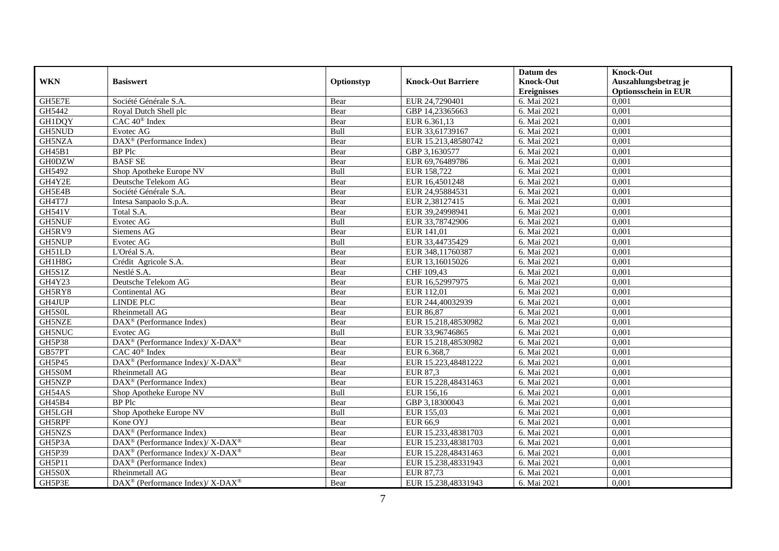|               |                                                          |            |                           | Datum des          | <b>Knock-Out</b>            |
|---------------|----------------------------------------------------------|------------|---------------------------|--------------------|-----------------------------|
| <b>WKN</b>    | <b>Basiswert</b>                                         | Optionstyp | <b>Knock-Out Barriere</b> | <b>Knock-Out</b>   | Auszahlungsbetrag je        |
|               |                                                          |            |                           | <b>Ereignisses</b> | <b>Optionsschein in EUR</b> |
| GH5E7E        | Société Générale S.A.                                    | Bear       | EUR 24,7290401            | 6. Mai 2021        | 0,001                       |
| GH5442        | Roval Dutch Shell plc                                    | Bear       | GBP 14,23365663           | 6. Mai 2021        | 0,001                       |
| <b>GH1DQY</b> | CAC 40 <sup>®</sup> Index                                | Bear       | EUR 6.361,13              | 6. Mai 2021        | 0,001                       |
| GH5NUD        | Evotec AG                                                | Bull       | EUR 33,61739167           | 6. Mai 2021        | 0,001                       |
| GH5NZA        | DAX <sup>®</sup> (Performance Index)                     | Bear       | EUR 15.213,48580742       | 6. Mai 2021        | 0,001                       |
| GH45B1        | <b>BP</b> Plc                                            | Bear       | GBP 3,1630577             | 6. Mai 2021        | 0,001                       |
| <b>GH0DZW</b> | <b>BASF SE</b>                                           | Bear       | EUR 69,76489786           | 6. Mai 2021        | 0,001                       |
| GH5492        | Shop Apotheke Europe NV                                  | Bull       | EUR 158,722               | 6. Mai 2021        | 0,001                       |
| GH4Y2E        | Deutsche Telekom AG                                      | Bear       | EUR 16,4501248            | 6. Mai 2021        | 0,001                       |
| GH5E4B        | Société Générale S.A.                                    | Bear       | EUR 24,95884531           | 6. Mai 2021        | 0,001                       |
| GH4T7J        | Intesa Sanpaolo S.p.A.                                   | Bear       | EUR 2,38127415            | 6. Mai 2021        | 0,001                       |
| <b>GH541V</b> | Total S.A.                                               | Bear       | EUR 39,24998941           | 6. Mai 2021        | 0,001                       |
| <b>GH5NUF</b> | Evotec AG                                                | Bull       | EUR 33,78742906           | 6. Mai 2021        | 0,001                       |
| GH5RV9        | Siemens AG                                               | Bear       | EUR 141,01                | 6. Mai 2021        | 0,001                       |
| <b>GH5NUP</b> | Evotec AG                                                | Bull       | EUR 33,44735429           | 6. Mai 2021        | 0,001                       |
| GH51LD        | L'Oréal S.A.                                             | Bear       | EUR 348,11760387          | 6. Mai 2021        | 0,001                       |
| GH1H8G        | Crédit Agricole S.A.                                     | Bear       | EUR 13,16015026           | 6. Mai 2021        | 0,001                       |
| GH5S1Z        | Nestlé S.A.                                              | Bear       | CHF 109,43                | 6. Mai 2021        | 0,001                       |
| GH4Y23        | Deutsche Telekom AG                                      | Bear       | EUR 16,52997975           | 6. Mai 2021        | 0,001                       |
| GH5RY8        | Continental AG                                           | Bear       | EUR 112,01                | 6. Mai 2021        | 0,001                       |
| GH4JUP        | LINDE PLC                                                | Bear       | EUR 244,40032939          | 6. Mai 2021        | 0,001                       |
| GH5S0L        | Rheinmetall AG                                           | Bear       | EUR 86,87                 | 6. Mai 2021        | 0,001                       |
| GH5NZE        | DAX <sup>®</sup> (Performance Index)                     | Bear       | EUR 15.218,48530982       | 6. Mai 2021        | 0,001                       |
| GH5NUC        | Evotec AG                                                | Bull       | EUR 33,96746865           | 6. Mai 2021        | 0,001                       |
| GH5P38        | DAX <sup>®</sup> (Performance Index)/X-DAX <sup>®</sup>  | Bear       | EUR 15.218,48530982       | 6. Mai 2021        | 0,001                       |
| GB57PT        | CAC 40 <sup>®</sup> Index                                | Bear       | EUR 6.368,7               | 6. Mai 2021        | 0,001                       |
| GH5P45        | DAX <sup>®</sup> (Performance Index)/ X-DAX <sup>®</sup> | Bear       | EUR 15.223,48481222       | 6. Mai 2021        | 0,001                       |
| GH5S0M        | Rheinmetall AG                                           | Bear       | <b>EUR 87,3</b>           | 6. Mai 2021        | 0,001                       |
| GH5NZP        | $\text{DAX}^{\otimes}$ (Performance Index)               | Bear       | EUR 15.228,48431463       | 6. Mai 2021        | 0,001                       |
| GH54AS        | Shop Apotheke Europe NV                                  | Bull       | EUR 156,16                | 6. Mai 2021        | 0,001                       |
| GH45B4        | <b>BP</b> Plc                                            | Bear       | GBP 3,18300043            | 6. Mai 2021        | 0,001                       |
| GH5LGH        | Shop Apotheke Europe NV                                  | Bull       | EUR 155,03                | 6. Mai 2021        | 0,001                       |
| GH5RPF        | Kone OYJ                                                 | Bear       | EUR 66,9                  | 6. Mai 2021        | 0,001                       |
| GH5NZS        | DAX <sup>®</sup> (Performance Index)                     | Bear       | EUR 15.233,48381703       | 6. Mai 2021        | 0,001                       |
| GH5P3A        | DAX <sup>®</sup> (Performance Index)/ X-DAX <sup>®</sup> | Bear       | EUR 15.233,48381703       | 6. Mai 2021        | 0,001                       |
| GH5P39        | DAX <sup>®</sup> (Performance Index)/ X-DAX <sup>®</sup> | Bear       | EUR 15.228,48431463       | 6. Mai 2021        | 0,001                       |
| GH5P11        | DAX <sup>®</sup> (Performance Index)                     | Bear       | EUR 15.238,48331943       | 6. Mai 2021        | 0,001                       |
| GH5S0X        | Rheinmetall AG                                           | Bear       | EUR 87,73                 | 6. Mai 2021        | 0,001                       |
| GH5P3E        | DAX <sup>®</sup> (Performance Index)/ X-DAX <sup>®</sup> | Bear       | EUR 15.238,48331943       | 6. Mai 2021        | 0,001                       |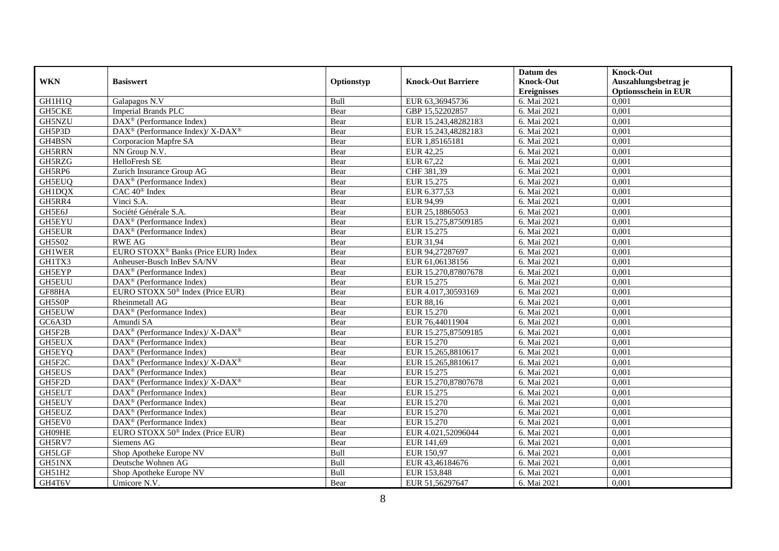|               |                                                                    |            |                           | Datum des          | <b>Knock-Out</b>            |
|---------------|--------------------------------------------------------------------|------------|---------------------------|--------------------|-----------------------------|
| <b>WKN</b>    | <b>Basiswert</b>                                                   | Optionstyp | <b>Knock-Out Barriere</b> | <b>Knock-Out</b>   | Auszahlungsbetrag je        |
|               |                                                                    |            |                           | <b>Ereignisses</b> | <b>Optionsschein in EUR</b> |
| GH1H1Q        | Galapagos N.V                                                      | Bull       | EUR 63,36945736           | 6. Mai 2021        | 0,001                       |
| <b>GH5CKE</b> | <b>Imperial Brands PLC</b>                                         | Bear       | GBP 15,52202857           | 6. Mai 2021        | 0,001                       |
| GH5NZU        | DAX <sup>®</sup> (Performance Index)                               | Bear       | EUR 15.243,48282183       | 6. Mai 2021        | 0,001                       |
| GH5P3D        | $DAX^{\circledcirc}$ (Performance Index)/ X-DAX <sup>®</sup>       | Bear       | EUR 15.243,48282183       | 6. Mai 2021        | 0,001                       |
| GH4BSN        | Corporacion Mapfre SA                                              | Bear       | EUR 1,85165181            | 6. Mai 2021        | 0,001                       |
| GH5RRN        | NN Group N.V.                                                      | Bear       | EUR 42,25                 | 6. Mai 2021        | 0,001                       |
| GH5RZG        | HelloFresh SE                                                      | Bear       | EUR 67,22                 | 6. Mai 2021        | 0,001                       |
| GH5RP6        | Zurich Insurance Group AG                                          | Bear       | CHF 381,39                | 6. Mai 2021        | 0,001                       |
| GH5EUQ        | $\overline{\text{DAX}}^{\textcircled{}}$ (Performance Index)       | Bear       | EUR 15.275                | 6. Mai 2021        | 0,001                       |
| <b>GH1DQX</b> | CAC 40 <sup>®</sup> Index                                          | Bear       | EUR 6.377,53              | 6. Mai 2021        | 0,001                       |
| GH5RR4        | Vinci S.A.                                                         | Bear       | EUR 94,99                 | 6. Mai 2021        | 0,001                       |
| GH5E6J        | Société Générale S.A.                                              | Bear       | EUR 25,18865053           | 6. Mai 2021        | 0,001                       |
| GH5EYU        | $\text{DAX}^{\textcircled{n}}$ (Performance Index)                 | Bear       | EUR 15.275,87509185       | 6. Mai 2021        | 0,001                       |
| <b>GH5EUR</b> | DAX <sup>®</sup> (Performance Index)                               | Bear       | EUR 15.275                | 6. Mai 2021        | 0,001                       |
| <b>GH5S02</b> | <b>RWE AG</b>                                                      | Bear       | EUR 31,94                 | 6. Mai 2021        | 0,001                       |
| <b>GH1WER</b> | EURO STOXX <sup>®</sup> Banks (Price EUR) Index                    | Bear       | EUR 94,27287697           | 6. Mai 2021        | 0,001                       |
| GH1TX3        | Anheuser-Busch InBev SA/NV                                         | Bear       | EUR 61,06138156           | 6. Mai 2021        | 0,001                       |
| GH5EYP        | DAX <sup>®</sup> (Performance Index)                               | Bear       | EUR 15.270,87807678       | 6. Mai 2021        | 0,001                       |
| <b>GH5EUU</b> | $\text{DAX}^{\textcircled{D}}$ (Performance Index)                 | Bear       | EUR 15.275                | 6. Mai 2021        | 0,001                       |
| GF88HA        | EURO STOXX 50 <sup>®</sup> Index (Price EUR)                       | Bear       | EUR 4.017,30593169        | 6. Mai 2021        | 0,001                       |
| GH5S0P        | Rheinmetall AG                                                     | Bear       | <b>EUR 88,16</b>          | 6. Mai 2021        | 0,001                       |
| GH5EUW        | $\overline{\text{DAX}^{\otimes}}$ (Performance Index)              | Bear       | EUR 15.270                | 6. Mai 2021        | 0,001                       |
| GC6A3D        | Amundi SA                                                          | Bear       | EUR 76,44011904           | 6. Mai 2021        | 0,001                       |
| GH5F2B        | $\text{DAX}^{\circledR}$ (Performance Index)/ X-DAX <sup>®</sup>   | Bear       | EUR 15.275,87509185       | 6. Mai 2021        | 0,001                       |
| GH5EUX        | DAX <sup>®</sup> (Performance Index)                               | Bear       | EUR 15.270                | 6. Mai 2021        | 0,001                       |
| GH5EYQ        | $\overline{\text{DAX}^{\otimes}}$ (Performance Index)              | Bear       | EUR 15.265,8810617        | 6. Mai 2021        | 0,001                       |
| GH5F2C        | DAX <sup>®</sup> (Performance Index)/X-DAX <sup>®</sup>            | Bear       | EUR 15.265,8810617        | 6. Mai 2021        | 0,001                       |
| <b>GH5EUS</b> | $\text{DAX}^{\textcircled{p}}$ (Performance Index)                 | Bear       | EUR 15.275                | 6. Mai 2021        | 0,001                       |
| GH5F2D        | $\text{DAX}^{\circledast}$ (Performance Index)/ X-DAX <sup>®</sup> | Bear       | EUR 15.270,87807678       | 6. Mai 2021        | 0,001                       |
| GH5EUT        | $\text{DAX}^{\textcircled{p}}$ (Performance Index)                 | Bear       | EUR 15.275                | 6. Mai 2021        | 0,001                       |
| <b>GH5EUY</b> | $DAX^{\circledR}$ (Performance Index)                              | Bear       | EUR 15.270                | 6. Mai 2021        | 0,001                       |
| GH5EUZ        | DAX <sup>®</sup> (Performance Index)                               | Bear       | EUR 15.270                | 6. Mai 2021        | 0,001                       |
| GH5EV0        | $\text{DAX}^{\textcircled{n}}$ (Performance Index)                 | Bear       | EUR 15.270                | 6. Mai 2021        | 0,001                       |
| GH09HE        | EURO STOXX 50 <sup>®</sup> Index (Price EUR)                       | Bear       | EUR 4.021,52096044        | 6. Mai 2021        | 0,001                       |
| GH5RV7        | Siemens AG                                                         | Bear       | EUR 141,69                | 6. Mai 2021        | 0,001                       |
| GH5LGF        | Shop Apotheke Europe NV                                            | Bull       | EUR 150,97                | 6. Mai 2021        | 0,001                       |
| GH51NX        | Deutsche Wohnen AG                                                 | Bull       | EUR 43,46184676           | 6. Mai 2021        | 0,001                       |
| GH51H2        | Shop Apotheke Europe NV                                            | Bull       | EUR 153,848               | 6. Mai 2021        | 0,001                       |
| GH4T6V        | Umicore N.V.                                                       | Bear       | EUR 51,56297647           | 6. Mai 2021        | 0,001                       |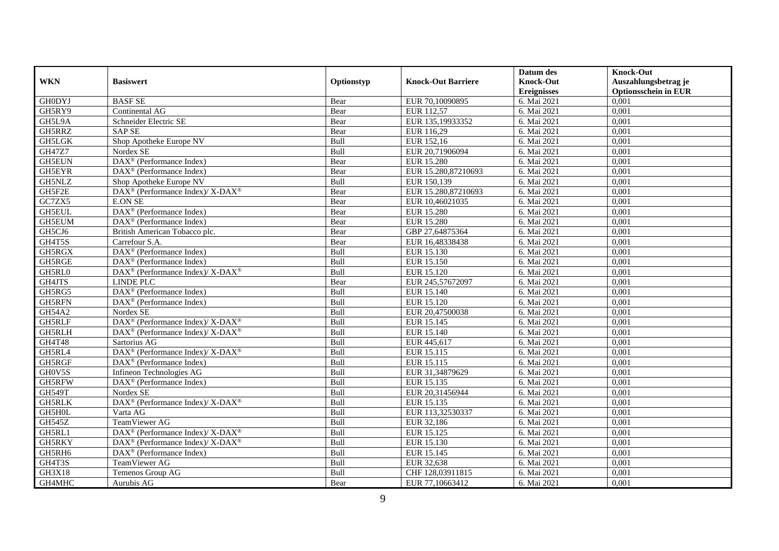|               |                                                                          |            |                           | Datum des          | <b>Knock-Out</b>            |
|---------------|--------------------------------------------------------------------------|------------|---------------------------|--------------------|-----------------------------|
| <b>WKN</b>    | <b>Basiswert</b>                                                         | Optionstyp | <b>Knock-Out Barriere</b> | <b>Knock-Out</b>   | Auszahlungsbetrag je        |
|               |                                                                          |            |                           | <b>Ereignisses</b> | <b>Optionsschein in EUR</b> |
| <b>GH0DYJ</b> | <b>BASF SE</b>                                                           | Bear       | EUR 70,10090895           | 6. Mai 2021        | 0,001                       |
| GH5RY9        | Continental AG                                                           | Bear       | EUR 112,57                | 6. Mai 2021        | 0,001                       |
| GH5L9A        | Schneider Electric SE                                                    | Bear       | EUR 135,19933352          | 6. Mai 2021        | 0,001                       |
| GH5RRZ        | <b>SAP SE</b>                                                            | Bear       | EUR 116.29                | 6. Mai 2021        | 0.001                       |
| <b>GH5LGK</b> | Shop Apotheke Europe NV                                                  | Bull       | EUR 152,16                | 6. Mai 2021        | 0,001                       |
| GH47Z7        | Nordex SE                                                                | Bull       | EUR 20,71906094           | 6. Mai 2021        | 0,001                       |
| <b>GH5EUN</b> | DAX <sup>®</sup> (Performance Index)                                     | Bear       | <b>EUR 15.280</b>         | 6. Mai 2021        | 0,001                       |
| <b>GH5EYR</b> | DAX <sup>®</sup> (Performance Index)                                     | Bear       | EUR 15.280,87210693       | 6. Mai 2021        | 0,001                       |
| GH5NLZ        | Shop Apotheke Europe NV                                                  | Bull       | EUR 150,139               | 6. Mai 2021        | 0,001                       |
| GH5F2E        | DAX <sup>®</sup> (Performance Index)/ X-DAX <sup>®</sup>                 | Bear       | EUR 15.280,87210693       | 6. Mai 2021        | 0,001                       |
| GC7ZX5        | <b>E.ON SE</b>                                                           | Bear       | EUR 10,46021035           | 6. Mai 2021        | 0.001                       |
| <b>GH5EUL</b> | DAX <sup>®</sup> (Performance Index)                                     | Bear       | <b>EUR 15.280</b>         | 6. Mai 2021        | 0,001                       |
| <b>GH5EUM</b> | $\text{DAX}^{\textcircled{D}}$ (Performance Index)                       | Bear       | <b>EUR 15.280</b>         | 6. Mai 2021        | 0,001                       |
| GH5CJ6        | British American Tobacco plc.                                            | Bear       | GBP 27,64875364           | 6. Mai 2021        | 0,001                       |
| GH4T5S        | Carrefour S.A.                                                           | Bear       | EUR 16,48338438           | 6. Mai 2021        | 0,001                       |
| GH5RGX        | DAX <sup>®</sup> (Performance Index)                                     | Bull       | EUR 15.130                | 6. Mai 2021        | 0,001                       |
| GH5RGE        | DAX <sup>®</sup> (Performance Index)                                     | Bull       | EUR 15.150                | 6. Mai 2021        | 0,001                       |
| GH5RL0        | $\overline{\text{DAX}^{\otimes}}$ (Performance Index)/X-DAX <sup>®</sup> | Bull       | <b>EUR 15.120</b>         | 6. Mai 2021        | 0,001                       |
| GH4JTS        | <b>LINDE PLC</b>                                                         | Bear       | EUR 245,57672097          | 6. Mai 2021        | 0,001                       |
| GH5RG5        | $\text{DAX}^{\textcircled{n}}$ (Performance Index)                       | Bull       | EUR 15.140                | 6. Mai 2021        | 0,001                       |
| <b>GH5RFN</b> | DAX <sup>®</sup> (Performance Index)                                     | Bull       | <b>EUR 15.120</b>         | 6. Mai 2021        | 0,001                       |
| <b>GH54A2</b> | Nordex SE                                                                | Bull       | EUR 20,47500038           | 6. Mai 2021        | 0,001                       |
| <b>GH5RLF</b> | $\text{DAX}^{\circledR}$ (Performance Index)/ X-DAX <sup>®</sup>         | Bull       | <b>EUR 15.145</b>         | 6. Mai 2021        | 0,001                       |
| GH5RLH        | $DAX^{\circledast}$ (Performance Index)/X-DAX <sup>®</sup>               | Bull       | EUR 15.140                | 6. Mai 2021        | 0.001                       |
| <b>GH4T48</b> | Sartorius AG                                                             | Bull       | EUR 445,617               | 6. Mai 2021        | 0,001                       |
| GH5RL4        | $\text{DAX}^{\circledR}$ (Performance Index)/ X-DAX <sup>®</sup>         | Bull       | EUR 15.115                | 6. Mai 2021        | 0.001                       |
| GH5RGF        | DAX <sup>®</sup> (Performance Index)                                     | Bull       | EUR 15.115                | 6. Mai 2021        | 0,001                       |
| GH0V5S        | Infineon Technologies AG                                                 | Bull       | EUR 31,34879629           | 6. Mai 2021        | 0,001                       |
| GH5RFW        | $\text{DAX}^{\otimes}$ (Performance Index)                               | Bull       | EUR 15.135                | 6. Mai 2021        | 0,001                       |
| <b>GH549T</b> | Nordex SE                                                                | Bull       | EUR 20,31456944           | 6. Mai 2021        | 0.001                       |
| <b>GH5RLK</b> | $\text{DAX}^{\circledR}$ (Performance Index)/ X-DAX <sup>®</sup>         | Bull       | EUR 15.135                | 6. Mai 2021        | 0,001                       |
| GH5H0L        | Varta AG                                                                 | Bull       | EUR 113,32530337          | 6. Mai 2021        | 0,001                       |
| <b>GH545Z</b> | TeamViewer AG                                                            | Bull       | EUR 32,186                | 6. Mai 2021        | 0.001                       |
| GH5RL1        | DAX <sup>®</sup> (Performance Index)/ X-DAX <sup>®</sup>                 | Bull       | EUR 15.125                | 6. Mai 2021        | 0,001                       |
| GH5RKY        | $DAX^{\circledcirc}$ (Performance Index)/X-DAX <sup>®</sup>              | Bull       | EUR 15.130                | 6. Mai 2021        | 0,001                       |
| GH5RH6        | DAX <sup>®</sup> (Performance Index)                                     | Bull       | EUR 15.145                | 6. Mai 2021        | 0,001                       |
| GH4T3S        | TeamViewer AG                                                            | Bull       | EUR 32,638                | 6. Mai 2021        | 0,001                       |
| <b>GH3X18</b> | Temenos Group AG                                                         | Bull       | CHF 128,03911815          | 6. Mai 2021        | 0,001                       |
| GH4MHC        | Aurubis AG                                                               | Bear       | EUR 77,10663412           | 6. Mai 2021        | 0,001                       |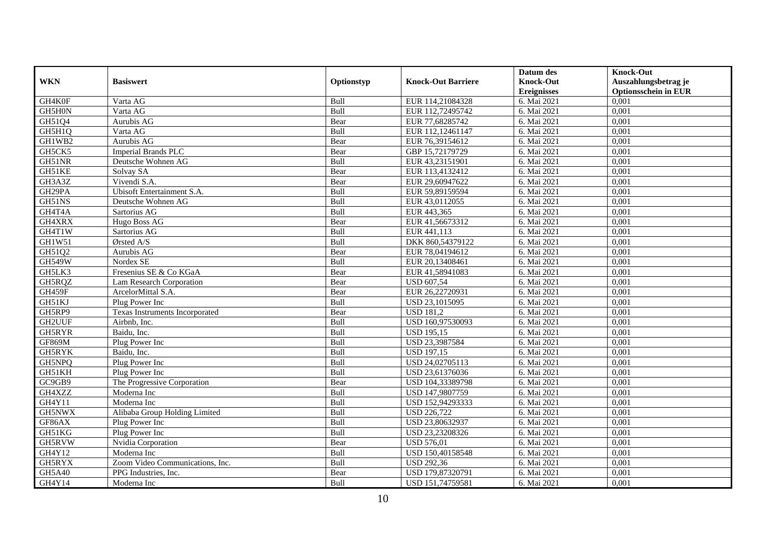|               |                                 |            |                           | Datum des          | <b>Knock-Out</b>            |
|---------------|---------------------------------|------------|---------------------------|--------------------|-----------------------------|
| <b>WKN</b>    | <b>Basiswert</b>                | Optionstyp | <b>Knock-Out Barriere</b> | <b>Knock-Out</b>   | Auszahlungsbetrag je        |
|               |                                 |            |                           | <b>Ereignisses</b> | <b>Optionsschein in EUR</b> |
| GH4K0F        | Varta AG                        | Bull       | EUR 114,21084328          | 6. Mai 2021        | 0,001                       |
| GH5H0N        | Varta AG                        | Bull       | EUR 112,72495742          | 6. Mai 2021        | 0,001                       |
| GH51Q4        | Aurubis AG                      | Bear       | EUR 77,68285742           | 6. Mai 2021        | 0,001                       |
| GH5H1Q        | Varta AG                        | Bull       | EUR 112,12461147          | 6. Mai 2021        | 0,001                       |
| GH1WB2        | Aurubis AG                      | Bear       | EUR 76,39154612           | 6. Mai 2021        | 0,001                       |
| GH5CK5        | <b>Imperial Brands PLC</b>      | Bear       | GBP 15,72179729           | 6. Mai 2021        | 0,001                       |
| GH51NR        | Deutsche Wohnen AG              | Bull       | EUR 43,23151901           | 6. Mai 2021        | 0,001                       |
| GH51KE        | Solvay SA                       | Bear       | EUR 113,4132412           | 6. Mai 2021        | 0,001                       |
| GH3A3Z        | Vivendi S.A.                    | Bear       | EUR 29,60947622           | 6. Mai 2021        | 0,001                       |
| GH29PA        | Ubisoft Entertainment S.A.      | Bull       | EUR 59,89159594           | 6. Mai 2021        | 0,001                       |
| GH51NS        | Deutsche Wohnen AG              | Bull       | EUR 43,0112055            | 6. Mai 2021        | 0,001                       |
| GH4T4A        | Sartorius AG                    | Bull       | EUR 443,365               | 6. Mai 2021        | 0,001                       |
| GH4XRX        | Hugo Boss AG                    | Bear       | EUR 41,56673312           | 6. Mai 2021        | 0,001                       |
| GH4T1W        | Sartorius AG                    | Bull       | EUR 441,113               | 6. Mai 2021        | 0,001                       |
| GH1W51        | Ørsted A/S                      | Bull       | DKK 860,54379122          | 6. Mai 2021        | 0,001                       |
| GH51Q2        | Aurubis AG                      | Bear       | EUR 78,04194612           | 6. Mai 2021        | 0,001                       |
| <b>GH549W</b> | Nordex SE                       | Bull       | EUR 20,13408461           | 6. Mai 2021        | 0,001                       |
| GH5LK3        | Fresenius SE & Co KGaA          | Bear       | EUR 41,58941083           | 6. Mai 2021        | 0,001                       |
| GH5RQZ        | Lam Research Corporation        | Bear       | <b>USD 607,54</b>         | 6. Mai 2021        | 0,001                       |
| GH459F        | ArcelorMittal S.A.              | Bear       | EUR 26,22720931           | 6. Mai 2021        | 0,001                       |
| GH51KJ        | Plug Power Inc                  | Bull       | USD 23,1015095            | 6. Mai 2021        | 0,001                       |
| GH5RP9        | Texas Instruments Incorporated  | Bear       | <b>USD 181,2</b>          | 6. Mai 2021        | 0,001                       |
| <b>GH2UUF</b> | Airbnb, Inc.                    | Bull       | USD 160,97530093          | 6. Mai 2021        | 0,001                       |
| GH5RYR        | Baidu. Inc.                     | Bull       | <b>USD 195.15</b>         | 6. Mai 2021        | 0,001                       |
| <b>GF869M</b> | Plug Power Inc                  | Bull       | USD 23,3987584            | 6. Mai 2021        | 0,001                       |
| GH5RYK        | Baidu. Inc.                     | Bull       | <b>USD 197,15</b>         | 6. Mai 2021        | 0,001                       |
| GH5NPQ        | Plug Power Inc                  | Bull       | USD 24,02705113           | 6. Mai 2021        | 0,001                       |
| GH51KH        | Plug Power Inc                  | Bull       | USD 23,61376036           | 6. Mai 2021        | 0,001                       |
| GC9GB9        | The Progressive Corporation     | Bear       | USD 104,33389798          | 6. Mai 2021        | 0,001                       |
| GH4XZZ        | Moderna Inc                     | Bull       | USD 147,9807759           | 6. Mai 2021        | 0,001                       |
| GH4Y11        | Moderna Inc                     | Bull       | USD 152,94293333          | 6. Mai 2021        | 0,001                       |
| GH5NWX        | Alibaba Group Holding Limited   | Bull       | <b>USD 226,722</b>        | 6. Mai 2021        | 0,001                       |
| GF86AX        | Plug Power Inc                  | Bull       | USD 23,80632937           | 6. Mai 2021        | 0,001                       |
| GH51KG        | Plug Power Inc                  | Bull       | USD 23,23208326           | 6. Mai 2021        | 0,001                       |
| GH5RVW        | Nvidia Corporation              | Bear       | <b>USD 576,01</b>         | 6. Mai 2021        | 0,001                       |
| GH4Y12        | Moderna Inc                     | Bull       | USD 150,40158548          | 6. Mai 2021        | 0,001                       |
| GH5RYX        | Zoom Video Communications, Inc. | Bull       | <b>USD 292,36</b>         | 6. Mai 2021        | 0,001                       |
| GH5A40        | PPG Industries, Inc.            | Bear       | USD 179,87320791          | 6. Mai 2021        | 0,001                       |
| GH4Y14        | Moderna Inc                     | Bull       | USD 151,74759581          | 6. Mai 2021        | 0,001                       |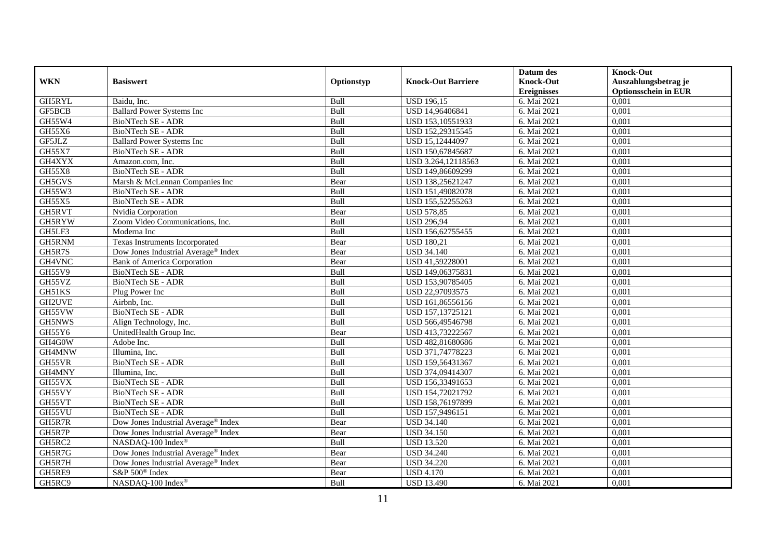|               |                                                 |            |                           | Datum des          | <b>Knock-Out</b>            |
|---------------|-------------------------------------------------|------------|---------------------------|--------------------|-----------------------------|
| <b>WKN</b>    | <b>Basiswert</b>                                | Optionstyp | <b>Knock-Out Barriere</b> | <b>Knock-Out</b>   | Auszahlungsbetrag je        |
|               |                                                 |            |                           | <b>Ereignisses</b> | <b>Optionsschein in EUR</b> |
| <b>GH5RYL</b> | Baidu, Inc.                                     | Bull       | <b>USD 196,15</b>         | 6. Mai 2021        | 0,001                       |
| GF5BCB        | <b>Ballard Power Systems Inc</b>                | Bull       | USD 14,96406841           | 6. Mai 2021        | 0,001                       |
| GH55W4        | BioNTech SE - ADR                               | Bull       | USD 153,10551933          | 6. Mai 2021        | 0,001                       |
| GH55X6        | <b>BioNTech SE - ADR</b>                        | Bull       | USD 152,29315545          | 6. Mai 2021        | 0,001                       |
| GF5JLZ        | <b>Ballard Power Systems Inc</b>                | Bull       | USD 15,12444097           | 6. Mai 2021        | 0,001                       |
| GH55X7        | <b>BioNTech SE - ADR</b>                        | Bull       | USD 150,67845687          | 6. Mai 2021        | 0,001                       |
| GH4XYX        | Amazon.com, Inc.                                | Bull       | USD 3.264,12118563        | 6. Mai 2021        | 0,001                       |
| <b>GH55X8</b> | <b>BioNTech SE - ADR</b>                        | Bull       | USD 149,86609299          | 6. Mai 2021        | 0,001                       |
| GH5GVS        | Marsh & McLennan Companies Inc                  | Bear       | USD 138,25621247          | 6. Mai 2021        | 0,001                       |
| GH55W3        | BioNTech SE - ADR                               | Bull       | USD 151,49082078          | 6. Mai 2021        | 0,001                       |
| GH55X5        | <b>BioNTech SE - ADR</b>                        | Bull       | USD 155,52255263          | 6. Mai 2021        | 0,001                       |
| GH5RVT        | Nvidia Corporation                              | Bear       | <b>USD 578,85</b>         | 6. Mai 2021        | 0,001                       |
| GH5RYW        | Zoom Video Communications, Inc.                 | Bull       | <b>USD 296,94</b>         | 6. Mai 2021        | 0,001                       |
| GH5LF3        | Moderna Inc                                     | Bull       | USD 156,62755455          | 6. Mai 2021        | 0,001                       |
| GH5RNM        | Texas Instruments Incorporated                  | Bear       | <b>USD 180,21</b>         | 6. Mai 2021        | 0,001                       |
| GH5R7S        | Dow Jones Industrial Average® Index             | Bear       | <b>USD 34.140</b>         | 6. Mai 2021        | 0,001                       |
| GH4VNC        | <b>Bank of America Corporation</b>              | Bear       | USD 41,59228001           | 6. Mai 2021        | 0,001                       |
| GH55V9        | <b>BioNTech SE - ADR</b>                        | Bull       | USD 149,06375831          | 6. Mai 2021        | 0,001                       |
| GH55VZ        | <b>BioNTech SE - ADR</b>                        | Bull       | USD 153,90785405          | 6. Mai 2021        | 0,001                       |
| GH51KS        | Plug Power Inc                                  | Bull       | USD 22,97093575           | 6. Mai 2021        | 0,001                       |
| GH2UVE        | Airbnb, Inc.                                    | Bull       | USD 161,86556156          | 6. Mai 2021        | 0,001                       |
| GH55VW        | <b>BioNTech SE - ADR</b>                        | Bull       | USD 157,13725121          | 6. Mai 2021        | 0,001                       |
| GH5NWS        | Align Technology, Inc.                          | Bull       | USD 566,49546798          | 6. Mai 2021        | 0,001                       |
| GH55Y6        | UnitedHealth Group Inc.                         | Bear       | USD 413,73222567          | 6. Mai 2021        | 0,001                       |
| GH4G0W        | Adobe Inc.                                      | Bull       | USD 482,81680686          | 6. Mai 2021        | 0,001                       |
| GH4MNW        | Illumina, Inc.                                  | Bull       | USD 371,74778223          | 6. Mai 2021        | 0,001                       |
| GH55VR        | <b>BioNTech SE - ADR</b>                        | Bull       | USD 159,56431367          | 6. Mai 2021        | 0,001                       |
| GH4MNY        | Illumina, Inc.                                  | Bull       | USD 374,09414307          | 6. Mai 2021        | 0,001                       |
| GH55VX        | BioNTech SE - ADR                               | Bull       | USD 156,33491653          | 6. Mai 2021        | 0,001                       |
| GH55VY        | BioNTech SE - ADR                               | Bull       | USD 154,72021792          | 6. Mai 2021        | 0,001                       |
| GH55VT        | BioNTech SE - ADR                               | Bull       | USD 158,76197899          | 6. Mai 2021        | 0,001                       |
| GH55VU        | BioNTech SE - ADR                               | Bull       | USD 157,9496151           | 6. Mai 2021        | 0,001                       |
| GH5R7R        | Dow Jones Industrial Average® Index             | Bear       | <b>USD 34.140</b>         | 6. Mai 2021        | 0,001                       |
| GH5R7P        | Dow Jones Industrial Average® Index             | Bear       | <b>USD 34.150</b>         | 6. Mai 2021        | 0,001                       |
| GH5RC2        | NASDAQ-100 Index®                               | Bull       | <b>USD 13.520</b>         | 6. Mai 2021        | 0,001                       |
| GH5R7G        | Dow Jones Industrial Average <sup>®</sup> Index | Bear       | <b>USD 34.240</b>         | 6. Mai 2021        | 0,001                       |
| GH5R7H        | Dow Jones Industrial Average® Index             | Bear       | <b>USD 34.220</b>         | 6. Mai 2021        | 0,001                       |
| GH5RE9        | S&P 500 <sup>®</sup> Index                      | Bear       | <b>USD 4.170</b>          | 6. Mai 2021        | 0,001                       |
| GH5RC9        | NASDAQ-100 Index®                               | Bull       | <b>USD 13.490</b>         | 6. Mai 2021        | 0,001                       |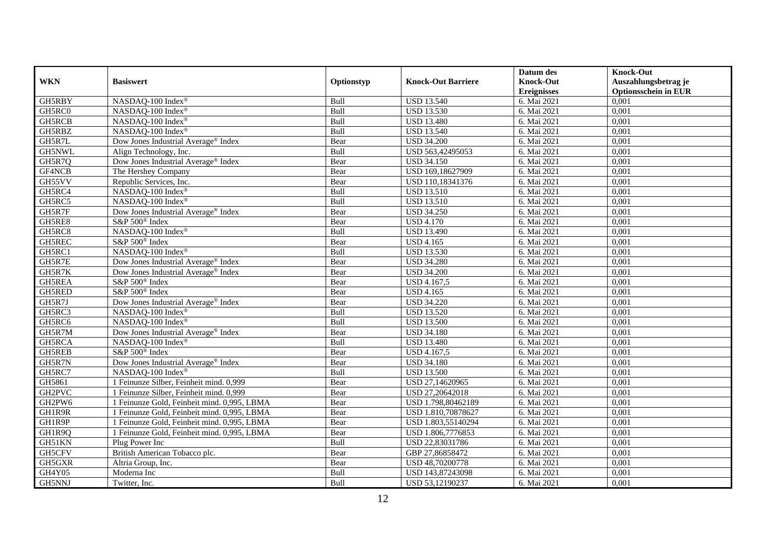|               |                                                 |            |                           | Datum des          | <b>Knock-Out</b>            |
|---------------|-------------------------------------------------|------------|---------------------------|--------------------|-----------------------------|
| <b>WKN</b>    | <b>Basiswert</b>                                | Optionstyp | <b>Knock-Out Barriere</b> | <b>Knock-Out</b>   | Auszahlungsbetrag je        |
|               |                                                 |            |                           | <b>Ereignisses</b> | <b>Optionsschein in EUR</b> |
| GH5RBY        | NASDAQ-100 Index®                               | Bull       | <b>USD 13.540</b>         | 6. Mai 2021        | 0,001                       |
| GH5RC0        | NASDAQ-100 Index®                               | Bull       | <b>USD 13.530</b>         | 6. Mai 2021        | 0,001                       |
| GH5RCB        | NASDAQ-100 Index®                               | Bull       | <b>USD 13.480</b>         | 6. Mai 2021        | 0,001                       |
| GH5RBZ        | NASDAQ-100 Index®                               | Bull       | <b>USD 13.540</b>         | 6. Mai 2021        | 0,001                       |
| GH5R7L        | Dow Jones Industrial Average <sup>®</sup> Index | Bear       | <b>USD 34.200</b>         | 6. Mai 2021        | 0,001                       |
| GH5NWL        | Align Technology, Inc.                          | Bull       | USD 563,42495053          | 6. Mai 2021        | 0,001                       |
| GH5R7Q        | Dow Jones Industrial Average® Index             | Bear       | <b>USD 34.150</b>         | 6. Mai 2021        | 0,001                       |
| GF4NCB        | The Hershey Company                             | Bear       | USD 169,18627909          | 6. Mai 2021        | 0,001                       |
| GH55VV        | Republic Services, Inc.                         | Bear       | USD 110,18341376          | 6. Mai 2021        | 0,001                       |
| GH5RC4        | NASDAQ-100 Index®                               | Bull       | <b>USD 13.510</b>         | 6. Mai 2021        | 0,001                       |
| GH5RC5        | NASDAQ-100 Index®                               | Bull       | <b>USD 13.510</b>         | 6. Mai 2021        | 0,001                       |
| GH5R7F        | Dow Jones Industrial Average® Index             | Bear       | <b>USD 34.250</b>         | 6. Mai 2021        | 0,001                       |
| GH5RE8        | S&P 500 <sup>®</sup> Index                      | Bear       | <b>USD 4.170</b>          | 6. Mai 2021        | 0,001                       |
| GH5RC8        | NASDAQ-100 Index®                               | Bull       | <b>USD 13.490</b>         | 6. Mai 2021        | 0,001                       |
| GH5REC        | S&P 500 <sup>®</sup> Index                      | Bear       | <b>USD 4.165</b>          | 6. Mai 2021        | 0,001                       |
| GH5RC1        | NASDAQ-100 Index®                               | Bull       | <b>USD 13.530</b>         | 6. Mai 2021        | 0,001                       |
| GH5R7E        | Dow Jones Industrial Average® Index             | Bear       | <b>USD 34.280</b>         | 6. Mai 2021        | 0,001                       |
| GH5R7K        | Dow Jones Industrial Average <sup>®</sup> Index | Bear       | <b>USD 34.200</b>         | 6. Mai 2021        | 0,001                       |
| GH5REA        | S&P 500 <sup>®</sup> Index                      | Bear       | USD 4.167,5               | 6. Mai 2021        | 0,001                       |
| GH5RED        | S&P 500 <sup>®</sup> Index                      | Bear       | <b>USD 4.165</b>          | 6. Mai 2021        | 0,001                       |
| GH5R7J        | Dow Jones Industrial Average® Index             | Bear       | <b>USD 34.220</b>         | 6. Mai 2021        | 0,001                       |
| GH5RC3        | NASDAQ-100 Index®                               | Bull       | <b>USD 13.520</b>         | 6. Mai 2021        | 0,001                       |
| GH5RC6        | NASDAQ-100 Index®                               | Bull       | <b>USD 13.500</b>         | 6. Mai 2021        | 0,001                       |
| GH5R7M        | Dow Jones Industrial Average <sup>®</sup> Index | Bear       | <b>USD 34.180</b>         | 6. Mai 2021        | 0,001                       |
| GH5RCA        | NASDAQ-100 Index®                               | Bull       | <b>USD 13.480</b>         | 6. Mai 2021        | 0,001                       |
| <b>GH5REB</b> | S&P 500 <sup>®</sup> Index                      | Bear       | <b>USD 4.167,5</b>        | 6. Mai 2021        | 0,001                       |
| GH5R7N        | Dow Jones Industrial Average® Index             | Bear       | <b>USD 34.180</b>         | 6. Mai 2021        | 0,001                       |
| GH5RC7        | NASDAQ-100 Index®                               | Bull       | <b>USD 13.500</b>         | 6. Mai 2021        | 0,001                       |
| GH5861        | 1 Feinunze Silber, Feinheit mind. 0,999         | Bear       | USD 27,14620965           | 6. Mai 2021        | 0,001                       |
| GH2PVC        | 1 Feinunze Silber, Feinheit mind. 0,999         | Bear       | USD 27,20642018           | 6. Mai 2021        | 0,001                       |
| GH2PW6        | 1 Feinunze Gold, Feinheit mind. 0,995, LBMA     | Bear       | USD 1.798,80462189        | 6. Mai 2021        | 0,001                       |
| GH1R9R        | 1 Feinunze Gold, Feinheit mind. 0,995, LBMA     | Bear       | USD 1.810,70878627        | 6. Mai 2021        | 0,001                       |
| GH1R9P        | 1 Feinunze Gold, Feinheit mind. 0,995, LBMA     | Bear       | USD 1.803,55140294        | 6. Mai 2021        | 0,001                       |
| GH1R9Q        | 1 Feinunze Gold, Feinheit mind. 0,995, LBMA     | Bear       | USD 1.806,7776853         | 6. Mai 2021        | 0,001                       |
| GH51KN        | Plug Power Inc                                  | Bull       | USD 22,83031786           | 6. Mai 2021        | 0,001                       |
| GH5CFV        | British American Tobacco plc.                   | Bear       | GBP 27,86858472           | 6. Mai 2021        | 0,001                       |
| GH5GXR        | Altria Group, Inc.                              | Bear       | USD 48,70200778           | 6. Mai 2021        | 0,001                       |
| GH4Y05        | Moderna Inc                                     | Bull       | USD 143,87243098          | 6. Mai 2021        | 0,001                       |
| GH5NNJ        | Twitter, Inc.                                   | Bull       | USD 53,12190237           | 6. Mai 2021        | 0,001                       |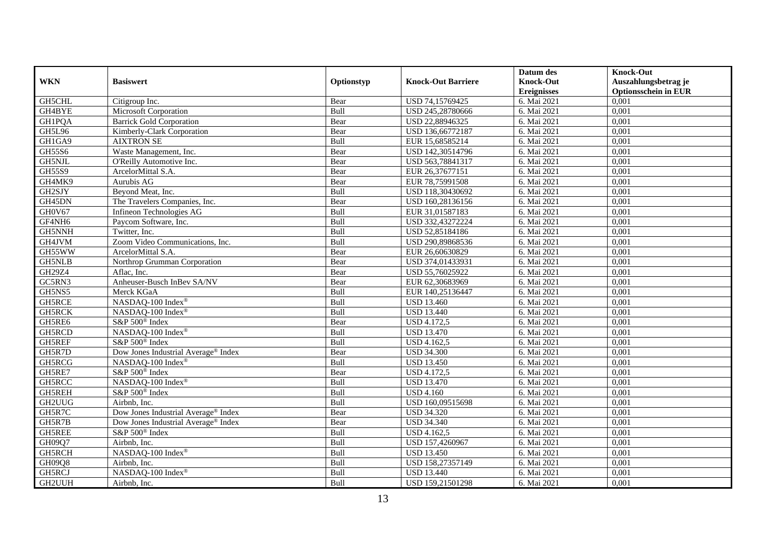|               |                                                 |            |                           | Datum des          | <b>Knock-Out</b>            |
|---------------|-------------------------------------------------|------------|---------------------------|--------------------|-----------------------------|
| <b>WKN</b>    | <b>Basiswert</b>                                | Optionstyp | <b>Knock-Out Barriere</b> | <b>Knock-Out</b>   | Auszahlungsbetrag je        |
|               |                                                 |            |                           | <b>Ereignisses</b> | <b>Optionsschein in EUR</b> |
| <b>GH5CHL</b> | Citigroup Inc.                                  | Bear       | USD 74,15769425           | 6. Mai 2021        | 0,001                       |
| GH4BYE        | Microsoft Corporation                           | Bull       | USD 245,28780666          | 6. Mai 2021        | 0,001                       |
| <b>GH1PQA</b> | <b>Barrick Gold Corporation</b>                 | Bear       | USD 22,88946325           | 6. Mai 2021        | 0,001                       |
| <b>GH5L96</b> | Kimberly-Clark Corporation                      | Bear       | USD 136,66772187          | 6. Mai 2021        | 0,001                       |
| GH1GA9        | <b>AIXTRON SE</b>                               | Bull       | EUR 15,68585214           | 6. Mai 2021        | 0,001                       |
| <b>GH55S6</b> | Waste Management, Inc.                          | Bear       | USD 142,30514796          | 6. Mai 2021        | 0,001                       |
| GH5NJL        | O'Reilly Automotive Inc.                        | Bear       | USD 563,78841317          | 6. Mai 2021        | 0,001                       |
| <b>GH55S9</b> | ArcelorMittal S.A.                              | Bear       | EUR 26,37677151           | 6. Mai 2021        | 0,001                       |
| GH4MK9        | Aurubis AG                                      | Bear       | EUR 78,75991508           | 6. Mai 2021        | 0,001                       |
| GH2SJY        | Beyond Meat, Inc.                               | Bull       | USD 118,30430692          | 6. Mai 2021        | 0,001                       |
| GH45DN        | The Travelers Companies, Inc.                   | Bear       | USD 160,28136156          | 6. Mai 2021        | 0,001                       |
| GH0V67        | Infineon Technologies AG                        | Bull       | EUR 31,01587183           | 6. Mai 2021        | 0,001                       |
| GF4NH6        | Paycom Software, Inc.                           | Bull       | USD 332,43272224          | 6. Mai 2021        | 0,001                       |
| GH5NNH        | Twitter, Inc.                                   | Bull       | USD 52,85184186           | 6. Mai 2021        | 0,001                       |
| GH4JVM        | Zoom Video Communications, Inc.                 | Bull       | USD 290,89868536          | 6. Mai 2021        | 0,001                       |
| GH55WW        | ArcelorMittal S.A.                              | Bear       | EUR 26,60630829           | 6. Mai 2021        | 0,001                       |
| <b>GH5NLB</b> | Northrop Grumman Corporation                    | Bear       | USD 374,01433931          | 6. Mai 2021        | 0,001                       |
| GH29Z4        | Aflac, Inc.                                     | Bear       | USD 55,76025922           | 6. Mai 2021        | 0,001                       |
| GC5RN3        | Anheuser-Busch InBev SA/NV                      | Bear       | EUR 62,30683969           | 6. Mai 2021        | 0,001                       |
| GH5NS5        | Merck KGaA                                      | Bull       | EUR 140,25136447          | 6. Mai 2021        | 0,001                       |
| <b>GH5RCE</b> | NASDAQ-100 Index®                               | Bull       | <b>USD 13.460</b>         | 6. Mai 2021        | 0,001                       |
| <b>GH5RCK</b> | NASDAQ-100 Index®                               | Bull       | <b>USD 13.440</b>         | 6. Mai 2021        | 0,001                       |
| GH5RE6        | S&P 500 <sup>®</sup> Index                      | Bear       | <b>USD 4.172,5</b>        | 6. Mai 2021        | 0,001                       |
| GH5RCD        | NASDAQ-100 Index®                               | Bull       | <b>USD 13.470</b>         | 6. Mai 2021        | 0,001                       |
| GH5REF        | S&P 500 <sup>®</sup> Index                      | Bull       | USD 4.162,5               | 6. Mai 2021        | 0,001                       |
| GH5R7D        | Dow Jones Industrial Average® Index             | Bear       | <b>USD 34.300</b>         | 6. Mai 2021        | 0,001                       |
| GH5RCG        | NASDAQ-100 Index®                               | Bull       | <b>USD 13.450</b>         | 6. Mai 2021        | 0,001                       |
| GH5RE7        | S&P 500 <sup>®</sup> Index                      | Bear       | <b>USD 4.172,5</b>        | 6. Mai 2021        | 0,001                       |
| GH5RCC        | NASDAQ-100 Index®                               | Bull       | <b>USD 13.470</b>         | 6. Mai 2021        | 0,001                       |
| GH5REH        | S&P 500 <sup>®</sup> Index                      | Bull       | <b>USD 4.160</b>          | 6. Mai 2021        | 0,001                       |
| GH2UUG        | Airbnb, Inc.                                    | Bull       | USD 160,09515698          | 6. Mai 2021        | 0,001                       |
| GH5R7C        | Dow Jones Industrial Average® Index             | Bear       | <b>USD 34.320</b>         | 6. Mai 2021        | 0,001                       |
| GH5R7B        | Dow Jones Industrial Average <sup>®</sup> Index | Bear       | <b>USD 34.340</b>         | 6. Mai 2021        | 0,001                       |
| GH5REE        | S&P 500 <sup>®</sup> Index                      | Bull       | <b>USD 4.162,5</b>        | 6. Mai 2021        | 0,001                       |
| GH09Q7        | Airbnb, Inc.                                    | Bull       | USD 157,4260967           | 6. Mai 2021        | 0,001                       |
| GH5RCH        | NASDAQ-100 Index®                               | Bull       | <b>USD 13.450</b>         | 6. Mai 2021        | 0,001                       |
| GH09Q8        | Airbnb, Inc.                                    | Bull       | USD 158,27357149          | 6. Mai 2021        | 0,001                       |
| GH5RCJ        | NASDAQ-100 Index®                               | Bull       | <b>USD 13.440</b>         | 6. Mai 2021        | 0,001                       |
| GH2UUH        | Airbnb, Inc.                                    | Bull       | USD 159,21501298          | 6. Mai 2021        | 0,001                       |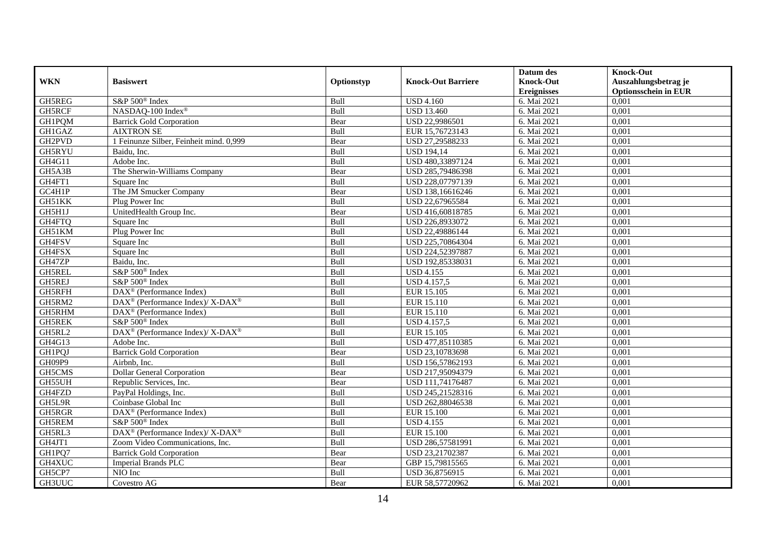|                     |                                                                  |            |                           | Datum des          | <b>Knock-Out</b>            |
|---------------------|------------------------------------------------------------------|------------|---------------------------|--------------------|-----------------------------|
| <b>WKN</b>          | <b>Basiswert</b>                                                 | Optionstyp | <b>Knock-Out Barriere</b> | <b>Knock-Out</b>   | Auszahlungsbetrag je        |
|                     |                                                                  |            |                           | <b>Ereignisses</b> | <b>Optionsschein in EUR</b> |
| GH5REG              | S&P 500 <sup>®</sup> Index                                       | Bull       | <b>USD 4.160</b>          | 6. Mai 2021        | 0,001                       |
| GH5RCF              | NASDAQ-100 Index®                                                | Bull       | <b>USD 13.460</b>         | 6. Mai 2021        | 0,001                       |
| GH1PQM              | <b>Barrick Gold Corporation</b>                                  | Bear       | USD 22,9986501            | 6. Mai 2021        | 0,001                       |
| GH1GAZ              | <b>AIXTRON SE</b>                                                | Bull       | EUR 15,76723143           | 6. Mai 2021        | 0,001                       |
| GH <sub>2</sub> PVD | 1 Feinunze Silber, Feinheit mind. 0,999                          | Bear       | USD 27,29588233           | 6. Mai 2021        | 0,001                       |
| GH5RYU              | Baidu. Inc.                                                      | Bull       | <b>USD 194,14</b>         | 6. Mai 2021        | 0,001                       |
| GH4G11              | Adobe Inc.                                                       | Bull       | USD 480,33897124          | 6. Mai 2021        | 0,001                       |
| GH5A3B              | The Sherwin-Williams Company                                     | Bear       | USD 285,79486398          | 6. Mai 2021        | 0,001                       |
| GH4FT1              | Square Inc                                                       | Bull       | USD 228,07797139          | 6. Mai 2021        | 0,001                       |
| GC4H1P              | The JM Smucker Company                                           | Bear       | USD 138,16616246          | 6. Mai 2021        | 0,001                       |
| GH51KK              | Plug Power Inc                                                   | Bull       | USD 22,67965584           | 6. Mai 2021        | 0,001                       |
| GH5H1J              | UnitedHealth Group Inc.                                          | Bear       | USD 416,60818785          | 6. Mai 2021        | 0,001                       |
| GH4FTQ              | Square Inc                                                       | Bull       | USD 226,8933072           | 6. Mai 2021        | 0,001                       |
| GH51KM              | Plug Power Inc                                                   | Bull       | USD 22,49886144           | 6. Mai 2021        | 0,001                       |
| GH4FSV              | Square Inc                                                       | Bull       | USD 225,70864304          | 6. Mai 2021        | 0,001                       |
| GH4FSX              | Square Inc                                                       | Bull       | USD 224,52397887          | 6. Mai 2021        | 0,001                       |
| GH47ZP              | Baidu, Inc.                                                      | Bull       | USD 192,85338031          | 6. Mai 2021        | 0,001                       |
| <b>GH5REL</b>       | S&P 500 <sup>®</sup> Index                                       | Bull       | <b>USD 4.155</b>          | 6. Mai 2021        | 0,001                       |
| <b>GH5REJ</b>       | S&P 500 <sup>®</sup> Index                                       | Bull       | <b>USD 4.157,5</b>        | 6. Mai 2021        | 0,001                       |
| GH5RFH              | $DAX^{\circledR}$ (Performance Index)                            | Bull       | EUR 15.105                | 6. Mai 2021        | 0,001                       |
| GH5RM2              | $\text{DAX}^{\circledR}$ (Performance Index)/ X-DAX <sup>®</sup> | Bull       | EUR 15.110                | 6. Mai 2021        | 0,001                       |
| GH5RHM              | $\overline{\text{DAX}^{\otimes}}$ (Performance Index)            | Bull       | EUR 15.110                | 6. Mai 2021        | 0,001                       |
| <b>GH5REK</b>       | S&P 500 <sup>®</sup> Index                                       | Bull       | <b>USD 4.157,5</b>        | 6. Mai 2021        | 0,001                       |
| GH5RL2              | DAX <sup>®</sup> (Performance Index)/ X-DAX <sup>®</sup>         | Bull       | EUR 15.105                | 6. Mai 2021        | 0,001                       |
| GH4G13              | Adobe Inc.                                                       | Bull       | USD 477,85110385          | 6. Mai 2021        | 0,001                       |
| <b>GH1PQJ</b>       | <b>Barrick Gold Corporation</b>                                  | Bear       | USD 23,10783698           | 6. Mai 2021        | 0,001                       |
| GH09P9              | Airbnb, Inc.                                                     | Bull       | USD 156,57862193          | 6. Mai 2021        | 0,001                       |
| GH5CMS              | <b>Dollar General Corporation</b>                                | Bear       | USD 217,95094379          | 6. Mai 2021        | 0,001                       |
| GH55UH              | Republic Services, Inc.                                          | Bear       | USD 111,74176487          | 6. Mai 2021        | 0,001                       |
| GH4FZD              | PayPal Holdings, Inc.                                            | Bull       | USD 245,21528316          | 6. Mai 2021        | 0,001                       |
| GH5L9R              | Coinbase Global Inc                                              | Bull       | USD 262,88046538          | 6. Mai 2021        | 0,001                       |
| GH5RGR              | DAX <sup>®</sup> (Performance Index)                             | Bull       | <b>EUR 15.100</b>         | 6. Mai 2021        | 0,001                       |
| GH5REM              | S&P 500 <sup>®</sup> Index                                       | Bull       | <b>USD 4.155</b>          | 6. Mai 2021        | 0,001                       |
| GH5RL3              | $DAX^{\circledast}$ (Performance Index)/X-DAX <sup>®</sup>       | Bull       | <b>EUR 15.100</b>         | 6. Mai 2021        | 0,001                       |
| GH4JT1              | Zoom Video Communications, Inc.                                  | Bull       | USD 286,57581991          | 6. Mai 2021        | 0,001                       |
| GH1PQ7              | <b>Barrick Gold Corporation</b>                                  | Bear       | USD 23,21702387           | 6. Mai 2021        | 0,001                       |
| GH4XUC              | Imperial Brands PLC                                              | Bear       | GBP 15,79815565           | 6. Mai 2021        | 0,001                       |
| GH5CP7              | NIO Inc                                                          | Bull       | USD 36,8756915            | 6. Mai 2021        | 0,001                       |
| GH3UUC              | Covestro AG                                                      | Bear       | EUR 58,57720962           | 6. Mai 2021        | 0,001                       |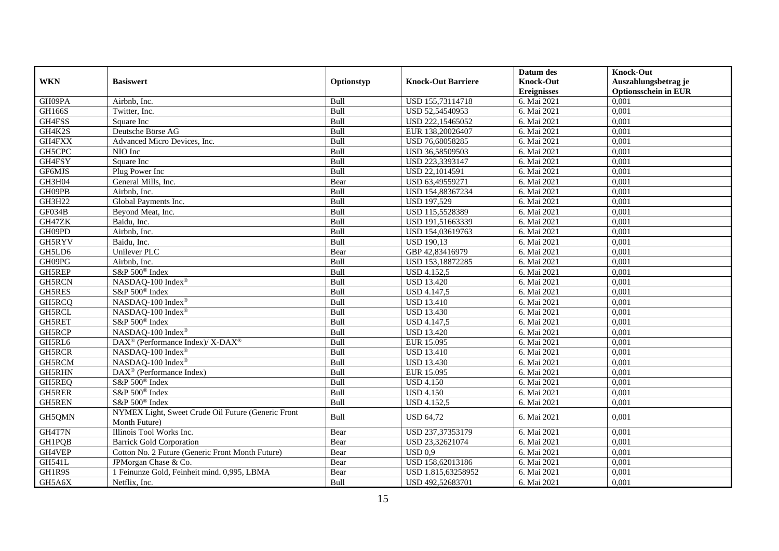|               |                                                          |            |                           | Datum des          | <b>Knock-Out</b>            |
|---------------|----------------------------------------------------------|------------|---------------------------|--------------------|-----------------------------|
| <b>WKN</b>    | <b>Basiswert</b>                                         | Optionstyp | <b>Knock-Out Barriere</b> | <b>Knock-Out</b>   | Auszahlungsbetrag je        |
|               |                                                          |            |                           | <b>Ereignisses</b> | <b>Optionsschein in EUR</b> |
| GH09PA        | Airbnb, Inc.                                             | Bull       | USD 155,73114718          | 6. Mai 2021        | 0,001                       |
| <b>GH166S</b> | Twitter, Inc.                                            | Bull       | USD 52,54540953           | 6. Mai 2021        | 0,001                       |
| GH4FSS        | Square Inc                                               | Bull       | USD 222,15465052          | 6. Mai 2021        | 0,001                       |
| GH4K2S        | Deutsche Börse AG                                        | Bull       | EUR 138,20026407          | 6. Mai 2021        | 0.001                       |
| GH4FXX        | Advanced Micro Devices, Inc.                             | Bull       | USD 76,68058285           | 6. Mai 2021        | 0,001                       |
| GH5CPC        | NIO Inc                                                  | Bull       | USD 36,58509503           | 6. Mai 2021        | 0,001                       |
| GH4FSY        | Square Inc                                               | Bull       | USD 223,3393147           | 6. Mai 2021        | 0,001                       |
| GF6MJS        | Plug Power Inc                                           | Bull       | USD 22,1014591            | 6. Mai 2021        | 0,001                       |
| GH3H04        | General Mills, Inc.                                      | Bear       | USD 63,49559271           | 6. Mai 2021        | 0,001                       |
| GH09PB        | Airbnb, Inc.                                             | Bull       | USD 154,88367234          | 6. Mai 2021        | 0,001                       |
| GH3H22        | Global Payments Inc.                                     | Bull       | <b>USD 197,529</b>        | 6. Mai 2021        | 0.001                       |
| GF034B        | Beyond Meat, Inc.                                        | Bull       | USD 115,5528389           | 6. Mai 2021        | 0.001                       |
| GH47ZK        | Baidu, Inc.                                              | Bull       | USD 191,51663339          | 6. Mai 2021        | 0,001                       |
| GH09PD        | Airbnb, Inc.                                             | Bull       | USD 154,03619763          | 6. Mai 2021        | 0,001                       |
| GH5RYV        | Baidu, Inc.                                              | Bull       | <b>USD 190,13</b>         | 6. Mai 2021        | 0,001                       |
| GH5LD6        | Unilever PLC                                             | Bear       | GBP 42,83416979           | 6. Mai 2021        | 0,001                       |
| GH09PG        | Airbnb, Inc.                                             | Bull       | USD 153,18872285          | 6. Mai 2021        | 0,001                       |
| GH5REP        | S&P 500 <sup>®</sup> Index                               | Bull       | <b>USD 4.152,5</b>        | 6. Mai 2021        | 0,001                       |
| <b>GH5RCN</b> | NASDAQ-100 Index®                                        | Bull       | <b>USD 13.420</b>         | 6. Mai 2021        | 0,001                       |
| GH5RES        | S&P 500 <sup>®</sup> Index                               | Bull       | <b>USD 4.147,5</b>        | 6. Mai 2021        | 0,001                       |
| GH5RCQ        | NASDAQ-100 Index®                                        | Bull       | <b>USD 13.410</b>         | 6. Mai 2021        | 0,001                       |
| GH5RCL        | NASDAQ-100 Index®                                        | Bull       | <b>USD 13.430</b>         | 6. Mai 2021        | 0,001                       |
| GH5RET        | S&P 500 <sup>®</sup> Index                               | Bull       | <b>USD 4.147,5</b>        | 6. Mai 2021        | 0,001                       |
| GH5RCP        | NASDAQ-100 Index®                                        | Bull       | <b>USD 13.420</b>         | 6. Mai 2021        | 0.001                       |
| GH5RL6        | DAX <sup>®</sup> (Performance Index)/ X-DAX <sup>®</sup> | Bull       | EUR 15.095                | 6. Mai 2021        | 0,001                       |
| <b>GH5RCR</b> | NASDAQ-100 Index®                                        | Bull       | <b>USD 13.410</b>         | 6. Mai 2021        | 0.001                       |
| GH5RCM        | NASDAQ-100 Index®                                        | Bull       | <b>USD 13.430</b>         | 6. Mai 2021        | 0,001                       |
| <b>GH5RHN</b> | DAX <sup>®</sup> (Performance Index)                     | Bull       | EUR 15.095                | 6. Mai 2021        | 0,001                       |
| GH5REQ        | S&P 500 <sup>®</sup> Index                               | Bull       | <b>USD 4.150</b>          | 6. Mai 2021        | 0,001                       |
| GH5RER        | S&P 500 <sup>®</sup> Index                               | Bull       | <b>USD 4.150</b>          | 6. Mai 2021        | 0.001                       |
| <b>GH5REN</b> | S&P 500 <sup>®</sup> Index                               | Bull       | <b>USD 4.152,5</b>        | 6. Mai 2021        | 0.001                       |
| GH5QMN        | NYMEX Light, Sweet Crude Oil Future (Generic Front       | Bull       | <b>USD 64,72</b>          | 6. Mai 2021        | 0,001                       |
|               | Month Future)                                            |            |                           |                    |                             |
| GH4T7N        | Illinois Tool Works Inc.                                 | Bear       | USD 237,37353179          | 6. Mai 2021        | 0,001                       |
| GH1PQB        | <b>Barrick Gold Corporation</b>                          | Bear       | USD 23,32621074           | 6. Mai 2021        | 0,001                       |
| GH4VEP        | Cotton No. 2 Future (Generic Front Month Future)         | Bear       | USD 0.9                   | 6. Mai 2021        | 0,001                       |
| <b>GH541L</b> | JPMorgan Chase & Co.                                     | Bear       | USD 158,62013186          | 6. Mai 2021        | 0.001                       |
| GH1R9S        | 1 Feinunze Gold, Feinheit mind. 0,995, LBMA              | Bear       | USD 1.815,63258952        | 6. Mai 2021        | 0,001                       |
| GH5A6X        | Netflix, Inc.                                            | Bull       | USD 492,52683701          | 6. Mai 2021        | 0,001                       |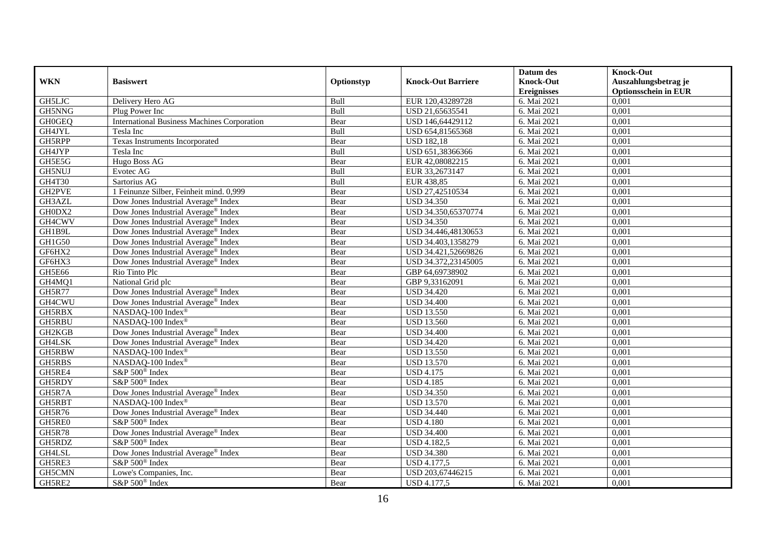|               |                                                    |             |                           | Datum des          | <b>Knock-Out</b>            |
|---------------|----------------------------------------------------|-------------|---------------------------|--------------------|-----------------------------|
| <b>WKN</b>    | <b>Basiswert</b>                                   | Optionstyp  | <b>Knock-Out Barriere</b> | <b>Knock-Out</b>   | Auszahlungsbetrag je        |
|               |                                                    |             |                           | <b>Ereignisses</b> | <b>Optionsschein in EUR</b> |
| GH5LJC        | Delivery Hero AG                                   | Bull        | EUR 120,43289728          | 6. Mai 2021        | 0,001                       |
| GH5NNG        | Plug Power Inc                                     | Bull        | USD 21,65635541           | 6. Mai 2021        | 0,001                       |
| <b>GH0GEQ</b> | <b>International Business Machines Corporation</b> | Bear        | USD 146,64429112          | 6. Mai 2021        | 0,001                       |
| GH4JYL        | Tesla Inc                                          | <b>Bull</b> | USD 654,81565368          | 6. Mai 2021        | 0,001                       |
| GH5RPP        | Texas Instruments Incorporated                     | Bear        | <b>USD 182,18</b>         | 6. Mai 2021        | 0,001                       |
| GH4JYP        | Tesla Inc                                          | Bull        | USD 651,38366366          | 6. Mai 2021        | 0,001                       |
| GH5E5G        | <b>Hugo Boss AG</b>                                | Bear        | EUR 42,08082215           | 6. Mai 2021        | 0,001                       |
| GH5NUJ        | Evotec AG                                          | Bull        | EUR 33,2673147            | 6. Mai 2021        | 0,001                       |
| GH4T30        | Sartorius AG                                       | Bull        | EUR 438,85                | 6. Mai 2021        | 0,001                       |
| GH2PVE        | 1 Feinunze Silber, Feinheit mind. 0,999            | Bear        | USD 27,42510534           | 6. Mai 2021        | 0,001                       |
| GH3AZL        | Dow Jones Industrial Average <sup>®</sup> Index    | Bear        | <b>USD 34.350</b>         | 6. Mai 2021        | 0,001                       |
| GH0DX2        | Dow Jones Industrial Average® Index                | Bear        | USD 34.350,65370774       | 6. Mai 2021        | 0,001                       |
| GH4CWV        | Dow Jones Industrial Average <sup>®</sup> Index    | Bear        | <b>USD 34.350</b>         | 6. Mai 2021        | 0,001                       |
| GH1B9L        | Dow Jones Industrial Average® Index                | Bear        | USD 34.446,48130653       | 6. Mai 2021        | 0,001                       |
| GH1G50        | Dow Jones Industrial Average® Index                | Bear        | USD 34.403,1358279        | 6. Mai 2021        | 0,001                       |
| GF6HX2        | Dow Jones Industrial Average® Index                | Bear        | USD 34.421,52669826       | 6. Mai 2021        | 0,001                       |
| GF6HX3        | Dow Jones Industrial Average <sup>®</sup> Index    | Bear        | USD 34.372,23145005       | 6. Mai 2021        | 0,001                       |
| <b>GH5E66</b> | Rio Tinto Plc                                      | Bear        | GBP 64,69738902           | 6. Mai 2021        | 0,001                       |
| GH4MQ1        | National Grid plc                                  | Bear        | GBP 9,33162091            | 6. Mai 2021        | 0,001                       |
| <b>GH5R77</b> | Dow Jones Industrial Average® Index                | Bear        | <b>USD 34.420</b>         | 6. Mai 2021        | 0,001                       |
| GH4CWU        | Dow Jones Industrial Average® Index                | Bear        | <b>USD 34.400</b>         | 6. Mai 2021        | 0,001                       |
| GH5RBX        | NASDAQ-100 Index®                                  | Bear        | <b>USD 13.550</b>         | 6. Mai 2021        | 0,001                       |
| <b>GH5RBU</b> | NASDAQ-100 Index®                                  | Bear        | <b>USD 13.560</b>         | 6. Mai 2021        | 0,001                       |
| GH2KGB        | Dow Jones Industrial Average® Index                | Bear        | <b>USD 34.400</b>         | 6. Mai 2021        | 0,001                       |
| GH4LSK        | Dow Jones Industrial Average <sup>®</sup> Index    | Bear        | <b>USD 34.420</b>         | 6. Mai 2021        | 0,001                       |
| GH5RBW        | NASDAQ-100 Index®                                  | Bear        | <b>USD 13.550</b>         | 6. Mai 2021        | 0,001                       |
| GH5RBS        | NASDAQ-100 Index®                                  | Bear        | <b>USD 13.570</b>         | 6. Mai 2021        | 0,001                       |
| GH5RE4        | S&P 500 <sup>®</sup> Index                         | Bear        | <b>USD 4.175</b>          | 6. Mai 2021        | 0,001                       |
| GH5RDY        | S&P 500 <sup>®</sup> Index                         | Bear        | <b>USD 4.185</b>          | 6. Mai 2021        | 0,001                       |
| GH5R7A        | Dow Jones Industrial Average <sup>®</sup> Index    | Bear        | <b>USD 34.350</b>         | 6. Mai 2021        | 0,001                       |
| GH5RBT        | NASDAQ-100 Index®                                  | Bear        | <b>USD 13.570</b>         | 6. Mai 2021        | 0,001                       |
| GH5R76        | Dow Jones Industrial Average <sup>®</sup> Index    | Bear        | <b>USD 34.440</b>         | 6. Mai 2021        | 0,001                       |
| GH5RE0        | S&P 500 <sup>®</sup> Index                         | Bear        | <b>USD 4.180</b>          | 6. Mai 2021        | 0,001                       |
| <b>GH5R78</b> | Dow Jones Industrial Average <sup>®</sup> Index    | Bear        | <b>USD 34.400</b>         | 6. Mai 2021        | 0,001                       |
| GH5RDZ        | S&P 500 <sup>®</sup> Index                         | Bear        | <b>USD 4.182,5</b>        | 6. Mai 2021        | 0,001                       |
| GH4LSL        | Dow Jones Industrial Average® Index                | Bear        | <b>USD 34.380</b>         | 6. Mai 2021        | 0,001                       |
| GH5RE3        | S&P 500 <sup>®</sup> Index                         | Bear        | <b>USD 4.177,5</b>        | 6. Mai 2021        | 0,001                       |
| GH5CMN        | Lowe's Companies, Inc.                             | Bear        | USD 203,67446215          | 6. Mai 2021        | 0,001                       |
| GH5RE2        | S&P 500 <sup>®</sup> Index                         | Bear        | <b>USD 4.177,5</b>        | 6. Mai 2021        | 0,001                       |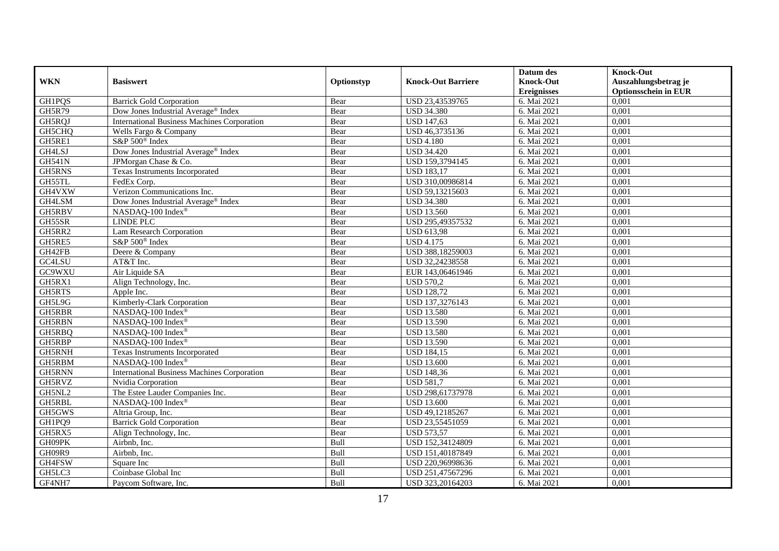|               |                                                    |            |                           | Datum des          | <b>Knock-Out</b>            |
|---------------|----------------------------------------------------|------------|---------------------------|--------------------|-----------------------------|
| <b>WKN</b>    | <b>Basiswert</b>                                   | Optionstyp | <b>Knock-Out Barriere</b> | <b>Knock-Out</b>   | Auszahlungsbetrag je        |
|               |                                                    |            |                           | <b>Ereignisses</b> | <b>Optionsschein in EUR</b> |
| GH1PQS        | <b>Barrick Gold Corporation</b>                    | Bear       | USD 23,43539765           | 6. Mai 2021        | 0,001                       |
| <b>GH5R79</b> | Dow Jones Industrial Average® Index                | Bear       | <b>USD 34.380</b>         | 6. Mai 2021        | 0,001                       |
| GH5RQJ        | <b>International Business Machines Corporation</b> | Bear       | <b>USD 147,63</b>         | 6. Mai 2021        | 0,001                       |
| GH5CHQ        | Wells Fargo & Company                              | Bear       | USD 46,3735136            | 6. Mai 2021        | 0,001                       |
| GH5RE1        | S&P 500 <sup>®</sup> Index                         | Bear       | <b>USD 4.180</b>          | 6. Mai 2021        | 0,001                       |
| GH4LSJ        | Dow Jones Industrial Average® Index                | Bear       | <b>USD 34.420</b>         | 6. Mai 2021        | 0,001                       |
| <b>GH541N</b> | JPMorgan Chase & Co.                               | Bear       | USD 159,3794145           | 6. Mai 2021        | 0,001                       |
| <b>GH5RNS</b> | Texas Instruments Incorporated                     | Bear       | <b>USD 183,17</b>         | 6. Mai 2021        | 0,001                       |
| GH55TL        | FedEx Corp.                                        | Bear       | USD 310,00986814          | 6. Mai 2021        | 0,001                       |
| GH4VXW        | Verizon Communications Inc.                        | Bear       | USD 59,13215603           | 6. Mai 2021        | 0,001                       |
| GH4LSM        | Dow Jones Industrial Average® Index                | Bear       | <b>USD 34.380</b>         | 6. Mai 2021        | 0,001                       |
| GH5RBV        | NASDAQ-100 Index <sup>®</sup>                      | Bear       | <b>USD 13.560</b>         | 6. Mai 2021        | 0,001                       |
| GH55SR        | <b>LINDE PLC</b>                                   | Bear       | USD 295,49357532          | 6. Mai 2021        | 0,001                       |
| GH5RR2        | Lam Research Corporation                           | Bear       | <b>USD 613,98</b>         | 6. Mai 2021        | 0,001                       |
| GH5RE5        | $S\&P 500^{\circ}$ Index                           | Bear       | <b>USD 4.175</b>          | 6. Mai 2021        | 0,001                       |
| GH42FB        | Deere & Company                                    | Bear       | USD 388,18259003          | 6. Mai 2021        | 0,001                       |
| GC4LSU        | AT&T Inc.                                          | Bear       | USD 32,24238558           | 6. Mai 2021        | 0,001                       |
| GC9WXU        | Air Liquide SA                                     | Bear       | EUR 143,06461946          | 6. Mai 2021        | 0,001                       |
| GH5RX1        | Align Technology, Inc.                             | Bear       | <b>USD 570,2</b>          | 6. Mai 2021        | 0,001                       |
| GH5RTS        | Apple Inc.                                         | Bear       | <b>USD 128,72</b>         | 6. Mai 2021        | 0,001                       |
| GH5L9G        | Kimberly-Clark Corporation                         | Bear       | USD 137,3276143           | 6. Mai 2021        | 0,001                       |
| GH5RBR        | NASDAQ-100 Index®                                  | Bear       | <b>USD 13.580</b>         | 6. Mai 2021        | 0,001                       |
| <b>GH5RBN</b> | NASDAQ-100 Index®                                  | Bear       | <b>USD 13.590</b>         | 6. Mai 2021        | 0,001                       |
| GH5RBQ        | NASDAQ-100 Index®                                  | Bear       | <b>USD 13.580</b>         | 6. Mai 2021        | 0,001                       |
| GH5RBP        | NASDAQ-100 Index®                                  | Bear       | <b>USD 13.590</b>         | 6. Mai 2021        | 0,001                       |
| GH5RNH        | Texas Instruments Incorporated                     | Bear       | <b>USD 184,15</b>         | 6. Mai 2021        | 0,001                       |
| GH5RBM        | NASDAQ-100 Index®                                  | Bear       | <b>USD 13.600</b>         | 6. Mai 2021        | 0,001                       |
| GH5RNN        | <b>International Business Machines Corporation</b> | Bear       | <b>USD 148,36</b>         | 6. Mai 2021        | 0,001                       |
| GH5RVZ        | Nvidia Corporation                                 | Bear       | <b>USD 581,7</b>          | 6. Mai 2021        | 0,001                       |
| GH5NL2        | The Estee Lauder Companies Inc.                    | Bear       | USD 298,61737978          | 6. Mai 2021        | 0,001                       |
| GH5RBL        | NASDAQ-100 Index®                                  | Bear       | <b>USD 13.600</b>         | 6. Mai 2021        | 0,001                       |
| GH5GWS        | Altria Group, Inc.                                 | Bear       | USD 49,12185267           | 6. Mai 2021        | 0,001                       |
| GH1PQ9        | <b>Barrick Gold Corporation</b>                    | Bear       | USD 23,55451059           | 6. Mai 2021        | 0,001                       |
| GH5RX5        | Align Technology, Inc.                             | Bear       | <b>USD 573,57</b>         | 6. Mai 2021        | 0,001                       |
| GH09PK        | Airbnb, Inc.                                       | Bull       | USD 152,34124809          | 6. Mai 2021        | 0,001                       |
| GH09R9        | Airbnb, Inc.                                       | Bull       | USD 151,40187849          | 6. Mai 2021        | 0,001                       |
| GH4FSW        | Square Inc                                         | Bull       | USD 220,96998636          | 6. Mai 2021        | 0,001                       |
| GH5LC3        | Coinbase Global Inc                                | Bull       | USD 251,47567296          | 6. Mai 2021        | 0,001                       |
| GF4NH7        | Paycom Software, Inc.                              | Bull       | USD 323,20164203          | 6. Mai 2021        | 0,001                       |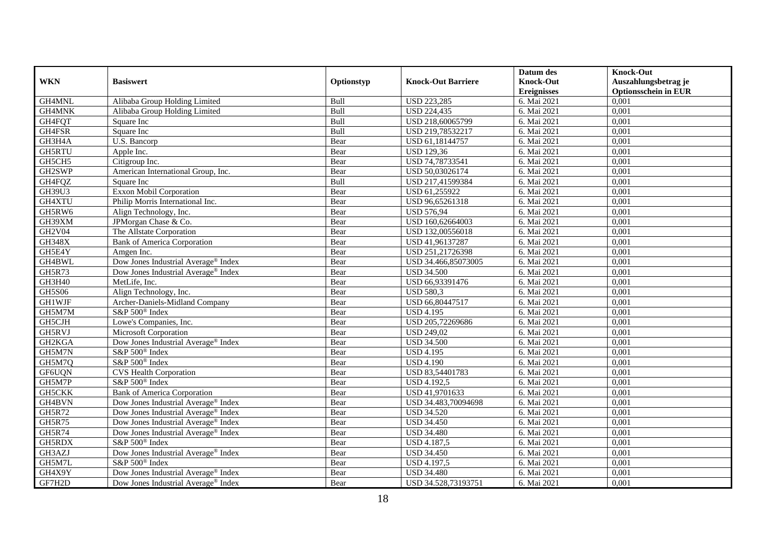|               |                                                 |            |                           | Datum des          | <b>Knock-Out</b>            |
|---------------|-------------------------------------------------|------------|---------------------------|--------------------|-----------------------------|
| <b>WKN</b>    | <b>Basiswert</b>                                | Optionstyp | <b>Knock-Out Barriere</b> | <b>Knock-Out</b>   | Auszahlungsbetrag je        |
|               |                                                 |            |                           | <b>Ereignisses</b> | <b>Optionsschein in EUR</b> |
| GH4MNL        | Alibaba Group Holding Limited                   | Bull       | <b>USD 223,285</b>        | 6. Mai 2021        | 0,001                       |
| GH4MNK        | Alibaba Group Holding Limited                   | Bull       | <b>USD 224,435</b>        | 6. Mai 2021        | 0,001                       |
| GH4FQT        | Square Inc                                      | Bull       | USD 218,60065799          | 6. Mai 2021        | 0,001                       |
| GH4FSR        | Square Inc                                      | Bull       | USD 219,78532217          | 6. Mai 2021        | 0,001                       |
| GH3H4A        | U.S. Bancorp                                    | Bear       | USD 61,18144757           | 6. Mai 2021        | 0,001                       |
| <b>GH5RTU</b> | Apple Inc.                                      | Bear       | <b>USD 129,36</b>         | 6. Mai 2021        | 0,001                       |
| GH5CH5        | Citigroup Inc.                                  | Bear       | USD 74,78733541           | 6. Mai 2021        | 0,001                       |
| GH2SWP        | American International Group, Inc.              | Bear       | USD 50,03026174           | 6. Mai 2021        | 0,001                       |
| GH4FQZ        | Square Inc                                      | Bull       | USD 217,41599384          | 6. Mai 2021        | 0,001                       |
| GH39U3        | Exxon Mobil Corporation                         | Bear       | USD 61,255922             | 6. Mai 2021        | 0,001                       |
| GH4XTU        | Philip Morris International Inc.                | Bear       | USD 96,65261318           | 6. Mai 2021        | 0,001                       |
| GH5RW6        | Align Technology, Inc.                          | Bear       | <b>USD 576,94</b>         | 6. Mai 2021        | 0,001                       |
| GH39XM        | JPMorgan Chase & Co.                            | Bear       | USD 160,62664003          | 6. Mai 2021        | 0,001                       |
| <b>GH2V04</b> | The Allstate Corporation                        | Bear       | USD 132,00556018          | 6. Mai 2021        | 0,001                       |
| <b>GH348X</b> | <b>Bank of America Corporation</b>              | Bear       | USD 41,96137287           | 6. Mai 2021        | 0,001                       |
| GH5E4Y        | Amgen Inc.                                      | Bear       | USD 251,21726398          | 6. Mai 2021        | 0,001                       |
| GH4BWL        | Dow Jones Industrial Average® Index             | Bear       | USD 34.466,85073005       | 6. Mai 2021        | 0,001                       |
| <b>GH5R73</b> | Dow Jones Industrial Average <sup>®</sup> Index | Bear       | <b>USD 34.500</b>         | 6. Mai 2021        | 0,001                       |
| GH3H40        | MetLife, Inc.                                   | Bear       | USD 66,93391476           | 6. Mai 2021        | 0,001                       |
| <b>GH5S06</b> | Align Technology, Inc.                          | Bear       | <b>USD 580,3</b>          | 6. Mai 2021        | 0,001                       |
| GH1WJF        | Archer-Daniels-Midland Company                  | Bear       | USD 66,80447517           | 6. Mai 2021        | 0,001                       |
| GH5M7M        | S&P 500 <sup>®</sup> Index                      | Bear       | <b>USD 4.195</b>          | 6. Mai 2021        | 0,001                       |
| GH5CJH        | Lowe's Companies, Inc.                          | Bear       | USD 205,72269686          | 6. Mai 2021        | 0,001                       |
| GH5RVJ        | Microsoft Corporation                           | Bear       | <b>USD 249,02</b>         | 6. Mai 2021        | 0,001                       |
| GH2KGA        | Dow Jones Industrial Average <sup>®</sup> Index | Bear       | <b>USD 34.500</b>         | 6. Mai 2021        | 0,001                       |
| GH5M7N        | S&P 500 <sup>®</sup> Index                      | Bear       | <b>USD 4.195</b>          | 6. Mai 2021        | 0,001                       |
| GH5M7Q        | S&P 500 <sup>®</sup> Index                      | Bear       | <b>USD 4.190</b>          | 6. Mai 2021        | 0,001                       |
| GF6UQN        | <b>CVS Health Corporation</b>                   | Bear       | USD 83,54401783           | 6. Mai 2021        | 0,001                       |
| GH5M7P        | $S\&P 500^{\circ}$ Index                        | Bear       | <b>USD 4.192,5</b>        | 6. Mai 2021        | 0,001                       |
| GH5CKK        | <b>Bank of America Corporation</b>              | Bear       | USD 41,9701633            | 6. Mai 2021        | 0,001                       |
| GH4BVN        | Dow Jones Industrial Average <sup>®</sup> Index | Bear       | USD 34.483,70094698       | 6. Mai 2021        | 0,001                       |
| GH5R72        | Dow Jones Industrial Average <sup>®</sup> Index | Bear       | <b>USD 34.520</b>         | 6. Mai 2021        | 0,001                       |
| GH5R75        | Dow Jones Industrial Average® Index             | Bear       | <b>USD 34.450</b>         | 6. Mai 2021        | 0,001                       |
| <b>GH5R74</b> | Dow Jones Industrial Average® Index             | Bear       | <b>USD 34.480</b>         | 6. Mai 2021        | 0,001                       |
| GH5RDX        | S&P 500 <sup>®</sup> Index                      | Bear       | <b>USD 4.187,5</b>        | 6. Mai 2021        | 0,001                       |
| GH3AZJ        | Dow Jones Industrial Average® Index             | Bear       | <b>USD 34.450</b>         | 6. Mai 2021        | 0,001                       |
| GH5M7L        | S&P 500 <sup>®</sup> Index                      | Bear       | <b>USD 4.197,5</b>        | 6. Mai 2021        | 0,001                       |
| GH4X9Y        | Dow Jones Industrial Average <sup>®</sup> Index | Bear       | <b>USD 34.480</b>         | 6. Mai 2021        | 0,001                       |
| GF7H2D        | Dow Jones Industrial Average® Index             | Bear       | USD 34.528,73193751       | 6. Mai 2021        | 0,001                       |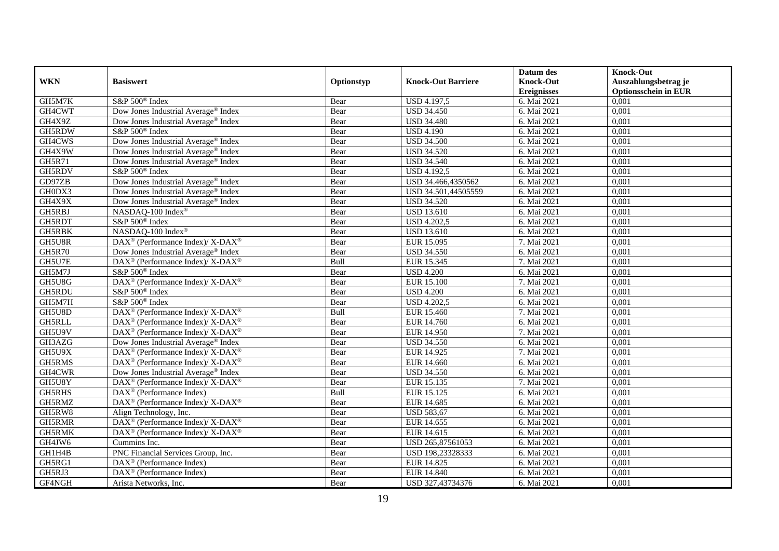|               |                                                                   |            |                           | Datum des          | <b>Knock-Out</b>            |
|---------------|-------------------------------------------------------------------|------------|---------------------------|--------------------|-----------------------------|
| <b>WKN</b>    | <b>Basiswert</b>                                                  | Optionstyp | <b>Knock-Out Barriere</b> | <b>Knock-Out</b>   | Auszahlungsbetrag je        |
|               |                                                                   |            |                           | <b>Ereignisses</b> | <b>Optionsschein in EUR</b> |
| GH5M7K        | S&P 500 <sup>®</sup> Index                                        | Bear       | <b>USD 4.197,5</b>        | 6. Mai 2021        | 0,001                       |
| GH4CWT        | Dow Jones Industrial Average® Index                               | Bear       | <b>USD 34.450</b>         | 6. Mai 2021        | 0,001                       |
| GH4X9Z        | Dow Jones Industrial Average® Index                               | Bear       | <b>USD 34.480</b>         | 6. Mai 2021        | 0,001                       |
| GH5RDW        | S&P 500 <sup>®</sup> Index                                        | Bear       | <b>USD 4.190</b>          | 6. Mai 2021        | 0,001                       |
| GH4CWS        | Dow Jones Industrial Average <sup>®</sup> Index                   | Bear       | <b>USD 34.500</b>         | 6. Mai 2021        | 0,001                       |
| GH4X9W        | Dow Jones Industrial Average® Index                               | Bear       | <b>USD 34.520</b>         | 6. Mai 2021        | 0,001                       |
| GH5R71        | Dow Jones Industrial Average <sup>®</sup> Index                   | Bear       | <b>USD 34.540</b>         | 6. Mai 2021        | 0,001                       |
| GH5RDV        | S&P 500 <sup>®</sup> Index                                        | Bear       | <b>USD 4.192,5</b>        | 6. Mai 2021        | 0,001                       |
| GD97ZB        | Dow Jones Industrial Average® Index                               | Bear       | USD 34.466,4350562        | 6. Mai 2021        | 0,001                       |
| GH0DX3        | Dow Jones Industrial Average® Index                               | Bear       | USD 34.501,44505559       | 6. Mai 2021        | 0,001                       |
| GH4X9X        | Dow Jones Industrial Average® Index                               | Bear       | <b>USD 34.520</b>         | 6. Mai 2021        | 0.001                       |
| GH5RBJ        | NASDAQ-100 Index®                                                 | Bear       | <b>USD 13.610</b>         | 6. Mai 2021        | 0,001                       |
| GH5RDT        | S&P 500 <sup>®</sup> Index                                        | Bear       | <b>USD 4.202,5</b>        | 6. Mai 2021        | 0,001                       |
| <b>GH5RBK</b> | NASDAQ-100 Index®                                                 | Bear       | <b>USD 13.610</b>         | 6. Mai 2021        | 0,001                       |
| GH5U8R        | DAX <sup>®</sup> (Performance Index)/ X-DAX <sup>®</sup>          | Bear       | EUR 15.095                | 7. Mai 2021        | 0,001                       |
| <b>GH5R70</b> | Dow Jones Industrial Average® Index                               | Bear       | <b>USD 34.550</b>         | 6. Mai 2021        | 0,001                       |
| GH5U7E        | DAX <sup>®</sup> (Performance Index)/ X-DAX <sup>®</sup>          | Bull       | EUR 15.345                | 7. Mai 2021        | 0,001                       |
| GH5M7J        | S&P 500 <sup>®</sup> Index                                        | Bear       | <b>USD 4.200</b>          | 6. Mai 2021        | 0,001                       |
| GH5U8G        | DAX <sup>®</sup> (Performance Index)/X-DAX <sup>®</sup>           | Bear       | <b>EUR 15.100</b>         | 7. Mai 2021        | 0,001                       |
| GH5RDU        | S&P 500 <sup>®</sup> Index                                        | Bear       | <b>USD 4.200</b>          | 6. Mai 2021        | 0,001                       |
| GH5M7H        | S&P 500 <sup>®</sup> Index                                        | Bear       | <b>USD 4.202,5</b>        | 6. Mai 2021        | 0,001                       |
| GH5U8D        | DAX <sup>®</sup> (Performance Index)/ X-DAX <sup>®</sup>          | Bull       | EUR 15.460                | 7. Mai 2021        | 0,001                       |
| <b>GH5RLL</b> | DAX <sup>®</sup> (Performance Index)/ X-DAX <sup>®</sup>          | Bear       | EUR 14.760                | 6. Mai 2021        | 0,001                       |
| GH5U9V        | DAX <sup>®</sup> (Performance Index)/ X-DAX <sup>®</sup>          | Bear       | <b>EUR 14.950</b>         | 7. Mai 2021        | 0.001                       |
| GH3AZG        | Dow Jones Industrial Average® Index                               | Bear       | <b>USD 34.550</b>         | 6. Mai 2021        | 0,001                       |
| GH5U9X        | $DAX^{\circledast}$ (Performance Index)/ X-DAX <sup>®</sup>       | Bear       | EUR 14.925                | 7. Mai 2021        | 0.001                       |
| GH5RMS        | DAX <sup>®</sup> (Performance Index)/ X-DAX <sup>®</sup>          | Bear       | <b>EUR 14.660</b>         | 6. Mai 2021        | 0,001                       |
| GH4CWR        | Dow Jones Industrial Average® Index                               | Bear       | <b>USD 34.550</b>         | 6. Mai 2021        | 0,001                       |
| GH5U8Y        | $\text{DAX}^{\circledast}$ (Performance Index)/X-DAX <sup>®</sup> | Bear       | EUR 15.135                | 7. Mai 2021        | 0,001                       |
| GH5RHS        | DAX <sup>®</sup> (Performance Index)                              | Bull       | EUR 15.125                | 6. Mai 2021        | 0.001                       |
| GH5RMZ        | DAX <sup>®</sup> (Performance Index)/X-DAX <sup>®</sup>           | Bear       | EUR 14.685                | 6. Mai 2021        | 0,001                       |
| GH5RW8        | Align Technology, Inc.                                            | Bear       | <b>USD 583,67</b>         | 6. Mai 2021        | 0,001                       |
| GH5RMR        | DAX <sup>®</sup> (Performance Index)/ X-DAX <sup>®</sup>          | Bear       | EUR 14.655                | 6. Mai 2021        | 0.001                       |
| GH5RMK        | DAX <sup>®</sup> (Performance Index)/ X-DAX <sup>®</sup>          | Bear       | EUR 14.615                | 6. Mai 2021        | 0,001                       |
| GH4JW6        | Cummins Inc.                                                      | Bear       | USD 265,87561053          | 6. Mai 2021        | 0,001                       |
| GH1H4B        | PNC Financial Services Group, Inc.                                | Bear       | USD 198,23328333          | 6. Mai 2021        | 0,001                       |
| GH5RG1        | DAX <sup>®</sup> (Performance Index)                              | Bear       | EUR 14.825                | 6. Mai 2021        | 0,001                       |
| GH5RJ3        | DAX <sup>®</sup> (Performance Index)                              | Bear       | EUR 14.840                | 6. Mai 2021        | 0,001                       |
| GF4NGH        | Arista Networks, Inc.                                             | Bear       | USD 327,43734376          | 6. Mai 2021        | 0,001                       |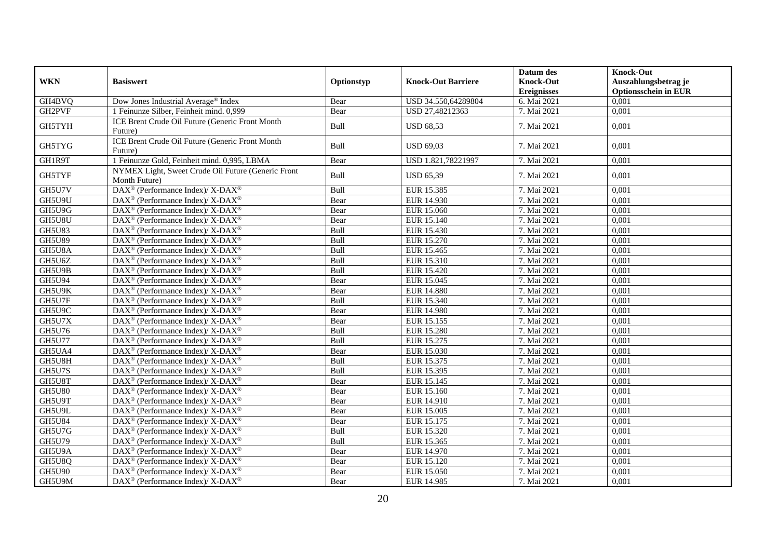|               |                                                                     |            |                           | Datum des          | <b>Knock-Out</b>            |
|---------------|---------------------------------------------------------------------|------------|---------------------------|--------------------|-----------------------------|
| <b>WKN</b>    | <b>Basiswert</b>                                                    | Optionstyp | <b>Knock-Out Barriere</b> | <b>Knock-Out</b>   | Auszahlungsbetrag je        |
|               |                                                                     |            |                           | <b>Ereignisses</b> | <b>Optionsschein in EUR</b> |
| GH4BVQ        | Dow Jones Industrial Average® Index                                 | Bear       | USD 34.550,64289804       | 6. Mai 2021        | 0.001                       |
| GH2PVF        | 1 Feinunze Silber, Feinheit mind. 0,999                             | Bear       | USD 27,48212363           | 7. Mai 2021        | 0,001                       |
| GH5TYH        | ICE Brent Crude Oil Future (Generic Front Month                     | Bull       | <b>USD 68,53</b>          | 7. Mai 2021        | 0,001                       |
|               | Future)<br>ICE Brent Crude Oil Future (Generic Front Month          |            |                           |                    |                             |
| GH5TYG        | Future)                                                             | Bull       | <b>USD 69,03</b>          | 7. Mai 2021        | 0,001                       |
| GH1R9T        | 1 Feinunze Gold, Feinheit mind. 0,995, LBMA                         | Bear       | USD 1.821,78221997        | 7. Mai 2021        | 0.001                       |
| GH5TYF        | NYMEX Light, Sweet Crude Oil Future (Generic Front<br>Month Future) | Bull       | <b>USD 65,39</b>          | 7. Mai 2021        | 0,001                       |
| GH5U7V        | DAX <sup>®</sup> (Performance Index)/ X-DAX <sup>®</sup>            | Bull       | EUR 15.385                | 7. Mai 2021        | 0,001                       |
| GH5U9U        | DAX <sup>®</sup> (Performance Index)/ X-DAX <sup>®</sup>            | Bear       | EUR 14.930                | 7. Mai 2021        | 0.001                       |
| GH5U9G        | DAX <sup>®</sup> (Performance Index)/ X-DAX <sup>®</sup>            | Bear       | EUR 15.060                | 7. Mai 2021        | 0,001                       |
| GH5U8U        | DAX <sup>®</sup> (Performance Index)/X-DAX <sup>®</sup>             | Bear       | EUR 15.140                | 7. Mai 2021        | 0,001                       |
| <b>GH5U83</b> | $DAX^{\circledast}$ (Performance Index)/ X-DAX <sup>®</sup>         | Bull       | EUR 15.430                | 7. Mai 2021        | 0,001                       |
| <b>GH5U89</b> | DAX <sup>®</sup> (Performance Index)/ X-DAX <sup>®</sup>            | Bull       | EUR 15.270                | 7. Mai 2021        | 0,001                       |
| GH5U8A        | DAX <sup>®</sup> (Performance Index)/ X-DAX <sup>®</sup>            | Bull       | EUR 15.465                | 7. Mai 2021        | 0,001                       |
| GH5U6Z        | DAX <sup>®</sup> (Performance Index)/ X-DAX <sup>®</sup>            | Bull       | EUR 15.310                | 7. Mai 2021        | 0,001                       |
| GH5U9B        | DAX <sup>®</sup> (Performance Index)/X-DAX <sup>®</sup>             | Bull       | EUR 15.420                | 7. Mai 2021        | 0,001                       |
| <b>GH5U94</b> | DAX <sup>®</sup> (Performance Index)/X-DAX <sup>®</sup>             | Bear       | EUR 15.045                | 7. Mai 2021        | 0,001                       |
| GH5U9K        | DAX <sup>®</sup> (Performance Index)/ X-DAX <sup>®</sup>            | Bear       | <b>EUR 14.880</b>         | 7. Mai 2021        | 0,001                       |
| GH5U7F        | $DAX^{\circledast}$ (Performance Index)/ X-DAX <sup>®</sup>         | Bull       | EUR 15.340                | 7. Mai 2021        | 0,001                       |
| GH5U9C        | DAX <sup>®</sup> (Performance Index)/ X-DAX <sup>®</sup>            | Bear       | EUR 14.980                | 7. Mai 2021        | 0,001                       |
| GH5U7X        | $DAX^{\circledast}$ (Performance Index)/ X-DAX <sup>®</sup>         | Bear       | EUR 15.155                | 7. Mai 2021        | 0,001                       |
| GH5U76        | $\text{DAX}^{\circledR}$ (Performance Index)/ X-DAX <sup>®</sup>    | Bull       | <b>EUR 15.280</b>         | 7. Mai 2021        | 0,001                       |
| <b>GH5U77</b> | DAX <sup>®</sup> (Performance Index)/ X-DAX <sup>®</sup>            | Bull       | EUR 15.275                | 7. Mai 2021        | 0,001                       |
| GH5UA4        | DAX <sup>®</sup> (Performance Index)/ X-DAX <sup>®</sup>            | Bear       | EUR 15.030                | 7. Mai 2021        | 0,001                       |
| GH5U8H        | DAX <sup>®</sup> (Performance Index)/ X-DAX <sup>®</sup>            | Bull       | EUR 15.375                | 7. Mai 2021        | 0,001                       |
| GH5U7S        | $DAX^{\circledast}$ (Performance Index)/ X-DAX <sup>®</sup>         | Bull       | EUR 15.395                | 7. Mai 2021        | 0,001                       |
| GH5U8T        | $\text{DAX}^{\circledR}$ (Performance Index)/ X-DAX <sup>®</sup>    | Bear       | EUR 15.145                | 7. Mai 2021        | 0,001                       |
| <b>GH5U80</b> | $\text{DAX}^{\circledast}$ (Performance Index)/X-DAX <sup>®</sup>   | Bear       | EUR 15.160                | 7. Mai 2021        | 0,001                       |
| GH5U9T        | $DAX^{\circledast}$ (Performance Index)/ X-DAX <sup>®</sup>         | Bear       | EUR 14.910                | 7. Mai 2021        | 0,001                       |
| GH5U9L        | DAX <sup>®</sup> (Performance Index)/ X-DAX <sup>®</sup>            | Bear       | EUR 15.005                | 7. Mai 2021        | 0,001                       |
| <b>GH5U84</b> | DAX <sup>®</sup> (Performance Index)/ X-DAX <sup>®</sup>            | Bear       | EUR 15.175                | 7. Mai 2021        | 0,001                       |
| GH5U7G        | DAX <sup>®</sup> (Performance Index)/ X-DAX <sup>®</sup>            | Bull       | EUR 15.320                | 7. Mai 2021        | 0,001                       |
| <b>GH5U79</b> | DAX <sup>®</sup> (Performance Index)/ X-DAX <sup>®</sup>            | Bull       | EUR 15.365                | 7. Mai 2021        | 0,001                       |
| GH5U9A        | $\text{DAX}^{\circledR}$ (Performance Index)/ X-DAX <sup>®</sup>    | Bear       | EUR 14.970                | 7. Mai 2021        | 0,001                       |
| GH5U8Q        | DAX <sup>®</sup> (Performance Index)/ X-DAX <sup>®</sup>            | Bear       | EUR 15.120                | 7. Mai 2021        | 0,001                       |
| GH5U90        | $\text{DAX}^{\circledR}$ (Performance Index)/ X-DAX <sup>®</sup>    | Bear       | <b>EUR 15.050</b>         | 7. Mai 2021        | 0,001                       |
| GH5U9M        | DAX <sup>®</sup> (Performance Index)/ X-DAX <sup>®</sup>            | Bear       | EUR 14.985                | 7. Mai 2021        | 0.001                       |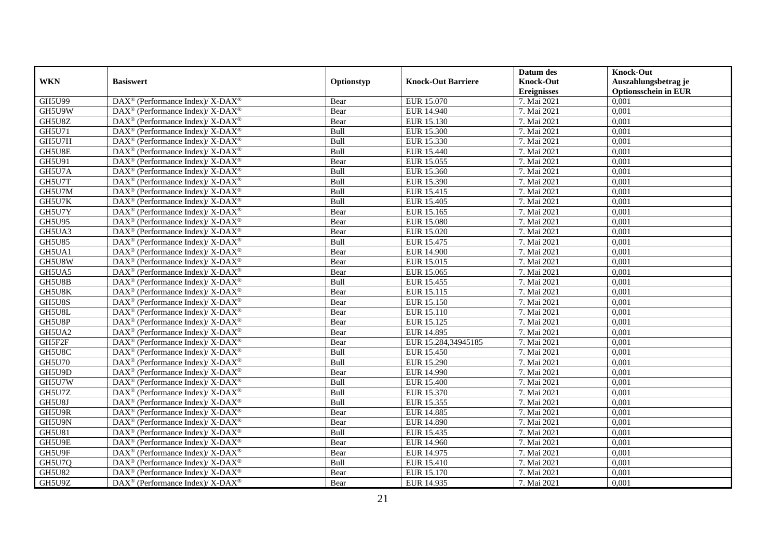|               |                                                                    |            |                           | Datum des          | <b>Knock-Out</b>            |
|---------------|--------------------------------------------------------------------|------------|---------------------------|--------------------|-----------------------------|
| <b>WKN</b>    | <b>Basiswert</b>                                                   | Optionstyp | <b>Knock-Out Barriere</b> | <b>Knock-Out</b>   | Auszahlungsbetrag je        |
|               |                                                                    |            |                           | <b>Ereignisses</b> | <b>Optionsschein in EUR</b> |
| <b>GH5U99</b> | DAX <sup>®</sup> (Performance Index)/ X-DAX <sup>®</sup>           | Bear       | EUR 15.070                | 7. Mai 2021        | 0,001                       |
| GH5U9W        | $\text{DAX}^{\circledast}$ (Performance Index)/ X-DAX <sup>®</sup> | Bear       | EUR 14.940                | 7. Mai 2021        | 0,001                       |
| GH5U8Z        | DAX <sup>®</sup> (Performance Index)/ X-DAX <sup>®</sup>           | Bear       | EUR 15.130                | 7. Mai 2021        | 0,001                       |
| GH5U71        | $\text{DAX}^{\circledast}$ (Performance Index)/ X-DAX <sup>®</sup> | Bull       | <b>EUR 15.300</b>         | 7. Mai 2021        | 0,001                       |
| GH5U7H        | DAX <sup>®</sup> (Performance Index)/ X-DAX <sup>®</sup>           | Bull       | EUR 15.330                | 7. Mai 2021        | 0,001                       |
| GH5U8E        | $DAX^{\circledast}$ (Performance Index)/ X-DAX <sup>®</sup>        | Bull       | EUR 15.440                | 7. Mai 2021        | 0,001                       |
| GH5U91        | DAX <sup>®</sup> (Performance Index)/ X-DAX <sup>®</sup>           | Bear       | EUR 15.055                | 7. Mai 2021        | 0,001                       |
| GH5U7A        | $DAX^{\circledast}$ (Performance Index)/ X-DAX <sup>®</sup>        | Bull       | EUR 15.360                | 7. Mai 2021        | 0,001                       |
| GH5U7T        | DAX <sup>®</sup> (Performance Index)/ X-DAX <sup>®</sup>           | Bull       | EUR 15.390                | 7. Mai 2021        | 0,001                       |
| GH5U7M        | DAX <sup>®</sup> (Performance Index)/X-DAX <sup>®</sup>            | Bull       | EUR 15.415                | 7. Mai 2021        | 0,001                       |
| GH5U7K        | DAX <sup>®</sup> (Performance Index)/ X-DAX <sup>®</sup>           | Bull       | EUR 15.405                | 7. Mai 2021        | 0,001                       |
| GH5U7Y        | $DAX^{\circledast}$ (Performance Index)/ X-DAX <sup>®</sup>        | Bear       | EUR 15.165                | 7. Mai 2021        | 0,001                       |
| <b>GH5U95</b> | DAX <sup>®</sup> (Performance Index)/ X-DAX <sup>®</sup>           | Bear       | <b>EUR 15.080</b>         | 7. Mai 2021        | 0,001                       |
| GH5UA3        | DAX <sup>®</sup> (Performance Index)/ X-DAX <sup>®</sup>           | Bear       | EUR 15.020                | 7. Mai 2021        | 0,001                       |
| <b>GH5U85</b> | DAX <sup>®</sup> (Performance Index)/ X-DAX <sup>®</sup>           | Bull       | EUR 15.475                | 7. Mai 2021        | 0,001                       |
| GH5UA1        | DAX <sup>®</sup> (Performance Index)/X-DAX <sup>®</sup>            | Bear       | <b>EUR 14.900</b>         | 7. Mai 2021        | 0,001                       |
| GH5U8W        | $DAX^{\circledast}$ (Performance Index)/ X-DAX <sup>®</sup>        | Bear       | EUR 15.015                | 7. Mai 2021        | 0,001                       |
| GH5UA5        | $\text{DAX}^{\circledast}$ (Performance Index)/ X-DAX <sup>®</sup> | Bear       | EUR 15.065                | 7. Mai 2021        | 0,001                       |
| GH5U8B        | $DAX^{\circledast}$ (Performance Index)/ X-DAX <sup>®</sup>        | Bull       | EUR 15.455                | 7. Mai 2021        | 0,001                       |
| GH5U8K        | DAX <sup>®</sup> (Performance Index)/ X-DAX <sup>®</sup>           | Bear       | EUR 15.115                | 7. Mai 2021        | 0,001                       |
| GH5U8S        | DAX <sup>®</sup> (Performance Index)/X-DAX <sup>®</sup>            | Bear       | EUR 15.150                | 7. Mai 2021        | 0,001                       |
| GH5U8L        | DAX <sup>®</sup> (Performance Index)/ X-DAX <sup>®</sup>           | Bear       | EUR 15.110                | 7. Mai 2021        | 0,001                       |
| GH5U8P        | $DAX^{\circledast}$ (Performance Index)/ X-DAX <sup>®</sup>        | Bear       | EUR 15.125                | 7. Mai 2021        | 0,001                       |
| GH5UA2        | $DAX^{\circledast}$ (Performance Index)/ X-DAX <sup>®</sup>        | Bear       | EUR 14.895                | 7. Mai 2021        | 0,001                       |
| GH5F2F        | DAX <sup>®</sup> (Performance Index)/ X-DAX <sup>®</sup>           | Bear       | EUR 15.284,34945185       | 7. Mai 2021        | 0,001                       |
| GH5U8C        | $DAX^{\circledast}$ (Performance Index)/ X-DAX <sup>®</sup>        | Bull       | <b>EUR 15.450</b>         | 7. Mai 2021        | 0,001                       |
| <b>GH5U70</b> | $\text{DAX}^{\circledast}$ (Performance Index)/ X-DAX <sup>®</sup> | Bull       | <b>EUR 15.290</b>         | 7. Mai 2021        | 0,001                       |
| GH5U9D        | DAX <sup>®</sup> (Performance Index)/ X-DAX <sup>®</sup>           | Bear       | <b>EUR 14.990</b>         | 7. Mai 2021        | 0,001                       |
| GH5U7W        | $\text{DAX}^{\circledR}$ (Performance Index)/ X-DAX <sup>®</sup>   | Bull       | <b>EUR 15.400</b>         | 7. Mai 2021        | 0,001                       |
| GH5U7Z        | DAX <sup>®</sup> (Performance Index)/ X-DAX <sup>®</sup>           | Bull       | EUR 15.370                | 7. Mai 2021        | 0,001                       |
| GH5U8J        | $\text{DAX}^{\circledast}$ (Performance Index)/ X-DAX <sup>®</sup> | Bull       | EUR 15.355                | 7. Mai 2021        | 0,001                       |
| GH5U9R        | DAX <sup>®</sup> (Performance Index)/X-DAX <sup>®</sup>            | Bear       | <b>EUR 14.885</b>         | 7. Mai 2021        | 0,001                       |
| GH5U9N        | $DAX^{\circledast}$ (Performance Index)/ X-DAX <sup>®</sup>        | Bear       | EUR 14.890                | 7. Mai 2021        | 0,001                       |
| <b>GH5U81</b> | DAX <sup>®</sup> (Performance Index)/ X-DAX <sup>®</sup>           | Bull       | EUR 15.435                | 7. Mai 2021        | 0,001                       |
| GH5U9E        | $DAX^{\circledast}$ (Performance Index)/ X-DAX <sup>®</sup>        | Bear       | <b>EUR 14.960</b>         | 7. Mai 2021        | 0,001                       |
| GH5U9F        | DAX <sup>®</sup> (Performance Index)/ X-DAX <sup>®</sup>           | Bear       | EUR 14.975                | 7. Mai 2021        | 0,001                       |
| GH5U7Q        | $DAX^{\circledast}$ (Performance Index)/ X-DAX <sup>®</sup>        | Bull       | <b>EUR 15.410</b>         | 7. Mai 2021        | 0,001                       |
| <b>GH5U82</b> | $DAX^{\circledast}$ (Performance Index)/ X-DAX <sup>®</sup>        | Bear       | EUR 15.170                | 7. Mai 2021        | 0,001                       |
| GH5U9Z        | DAX <sup>®</sup> (Performance Index)/ X-DAX <sup>®</sup>           | Bear       | EUR 14.935                | 7. Mai 2021        | 0,001                       |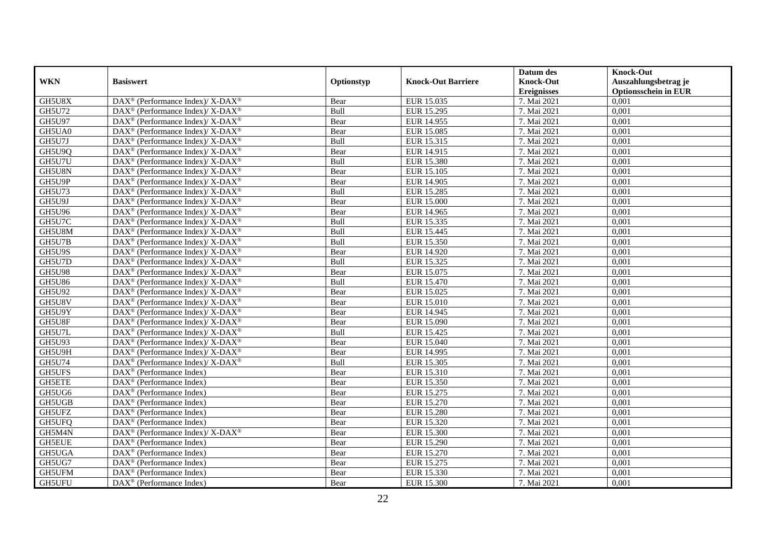|               |                                                                          |            |                           | Datum des          | <b>Knock-Out</b>            |
|---------------|--------------------------------------------------------------------------|------------|---------------------------|--------------------|-----------------------------|
| <b>WKN</b>    | <b>Basiswert</b>                                                         | Optionstyp | <b>Knock-Out Barriere</b> | <b>Knock-Out</b>   | Auszahlungsbetrag je        |
|               |                                                                          |            |                           | <b>Ereignisses</b> | <b>Optionsschein in EUR</b> |
| GH5U8X        | DAX <sup>®</sup> (Performance Index)/ X-DAX <sup>®</sup>                 | Bear       | EUR 15.035                | 7. Mai 2021        | 0,001                       |
| <b>GH5U72</b> | $\text{DAX}^{\circledR}$ (Performance Index)/ X-DAX <sup>®</sup>         | Bull       | EUR 15.295                | 7. Mai 2021        | 0,001                       |
| GH5U97        | DAX <sup>®</sup> (Performance Index)/ X-DAX <sup>®</sup>                 | Bear       | EUR 14.955                | 7. Mai 2021        | 0,001                       |
| GH5UA0        | $\text{DAX}^{\circledast}$ (Performance Index)/ X-DAX <sup>®</sup>       | Bear       | <b>EUR 15.085</b>         | 7. Mai 2021        | 0,001                       |
| GH5U7J        | DAX <sup>®</sup> (Performance Index)/ X-DAX <sup>®</sup>                 | Bull       | EUR 15.315                | 7. Mai 2021        | 0,001                       |
| GH5U9Q        | $DAX^{\circledast}$ (Performance Index)/ X-DAX <sup>®</sup>              | Bear       | EUR 14.915                | 7. Mai 2021        | 0,001                       |
| GH5U7U        | $DAX^{\circledast}$ (Performance Index)/ X-DAX <sup>®</sup>              | Bull       | EUR 15.380                | 7. Mai 2021        | 0,001                       |
| GH5U8N        | DAX <sup>®</sup> (Performance Index)/X-DAX <sup>®</sup>                  | Bear       | <b>EUR 15.105</b>         | 7. Mai 2021        | 0,001                       |
| GH5U9P        | $\text{DAX}^{\circledast}$ (Performance Index)/ X-DAX <sup>®</sup>       | Bear       | EUR 14.905                | 7. Mai 2021        | 0,001                       |
| <b>GH5U73</b> | DAX <sup>®</sup> (Performance Index)/X-DAX <sup>®</sup>                  | Bull       | <b>EUR 15.285</b>         | 7. Mai 2021        | 0,001                       |
| GH5U9J        | DAX <sup>®</sup> (Performance Index)/X-DAX <sup>®</sup>                  | Bear       | <b>EUR 15.000</b>         | 7. Mai 2021        | 0,001                       |
| GH5U96        | DAX <sup>®</sup> (Performance Index)/ X-DAX <sup>®</sup>                 | Bear       | EUR 14.965                | 7. Mai 2021        | 0,001                       |
| GH5U7C        | $\text{DAX}^{\circledast}$ (Performance Index)/ X-DAX <sup>®</sup>       | Bull       | EUR 15.335                | 7. Mai 2021        | 0,001                       |
| GH5U8M        | DAX <sup>®</sup> (Performance Index)/ X-DAX <sup>®</sup>                 | Bull       | EUR 15.445                | 7. Mai 2021        | 0,001                       |
| GH5U7B        | $DAX^{\circledcirc}$ (Performance Index)/X-DAX <sup>®</sup>              | Bull       | EUR 15.350                | 7. Mai 2021        | 0,001                       |
| GH5U9S        | $\overline{\text{DAX}^{\otimes}}$ (Performance Index)/X-DAX <sup>®</sup> | Bear       | EUR 14.920                | 7. Mai 2021        | 0,001                       |
| GH5U7D        | DAX <sup>®</sup> (Performance Index)/X-DAX <sup>®</sup>                  | Bull       | EUR 15.325                | 7. Mai 2021        | 0,001                       |
| <b>GH5U98</b> | $\text{DAX}^{\circledR}$ (Performance Index)/ X-DAX <sup>®</sup>         | Bear       | EUR 15.075                | 7. Mai 2021        | 0,001                       |
| <b>GH5U86</b> | $\text{DAX}^{\circledast}$ (Performance Index)/ X-DAX <sup>®</sup>       | Bull       | <b>EUR 15.470</b>         | 7. Mai 2021        | 0,001                       |
| GH5U92        | DAX <sup>®</sup> (Performance Index)/ X-DAX <sup>®</sup>                 | Bear       | EUR 15.025                | 7. Mai 2021        | 0,001                       |
| GH5U8V        | DAX <sup>®</sup> (Performance Index)/ X-DAX <sup>®</sup>                 | Bear       | <b>EUR 15.010</b>         | 7. Mai 2021        | 0,001                       |
| GH5U9Y        | $DAX^{\circledast}$ (Performance Index)/ X-DAX <sup>®</sup>              | Bear       | EUR 14.945                | 7. Mai 2021        | 0,001                       |
| GH5U8F        | DAX <sup>®</sup> (Performance Index)/ X-DAX <sup>®</sup>                 | Bear       | EUR 15.090                | 7. Mai 2021        | 0,001                       |
| GH5U7L        | $DAX^{\circledast}$ (Performance Index)/ X-DAX <sup>®</sup>              | Bull       | EUR 15.425                | 7. Mai 2021        | 0,001                       |
| GH5U93        | DAX <sup>®</sup> (Performance Index)/ X-DAX <sup>®</sup>                 | Bear       | <b>EUR 15.040</b>         | 7. Mai 2021        | 0,001                       |
| GH5U9H        | $DAX^{\circledast}$ (Performance Index)/ X-DAX <sup>®</sup>              | Bear       | EUR 14.995                | 7. Mai 2021        | 0,001                       |
| <b>GH5U74</b> | DAX <sup>®</sup> (Performance Index)/ X-DAX <sup>®</sup>                 | Bull       | EUR 15.305                | 7. Mai 2021        | 0,001                       |
| <b>GH5UFS</b> | $DAX^{\circledR}$ (Performance Index)                                    | Bear       | <b>EUR 15.310</b>         | 7. Mai 2021        | 0,001                       |
| GH5ETE        | $DAX^{\circledast}$ (Performance Index)                                  | Bear       | EUR 15.350                | 7. Mai 2021        | 0,001                       |
| GH5UG6        | DAX <sup>®</sup> (Performance Index)                                     | Bear       | EUR 15.275                | 7. Mai 2021        | 0,001                       |
| GH5UGB        | DAX <sup>®</sup> (Performance Index)                                     | Bear       | EUR 15.270                | 7. Mai 2021        | 0,001                       |
| GH5UFZ        | DAX <sup>®</sup> (Performance Index)                                     | Bear       | <b>EUR 15.280</b>         | 7. Mai 2021        | 0,001                       |
| GH5UFQ        | $DAX^{\circledR}$ (Performance Index)                                    | Bear       | EUR 15.320                | 7. Mai 2021        | 0,001                       |
| GH5M4N        | DAX <sup>®</sup> (Performance Index)/ X-DAX <sup>®</sup>                 | Bear       | <b>EUR 15.300</b>         | 7. Mai 2021        | 0,001                       |
| <b>GH5EUE</b> | DAX <sup>®</sup> (Performance Index)                                     | Bear       | <b>EUR 15.290</b>         | 7. Mai 2021        | 0,001                       |
| GH5UGA        | DAX <sup>®</sup> (Performance Index)                                     | Bear       | EUR 15.270                | 7. Mai 2021        | 0,001                       |
| GH5UG7        | DAX <sup>®</sup> (Performance Index)                                     | Bear       | EUR 15.275                | 7. Mai 2021        | 0,001                       |
| GH5UFM        | DAX <sup>®</sup> (Performance Index)                                     | Bear       | EUR 15.330                | 7. Mai 2021        | 0,001                       |
| GH5UFU        | $DAX^{\circledR}$ (Performance Index)                                    | Bear       | <b>EUR 15.300</b>         | 7. Mai 2021        | 0,001                       |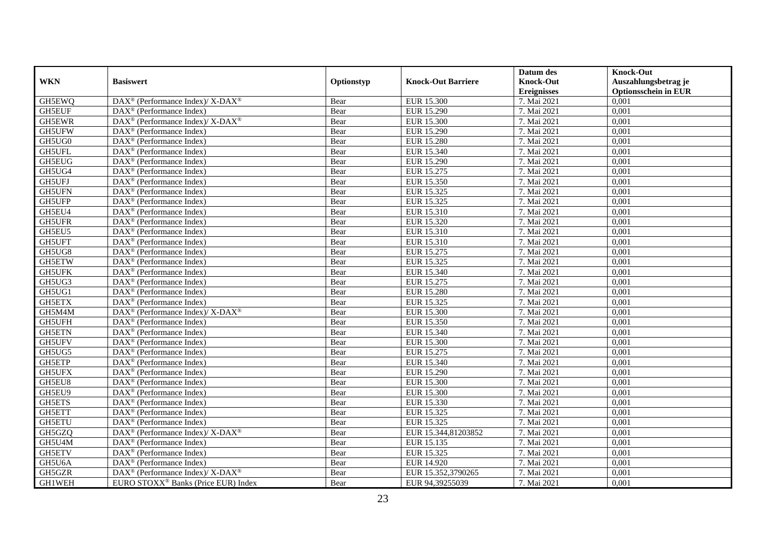|               |                                                                  |            |                           | Datum des          | <b>Knock-Out</b>            |
|---------------|------------------------------------------------------------------|------------|---------------------------|--------------------|-----------------------------|
| <b>WKN</b>    | <b>Basiswert</b>                                                 | Optionstyp | <b>Knock-Out Barriere</b> | <b>Knock-Out</b>   | Auszahlungsbetrag je        |
|               |                                                                  |            |                           | <b>Ereignisses</b> | <b>Optionsschein in EUR</b> |
| GH5EWQ        | $\text{DAX}^{\circledR}$ (Performance Index)/ X-DAX <sup>®</sup> | Bear       | <b>EUR 15.300</b>         | 7. Mai 2021        | 0,001                       |
| <b>GH5EUF</b> | $DAX^{\circledR}$ (Performance Index)                            | Bear       | EUR 15.290                | 7. Mai 2021        | 0,001                       |
| GH5EWR        | $DAX^{\circledast}$ (Performance Index)/X-DAX <sup>®</sup>       | Bear       | <b>EUR 15.300</b>         | 7. Mai 2021        | 0,001                       |
| GH5UFW        | $\text{DAX}^{\circledast}$ (Performance Index)                   | Bear       | <b>EUR 15.290</b>         | 7. Mai 2021        | 0,001                       |
| GH5UG0        | $\text{DAX}^{\circledast}$ (Performance Index)                   | Bear       | <b>EUR 15.280</b>         | 7. Mai 2021        | 0,001                       |
| GH5UFL        | $\text{DAX}^{\textcircled{n}}$ (Performance Index)               | Bear       | EUR 15.340                | 7. Mai 2021        | 0,001                       |
| GH5EUG        | $\text{DAX}^{\textcircled{n}}$ (Performance Index)               | Bear       | EUR 15.290                | 7. Mai 2021        | 0,001                       |
| GH5UG4        | DAX <sup>®</sup> (Performance Index)                             | Bear       | EUR 15.275                | 7. Mai 2021        | 0,001                       |
| GH5UFJ        | $\overline{\text{DAX}^{\otimes}}$ (Performance Index)            | Bear       | EUR 15.350                | 7. Mai 2021        | 0,001                       |
| GH5UFN        | DAX <sup>®</sup> (Performance Index)                             | Bear       | EUR 15.325                | 7. Mai 2021        | 0,001                       |
| GH5UFP        | $DAX^{\circledR}$ (Performance Index)                            | Bear       | EUR 15.325                | 7. Mai 2021        | 0,001                       |
| GH5EU4        | DAX <sup>®</sup> (Performance Index)                             | Bear       | EUR 15.310                | 7. Mai 2021        | 0,001                       |
| <b>GH5UFR</b> | DAX <sup>®</sup> (Performance Index)                             | Bear       | EUR 15.320                | 7. Mai 2021        | 0,001                       |
| GH5EU5        | DAX <sup>®</sup> (Performance Index)                             | Bear       | EUR 15.310                | 7. Mai 2021        | 0,001                       |
| <b>GH5UFT</b> | $\text{DAX}^{\textcircled{}}$ (Performance Index)                | Bear       | EUR 15.310                | 7. Mai 2021        | 0,001                       |
| GH5UG8        | DAX <sup>®</sup> (Performance Index)                             | Bear       | EUR 15.275                | 7. Mai 2021        | 0,001                       |
| GH5ETW        | $\text{DAX}^{\textcircled{p}}$ (Performance Index)               | Bear       | EUR 15.325                | 7. Mai 2021        | 0,001                       |
| <b>GH5UFK</b> | $\text{DAX}^{\textcircled{n}}$ (Performance Index)               | Bear       | EUR 15.340                | 7. Mai 2021        | 0,001                       |
| GH5UG3        | $DAX^{\circledR}$ (Performance Index)                            | Bear       | EUR 15.275                | 7. Mai 2021        | 0,001                       |
| GH5UG1        | $DAX^{\circledR}$ (Performance Index)                            | Bear       | <b>EUR 15.280</b>         | 7. Mai 2021        | 0,001                       |
| GH5ETX        | DAX <sup>®</sup> (Performance Index)                             | Bear       | EUR 15.325                | 7. Mai 2021        | 0,001                       |
| GH5M4M        | DAX <sup>®</sup> (Performance Index)/ X-DAX <sup>®</sup>         | Bear       | <b>EUR 15.300</b>         | 7. Mai 2021        | 0,001                       |
| GH5UFH        | DAX <sup>®</sup> (Performance Index)                             | Bear       | EUR 15.350                | 7. Mai 2021        | 0,001                       |
| <b>GH5ETN</b> | DAX <sup>®</sup> (Performance Index)                             | Bear       | EUR 15.340                | 7. Mai 2021        | 0,001                       |
| GH5UFV        | DAX <sup>®</sup> (Performance Index)                             | Bear       | <b>EUR 15.300</b>         | 7. Mai 2021        | 0,001                       |
| GH5UG5        | $\overline{\text{DAX}}^{\textcircled{}}$ (Performance Index)     | Bear       | EUR 15.275                | 7. Mai 2021        | 0,001                       |
| <b>GH5ETP</b> | DAX <sup>®</sup> (Performance Index)                             | Bear       | EUR 15.340                | 7. Mai 2021        | 0,001                       |
| <b>GH5UFX</b> | $\text{DAX}^{\textcircled{D}}$ (Performance Index)               | Bear       | EUR 15.290                | 7. Mai 2021        | 0,001                       |
| GH5EU8        | DAX <sup>®</sup> (Performance Index)                             | Bear       | EUR 15.300                | 7. Mai 2021        | 0,001                       |
| GH5EU9        | DAX <sup>®</sup> (Performance Index)                             | Bear       | <b>EUR 15.300</b>         | 7. Mai 2021        | 0,001                       |
| GH5ETS        | DAX <sup>®</sup> (Performance Index)                             | Bear       | EUR 15.330                | 7. Mai 2021        | 0,001                       |
| GH5ETT        | DAX <sup>®</sup> (Performance Index)                             | Bear       | EUR 15.325                | 7. Mai 2021        | 0,001                       |
| <b>GH5ETU</b> | DAX <sup>®</sup> (Performance Index)                             | Bear       | EUR 15.325                | 7. Mai 2021        | 0,001                       |
| GH5GZQ        | DAX <sup>®</sup> (Performance Index)/X-DAX <sup>®</sup>          | Bear       | EUR 15.344,81203852       | 7. Mai 2021        | 0,001                       |
| GH5U4M        | $\text{DAX}^{\circledast}$ (Performance Index)                   | Bear       | EUR 15.135                | 7. Mai 2021        | 0,001                       |
| GH5ETV        | DAX <sup>®</sup> (Performance Index)                             | Bear       | EUR 15.325                | 7. Mai 2021        | 0,001                       |
| GH5U6A        | $\text{DAX}^{\circledast}$ (Performance Index)                   | Bear       | EUR 14.920                | 7. Mai 2021        | 0,001                       |
| GH5GZR        | $\text{DAX}^{\circledR}$ (Performance Index)/ X-DAX <sup>®</sup> | Bear       | EUR 15.352,3790265        | 7. Mai 2021        | 0,001                       |
| GH1WEH        | EURO STOXX <sup>®</sup> Banks (Price EUR) Index                  | Bear       | EUR 94.39255039           | 7. Mai 2021        | 0,001                       |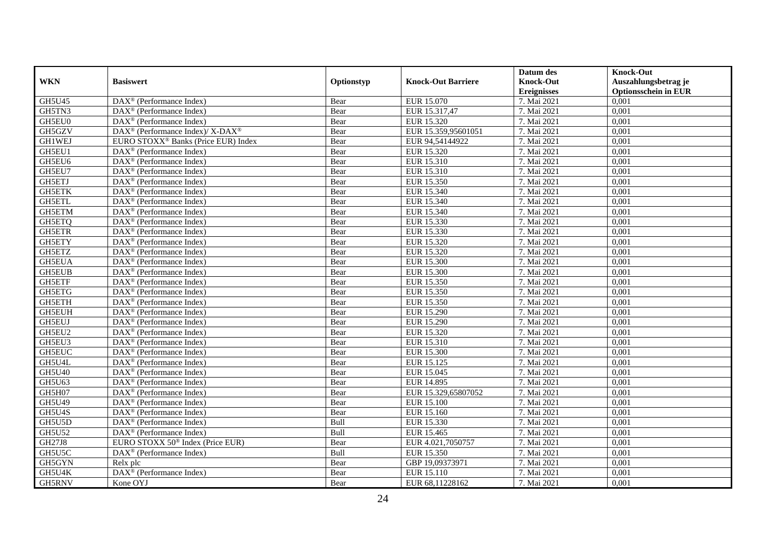|               |                                                                  |            |                           | Datum des          | <b>Knock-Out</b>            |
|---------------|------------------------------------------------------------------|------------|---------------------------|--------------------|-----------------------------|
| <b>WKN</b>    | <b>Basiswert</b>                                                 | Optionstyp | <b>Knock-Out Barriere</b> | <b>Knock-Out</b>   | Auszahlungsbetrag je        |
|               |                                                                  |            |                           | <b>Ereignisses</b> | <b>Optionsschein in EUR</b> |
| GH5U45        | DAX <sup>®</sup> (Performance Index)                             | Bear       | EUR 15.070                | 7. Mai 2021        | 0,001                       |
| GH5TN3        | $DAX^{\circledR}$ (Performance Index)                            | Bear       | EUR 15.317,47             | 7. Mai 2021        | 0,001                       |
| GH5EU0        | DAX <sup>®</sup> (Performance Index)                             | Bear       | EUR 15.320                | 7. Mai 2021        | 0,001                       |
| GH5GZV        | $\text{DAX}^{\circledR}$ (Performance Index)/ X-DAX <sup>®</sup> | Bear       | EUR 15.359,95601051       | 7. Mai 2021        | 0,001                       |
| GH1WEJ        | EURO STOXX <sup>®</sup> Banks (Price EUR) Index                  | Bear       | EUR 94,54144922           | 7. Mai 2021        | 0,001                       |
| GH5EU1        | $\text{DAX}^{\textcircled{n}}$ (Performance Index)               | Bear       | EUR 15.320                | 7. Mai 2021        | 0,001                       |
| GH5EU6        | DAX <sup>®</sup> (Performance Index)                             | Bear       | EUR 15.310                | 7. Mai 2021        | 0,001                       |
| GH5EU7        | DAX <sup>®</sup> (Performance Index)                             | Bear       | EUR 15.310                | 7. Mai 2021        | 0,001                       |
| GH5ETJ        | DAX <sup>®</sup> (Performance Index)                             | Bear       | EUR 15.350                | 7. Mai 2021        | 0,001                       |
| <b>GH5ETK</b> | $\text{DAX}^{\textcircled{p}}$ (Performance Index)               | Bear       | EUR 15.340                | 7. Mai 2021        | 0,001                       |
| <b>GH5ETL</b> | $\text{DAX}^{\textcircled{D}}$ (Performance Index)               | Bear       | EUR 15.340                | 7. Mai 2021        | 0,001                       |
| GH5ETM        | $\text{DAX}^{\textcircled{D}}$ (Performance Index)               | Bear       | EUR 15.340                | 7. Mai 2021        | 0,001                       |
| GH5ETQ        | DAX <sup>®</sup> (Performance Index)                             | Bear       | EUR 15.330                | 7. Mai 2021        | 0,001                       |
| <b>GH5ETR</b> | $\text{DAX}^{\textcircled{D}}$ (Performance Index)               | Bear       | EUR 15.330                | 7. Mai 2021        | 0,001                       |
| GH5ETY        | $\text{DAX}^{\circledast}$ (Performance Index)                   | Bear       | EUR 15.320                | 7. Mai 2021        | 0,001                       |
| GH5ETZ        | $\text{DAX}^{\circledast}$ (Performance Index)                   | Bear       | EUR 15.320                | 7. Mai 2021        | 0,001                       |
| <b>GH5EUA</b> | DAX <sup>®</sup> (Performance Index)                             | Bear       | <b>EUR 15.300</b>         | 7. Mai 2021        | 0,001                       |
| <b>GH5EUB</b> | $\overline{\text{DAX}^{\otimes}}$ (Performance Index)            | Bear       | <b>EUR 15.300</b>         | 7. Mai 2021        | 0,001                       |
| GH5ETF        | DAX <sup>®</sup> (Performance Index)                             | Bear       | EUR 15.350                | 7. Mai 2021        | 0,001                       |
| GH5ETG        | $\text{DAX}^{\textcircled{D}}$ (Performance Index)               | Bear       | EUR 15.350                | 7. Mai 2021        | 0,001                       |
| GH5ETH        | $\text{DAX}^{\textcircled{n}}$ (Performance Index)               | Bear       | EUR 15.350                | 7. Mai 2021        | 0,001                       |
| <b>GH5EUH</b> | DAX <sup>®</sup> (Performance Index)                             | Bear       | EUR 15.290                | 7. Mai 2021        | 0,001                       |
| <b>GH5EUJ</b> | $\text{DAX}^{\textcircled{}}$ (Performance Index)                | Bear       | EUR 15.290                | 7. Mai 2021        | 0,001                       |
| GH5EU2        | DAX <sup>®</sup> (Performance Index)                             | Bear       | EUR 15.320                | 7. Mai 2021        | 0,001                       |
| GH5EU3        | $\text{DAX}^{\textcircled{n}}$ (Performance Index)               | Bear       | EUR 15.310                | 7. Mai 2021        | 0,001                       |
| <b>GH5EUC</b> | DAX <sup>®</sup> (Performance Index)                             | Bear       | <b>EUR 15.300</b>         | 7. Mai 2021        | 0,001                       |
| GH5U4L        | DAX <sup>®</sup> (Performance Index)                             | Bear       | EUR 15.125                | 7. Mai 2021        | 0,001                       |
| GH5U40        | DAX <sup>®</sup> (Performance Index)                             | Bear       | EUR 15.045                | 7. Mai 2021        | 0,001                       |
| GH5U63        | $DAX^{\circledR}$ (Performance Index)                            | Bear       | EUR 14.895                | 7. Mai 2021        | 0,001                       |
| GH5H07        | DAX <sup>®</sup> (Performance Index)                             | Bear       | EUR 15.329,65807052       | 7. Mai 2021        | 0,001                       |
| GH5U49        | $\text{DAX}^{\textcircled{p}}$ (Performance Index)               | Bear       | <b>EUR 15.100</b>         | 7. Mai 2021        | 0,001                       |
| GH5U4S        | $\overline{\text{DAX}}^{\textcirc}$ (Performance Index)          | Bear       | EUR 15.160                | 7. Mai 2021        | 0,001                       |
| GH5U5D        | $\text{DAX}^{\textcircled{n}}$ (Performance Index)               | Bull       | EUR 15.330                | 7. Mai 2021        | 0,001                       |
| <b>GH5U52</b> | DAX <sup>®</sup> (Performance Index)                             | Bull       | EUR 15.465                | 7. Mai 2021        | 0,001                       |
| GH27J8        | EURO STOXX 50 <sup>®</sup> Index (Price EUR)                     | Bear       | EUR 4.021,7050757         | 7. Mai 2021        | 0,001                       |
| GH5U5C        | DAX <sup>®</sup> (Performance Index)                             | Bull       | EUR 15.350                | 7. Mai 2021        | 0,001                       |
| GH5GYN        | Relx plc                                                         | Bear       | GBP 19,09373971           | 7. Mai 2021        | 0,001                       |
| GH5U4K        | DAX <sup>®</sup> (Performance Index)                             | Bear       | EUR 15.110                | 7. Mai 2021        | 0,001                       |
| GH5RNV        | Kone OYJ                                                         | Bear       | EUR 68.11228162           | 7. Mai 2021        | 0,001                       |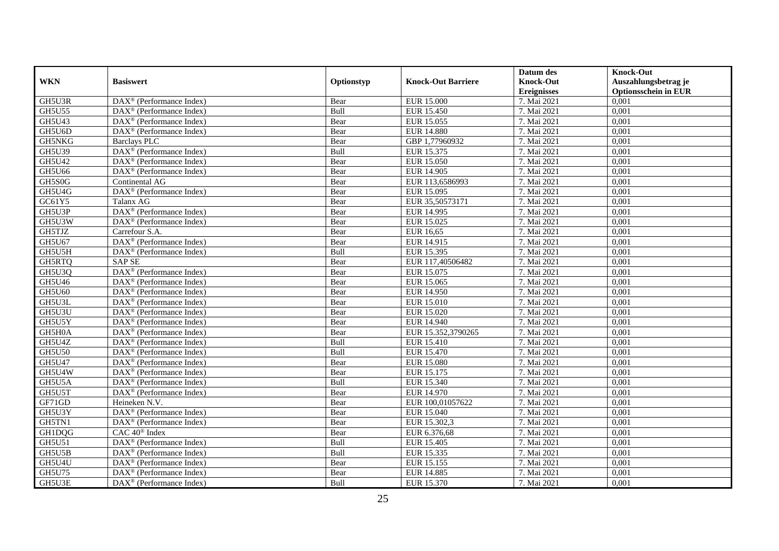|               |                                                           |            |                           | Datum des          | <b>Knock-Out</b>            |
|---------------|-----------------------------------------------------------|------------|---------------------------|--------------------|-----------------------------|
| <b>WKN</b>    | <b>Basiswert</b>                                          | Optionstyp | <b>Knock-Out Barriere</b> | <b>Knock-Out</b>   | Auszahlungsbetrag je        |
|               |                                                           |            |                           | <b>Ereignisses</b> | <b>Optionsschein in EUR</b> |
| GH5U3R        | DAX <sup>®</sup> (Performance Index)                      | Bear       | <b>EUR 15.000</b>         | 7. Mai 2021        | 0,001                       |
| GH5U55        | $DAX^{\circledR}$ (Performance Index)                     | Bull       | EUR 15.450                | 7. Mai 2021        | 0,001                       |
| GH5U43        | DAX <sup>®</sup> (Performance Index)                      | Bear       | EUR 15.055                | 7. Mai 2021        | 0,001                       |
| GH5U6D        | DAX <sup>®</sup> (Performance Index)                      | Bear       | <b>EUR 14.880</b>         | 7. Mai 2021        | 0,001                       |
| GH5NKG        | <b>Barclays PLC</b>                                       | Bear       | GBP 1,77960932            | 7. Mai 2021        | 0,001                       |
| <b>GH5U39</b> | DAX <sup>®</sup> (Performance Index)                      | Bull       | EUR 15.375                | 7. Mai 2021        | 0,001                       |
| GH5U42        | $\text{DAX}^{\textcircled{n}}$ (Performance Index)        | Bear       | EUR 15.050                | 7. Mai 2021        | 0,001                       |
| GH5U66        | DAX <sup>®</sup> (Performance Index)                      | Bear       | EUR 14.905                | 7. Mai 2021        | 0,001                       |
| GH5S0G        | Continental AG                                            | Bear       | EUR 113,6586993           | 7. Mai 2021        | 0,001                       |
| GH5U4G        | DAX <sup>®</sup> (Performance Index)                      | Bear       | EUR 15.095                | 7. Mai 2021        | 0,001                       |
| GC61Y5        | Talanx AG                                                 | Bear       | EUR 35,50573171           | 7. Mai 2021        | 0,001                       |
| GH5U3P        | DAX <sup>®</sup> (Performance Index)                      | Bear       | EUR 14.995                | 7. Mai 2021        | 0,001                       |
| GH5U3W        | $\overline{\text{DAX}}^{\textcirc}$ (Performance Index)   | Bear       | EUR 15.025                | 7. Mai 2021        | 0,001                       |
| GH5TJZ        | Carrefour S.A.                                            | Bear       | EUR 16,65                 | 7. Mai 2021        | 0,001                       |
| GH5U67        | DAX <sup>®</sup> (Performance Index)                      | Bear       | EUR 14.915                | 7. Mai 2021        | 0,001                       |
| GH5U5H        | DAX <sup>®</sup> (Performance Index)                      | Bull       | EUR 15.395                | 7. Mai 2021        | 0,001                       |
| GH5RTQ        | <b>SAP SE</b>                                             | Bear       | EUR 117,40506482          | 7. Mai 2021        | 0,001                       |
| GH5U3Q        | DAX <sup>®</sup> (Performance Index)                      | Bear       | EUR 15.075                | 7. Mai 2021        | 0,001                       |
| GH5U46        | $\text{DAX}^{\textcircled{p}}$ (Performance Index)        | Bear       | EUR 15.065                | 7. Mai 2021        | 0,001                       |
| GH5U60        | $DAX^{\circledR}$ (Performance Index)                     | Bear       | EUR 14.950                | 7. Mai 2021        | 0,001                       |
| GH5U3L        | DAX <sup>®</sup> (Performance Index)                      | Bear       | <b>EUR 15.010</b>         | 7. Mai 2021        | 0,001                       |
| GH5U3U        | DAX <sup>®</sup> (Performance Index)                      | Bear       | EUR 15.020                | 7. Mai 2021        | 0,001                       |
| GH5U5Y        | DAX <sup>®</sup> (Performance Index)                      | Bear       | EUR 14.940                | 7. Mai 2021        | 0,001                       |
| GH5H0A        | $DAX^{\circledR}$ (Performance Index)                     | Bear       | EUR 15.352,3790265        | 7. Mai 2021        | 0,001                       |
| GH5U4Z        | DAX <sup>®</sup> (Performance Index)                      | Bull       | EUR 15.410                | 7. Mai 2021        | 0,001                       |
| <b>GH5U50</b> | $\overline{\text{DAX}^{\otimes}}$ (Performance Index)     | Bull       | <b>EUR 15.470</b>         | 7. Mai 2021        | 0,001                       |
| GH5U47        | DAX <sup>®</sup> (Performance Index)                      | Bear       | <b>EUR 15.080</b>         | 7. Mai 2021        | 0,001                       |
| GH5U4W        | $\text{DAX}^{\textcircled{p}}$ (Performance Index)        | Bear       | EUR 15.175                | 7. Mai 2021        | 0,001                       |
| GH5U5A        | DAX <sup>®</sup> (Performance Index)                      | Bull       | EUR 15.340                | 7. Mai 2021        | 0,001                       |
| GH5U5T        | DAX <sup>®</sup> (Performance Index)                      | Bear       | EUR 14.970                | 7. Mai 2021        | 0,001                       |
| GF71GD        | Heineken N.V.                                             | Bear       | EUR 100,01057622          | 7. Mai 2021        | 0,001                       |
| GH5U3Y        | DAX <sup>®</sup> (Performance Index)                      | Bear       | EUR 15.040                | 7. Mai 2021        | 0,001                       |
| GH5TN1        | $\text{DAX}^{\textcircled{n}}$ (Performance Index)        | Bear       | EUR 15.302,3              | 7. Mai 2021        | 0,001                       |
| GH1DQG        | CAC 40 <sup>®</sup> Index                                 | Bear       | EUR 6.376,68              | 7. Mai 2021        | 0,001                       |
| GH5U51        | $\overline{\text{DAX}^{\circledast}}$ (Performance Index) | Bull       | EUR 15.405                | 7. Mai 2021        | 0,001                       |
| GH5U5B        | DAX <sup>®</sup> (Performance Index)                      | Bull       | EUR 15.335                | 7. Mai 2021        | 0,001                       |
| GH5U4U        | $\text{DAX}^{\textcircled{p}}$ (Performance Index)        | Bear       | EUR 15.155                | 7. Mai 2021        | 0,001                       |
| GH5U75        | DAX <sup>®</sup> (Performance Index)                      | Bear       | <b>EUR 14.885</b>         | 7. Mai 2021        | 0,001                       |
| GH5U3E        | $\text{DAX}^{\textcircled{p}}$ (Performance Index)        | Bull       | EUR 15.370                | 7. Mai 2021        | 0,001                       |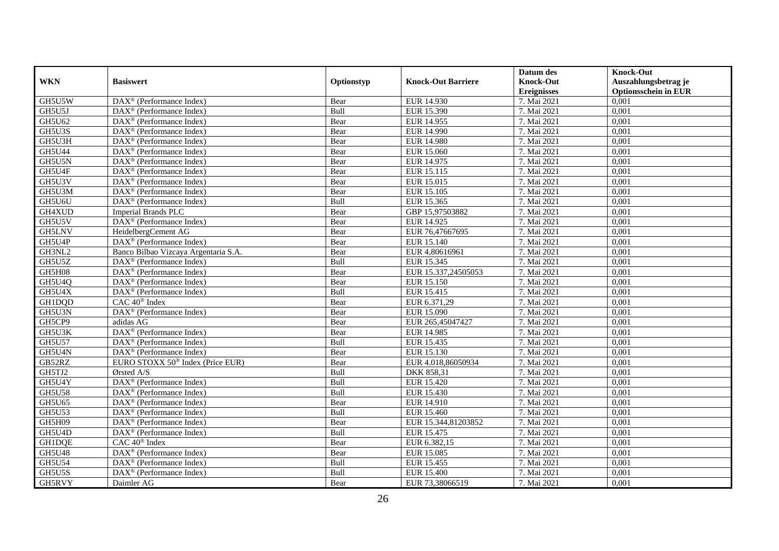|               |                                                         |            |                           | Datum des          | <b>Knock-Out</b>            |
|---------------|---------------------------------------------------------|------------|---------------------------|--------------------|-----------------------------|
| <b>WKN</b>    | <b>Basiswert</b>                                        | Optionstyp | <b>Knock-Out Barriere</b> | <b>Knock-Out</b>   | Auszahlungsbetrag je        |
|               |                                                         |            |                           | <b>Ereignisses</b> | <b>Optionsschein in EUR</b> |
| GH5U5W        | DAX <sup>®</sup> (Performance Index)                    | Bear       | EUR 14.930                | 7. Mai 2021        | 0,001                       |
| GH5U5J        | $DAX^{\circledR}$ (Performance Index)                   | Bull       | EUR 15.390                | 7. Mai 2021        | 0,001                       |
| GH5U62        | DAX <sup>®</sup> (Performance Index)                    | Bear       | EUR 14.955                | 7. Mai 2021        | 0,001                       |
| GH5U3S        | $\overline{\text{DAX}^{\otimes}}$ (Performance Index)   | Bear       | EUR 14.990                | 7. Mai 2021        | 0,001                       |
| GH5U3H        | $\text{DAX}^{\circledast}$ (Performance Index)          | Bear       | <b>EUR 14.980</b>         | 7. Mai 2021        | 0,001                       |
| <b>GH5U44</b> | $\text{DAX}^{\textcircled{p}}$ (Performance Index)      | Bear       | EUR 15.060                | 7. Mai 2021        | 0,001                       |
| GH5U5N        | $\text{DAX}^{\textcircled{n}}$ (Performance Index)      | Bear       | EUR 14.975                | 7. Mai 2021        | 0,001                       |
| GH5U4F        | DAX <sup>®</sup> (Performance Index)                    | Bear       | EUR 15.115                | 7. Mai 2021        | 0,001                       |
| GH5U3V        | $\overline{\text{DAX}^{\otimes}}$ (Performance Index)   | Bear       | EUR 15.015                | 7. Mai 2021        | 0,001                       |
| GH5U3M        | DAX <sup>®</sup> (Performance Index)                    | Bear       | <b>EUR 15.105</b>         | 7. Mai 2021        | 0,001                       |
| GH5U6U        | $\overline{\text{DAX}}^{\textcirc}$ (Performance Index) | Bull       | EUR 15.365                | 7. Mai 2021        | 0,001                       |
| GH4XUD        | Imperial Brands PLC                                     | Bear       | GBP 15,97503882           | 7. Mai 2021        | 0,001                       |
| GH5U5V        | $\text{DAX}^{\textcircled{n}}$ (Performance Index)      | Bear       | EUR 14.925                | 7. Mai 2021        | 0,001                       |
| <b>GH5LNV</b> | HeidelbergCement AG                                     | Bear       | EUR 76,47667695           | 7. Mai 2021        | 0,001                       |
| GH5U4P        | $DAX^{\otimes}$ (Performance Index)                     | Bear       | EUR 15.140                | 7. Mai 2021        | 0,001                       |
| GH3NL2        | Banco Bilbao Vizcaya Argentaria S.A.                    | Bear       | EUR 4,80616961            | 7. Mai 2021        | 0,001                       |
| GH5U5Z        | $\text{DAX}^{\textcircled{D}}$ (Performance Index)      | Bull       | EUR 15.345                | 7. Mai 2021        | 0,001                       |
| GH5H08        | DAX <sup>®</sup> (Performance Index)                    | Bear       | EUR 15.337,24505053       | 7. Mai 2021        | 0,001                       |
| GH5U4Q        | $\text{DAX}^{\textcircled{D}}$ (Performance Index)      | Bear       | EUR 15.150                | 7. Mai 2021        | 0,001                       |
| GH5U4X        | $DAX^{\circledR}$ (Performance Index)                   | Bull       | EUR 15.415                | 7. Mai 2021        | 0,001                       |
| GH1DQD        | CAC 40 <sup>®</sup> Index                               | Bear       | EUR 6.371,29              | 7. Mai 2021        | 0,001                       |
| GH5U3N        | DAX <sup>®</sup> (Performance Index)                    | Bear       | EUR 15.090                | 7. Mai 2021        | 0,001                       |
| GH5CP9        | adidas AG                                               | Bear       | EUR 265,45047427          | 7. Mai 2021        | 0,001                       |
| GH5U3K        | DAX <sup>®</sup> (Performance Index)                    | Bear       | EUR 14.985                | 7. Mai 2021        | 0,001                       |
| <b>GH5U57</b> | DAX <sup>®</sup> (Performance Index)                    | Bull       | EUR 15.435                | 7. Mai 2021        | 0,001                       |
| GH5U4N        | $\overline{\text{DAX}^{\otimes}}$ (Performance Index)   | Bear       | EUR 15.130                | 7. Mai 2021        | 0,001                       |
| GB52RZ        | EURO STOXX 50 <sup>®</sup> Index (Price EUR)            | Bear       | EUR 4.018,86050934        | 7. Mai 2021        | 0,001                       |
| GH5TJ2        | Ørsted A/S                                              | Bull       | DKK 858,31                | 7. Mai 2021        | 0,001                       |
| GH5U4Y        | $\text{DAX}^{\textcircled{n}}$ (Performance Index)      | Bull       | EUR 15.420                | 7. Mai 2021        | 0,001                       |
| <b>GH5U58</b> | $\text{DAX}^{\textcircled{D}}$ (Performance Index)      | Bull       | EUR 15.430                | 7. Mai 2021        | 0,001                       |
| GH5U65        | $DAX^{\circledR}$ (Performance Index)                   | Bear       | EUR 14.910                | 7. Mai 2021        | 0,001                       |
| GH5U53        | DAX <sup>®</sup> (Performance Index)                    | Bull       | EUR 15.460                | 7. Mai 2021        | 0,001                       |
| GH5H09        | $\text{DAX}^{\textcircled{n}}$ (Performance Index)      | Bear       | EUR 15.344,81203852       | 7. Mai 2021        | 0,001                       |
| GH5U4D        | DAX <sup>®</sup> (Performance Index)                    | Bull       | EUR 15.475                | 7. Mai 2021        | 0,001                       |
| GH1DQE        | CAC 40 <sup>®</sup> Index                               | Bear       | EUR 6.382,15              | 7. Mai 2021        | 0,001                       |
| GH5U48        | DAX <sup>®</sup> (Performance Index)                    | Bear       | EUR 15.085                | 7. Mai 2021        | 0,001                       |
| <b>GH5U54</b> | DAX <sup>®</sup> (Performance Index)                    | Bull       | EUR 15.455                | 7. Mai 2021        | 0,001                       |
| GH5U5S        | DAX <sup>®</sup> (Performance Index)                    | Bull       | <b>EUR 15.400</b>         | 7. Mai 2021        | 0,001                       |
| GH5RVY        | Daimler AG                                              | Bear       | EUR 73,38066519           | 7. Mai 2021        | 0,001                       |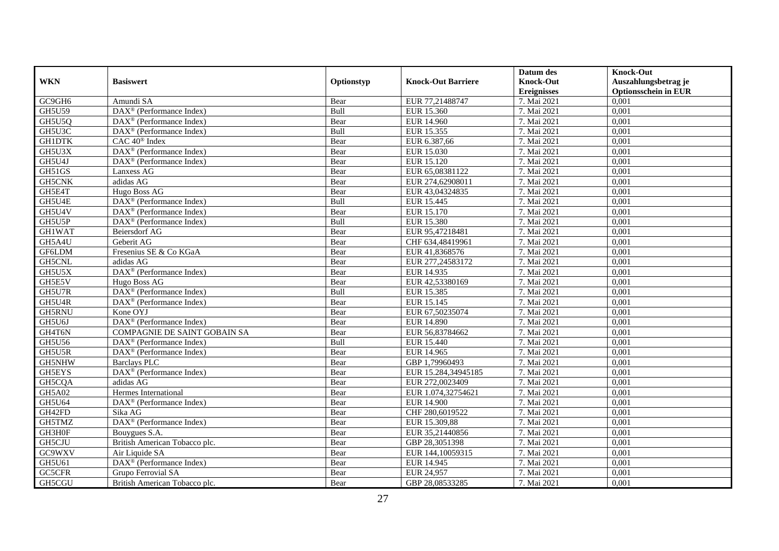|               |                                                             |             |                           | Datum des          | <b>Knock-Out</b>            |
|---------------|-------------------------------------------------------------|-------------|---------------------------|--------------------|-----------------------------|
| <b>WKN</b>    | <b>Basiswert</b>                                            | Optionstyp  | <b>Knock-Out Barriere</b> | <b>Knock-Out</b>   | Auszahlungsbetrag je        |
|               |                                                             |             |                           | <b>Ereignisses</b> | <b>Optionsschein in EUR</b> |
| GC9GH6        | Amundi SA                                                   | Bear        | EUR 77,21488747           | 7. Mai 2021        | 0,001                       |
| <b>GH5U59</b> | $\text{DAX}^{\circledast}$ (Performance Index)              | Bull        | EUR 15.360                | 7. Mai 2021        | 0,001                       |
| GH5U5Q        | DAX <sup>®</sup> (Performance Index)                        | Bear        | <b>EUR 14.960</b>         | 7. Mai 2021        | 0,001                       |
| GH5U3C        | $DAX^{\circledR}$ (Performance Index)                       | <b>Bull</b> | EUR 15.355                | 7. Mai 2021        | 0,001                       |
| <b>GH1DTK</b> | $CAC 40$ <sup>®</sup> Index                                 | Bear        | EUR 6.387,66              | 7. Mai 2021        | 0,001                       |
| GH5U3X        | DAX <sup>®</sup> (Performance Index)                        | Bear        | EUR 15.030                | 7. Mai 2021        | 0,001                       |
| GH5U4J        | $DAX^{\circledast}$ (Performance Index)                     | Bear        | EUR 15.120                | 7. Mai 2021        | 0,001                       |
| GH51GS        | Lanxess AG                                                  | Bear        | EUR 65,08381122           | 7. Mai 2021        | 0,001                       |
| GH5CNK        | adidas AG                                                   | Bear        | EUR 274,62908011          | 7. Mai 2021        | 0,001                       |
| GH5E4T        | Hugo Boss AG                                                | Bear        | EUR 43,04324835           | 7. Mai 2021        | 0,001                       |
| GH5U4E        | $\text{DAX}^{\circledast}$ (Performance Index)              | Bull        | EUR 15.445                | 7. Mai 2021        | 0,001                       |
| GH5U4V        | DAX <sup>®</sup> (Performance Index)                        | Bear        | EUR 15.170                | 7. Mai 2021        | 0,001                       |
| GH5U5P        | $DAX^{\circledR}$ (Performance Index)                       | Bull        | <b>EUR 15.380</b>         | 7. Mai 2021        | 0,001                       |
| <b>GH1WAT</b> | <b>Beiersdorf AG</b>                                        | Bear        | EUR 95,47218481           | 7. Mai 2021        | 0,001                       |
| GH5A4U        | Geberit AG                                                  | Bear        | CHF 634,48419961          | 7. Mai 2021        | 0,001                       |
| GF6LDM        | Fresenius SE & Co KGaA                                      | Bear        | EUR 41,8368576            | 7. Mai 2021        | 0,001                       |
| <b>GH5CNL</b> | adidas AG                                                   | Bear        | EUR 277,24583172          | 7. Mai 2021        | 0,001                       |
| GH5U5X        | DAX <sup>®</sup> (Performance Index)                        | Bear        | EUR 14.935                | 7. Mai 2021        | 0,001                       |
| GH5E5V        | Hugo Boss AG                                                | Bear        | EUR 42,53380169           | 7. Mai 2021        | 0,001                       |
| GH5U7R        | $\text{DAX}^{\textcircled{}}$ (Performance Index)           | Bull        | EUR 15.385                | 7. Mai 2021        | 0,001                       |
| GH5U4R        | DAX <sup>®</sup> (Performance Index)                        | Bear        | EUR 15.145                | 7. Mai 2021        | 0,001                       |
| <b>GH5RNU</b> | Kone OYJ                                                    | Bear        | EUR 67,50235074           | 7. Mai 2021        | 0,001                       |
| GH5U6J        | DAX <sup>®</sup> (Performance Index)                        | Bear        | <b>EUR 14.890</b>         | 7. Mai 2021        | 0,001                       |
| GH4T6N        | <b>COMPAGNIE DE SAINT GOBAIN SA</b>                         | Bear        | EUR 56,83784662           | 7. Mai 2021        | 0,001                       |
| GH5U56        | DAX <sup>®</sup> (Performance Index)                        | Bull        | <b>EUR 15.440</b>         | 7. Mai 2021        | 0,001                       |
| GH5U5R        | $\overline{\text{DAX}}^{\textcirc}$ (Performance Index)     | Bear        | EUR 14.965                | 7. Mai 2021        | 0,001                       |
| GH5NHW        | <b>Barclays PLC</b>                                         | Bear        | GBP 1,79960493            | 7. Mai 2021        | 0,001                       |
| GH5EYS        | DAX <sup>®</sup> (Performance Index)                        | Bear        | EUR 15.284,34945185       | 7. Mai 2021        | 0,001                       |
| GH5CQA        | adidas AG                                                   | Bear        | EUR 272,0023409           | 7. Mai 2021        | 0,001                       |
| GH5A02        | Hermes International                                        | Bear        | EUR 1.074,32754621        | 7. Mai 2021        | 0,001                       |
| <b>GH5U64</b> | $\overline{\text{DAX}^{\otimes}(\text{Performance Index})}$ | Bear        | <b>EUR 14.900</b>         | 7. Mai 2021        | 0,001                       |
| GH42FD        | Sika AG                                                     | Bear        | CHF 280,6019522           | 7. Mai 2021        | 0,001                       |
| GH5TMZ        | $DAX^{\circledR}$ (Performance Index)                       | Bear        | EUR 15.309,88             | 7. Mai 2021        | 0,001                       |
| GH3H0F        | Bouygues S.A.                                               | Bear        | EUR 35,21440856           | 7. Mai 2021        | 0,001                       |
| GH5CJU        | British American Tobacco plc.                               | Bear        | GBP 28,3051398            | 7. Mai 2021        | 0,001                       |
| GC9WXV        | Air Liquide SA                                              | Bear        | EUR 144,10059315          | 7. Mai 2021        | 0,001                       |
| GH5U61        | DAX <sup>®</sup> (Performance Index)                        | Bear        | EUR 14.945                | 7. Mai 2021        | 0,001                       |
| GC5CFR        | Grupo Ferrovial SA                                          | Bear        | EUR 24,957                | 7. Mai 2021        | 0,001                       |
| GH5CGU        | British American Tobacco plc.                               | Bear        | GBP 28,08533285           | 7. Mai 2021        | 0,001                       |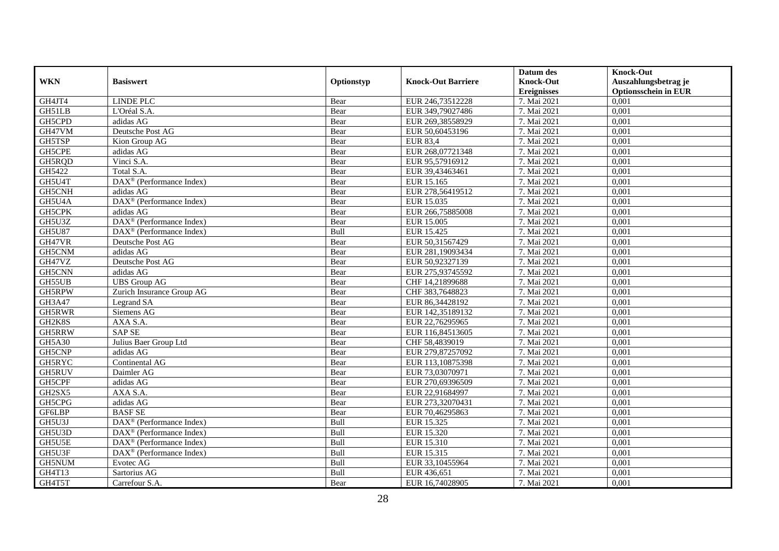|               |                                                         |            |                           | Datum des          | <b>Knock-Out</b>            |
|---------------|---------------------------------------------------------|------------|---------------------------|--------------------|-----------------------------|
| <b>WKN</b>    | <b>Basiswert</b>                                        | Optionstyp | <b>Knock-Out Barriere</b> | <b>Knock-Out</b>   | Auszahlungsbetrag je        |
|               |                                                         |            |                           | <b>Ereignisses</b> | <b>Optionsschein in EUR</b> |
| GH4JT4        | <b>LINDE PLC</b>                                        | Bear       | EUR 246,73512228          | 7. Mai 2021        | 0,001                       |
| GH51LB        | L'Oréal S.A.                                            | Bear       | EUR 349,79027486          | 7. Mai 2021        | 0,001                       |
| GH5CPD        | adidas AG                                               | Bear       | EUR 269,38558929          | 7. Mai 2021        | 0,001                       |
| GH47VM        | Deutsche Post AG                                        | Bear       | EUR 50,60453196           | 7. Mai 2021        | 0,001                       |
| GH5TSP        | Kion Group AG                                           | Bear       | <b>EUR 83,4</b>           | 7. Mai 2021        | 0,001                       |
| GH5CPE        | adidas AG                                               | Bear       | EUR 268,07721348          | 7. Mai 2021        | 0,001                       |
| GH5RQD        | Vinci S.A.                                              | Bear       | EUR 95,57916912           | 7. Mai 2021        | 0,001                       |
| GH5422        | Total S.A.                                              | Bear       | EUR 39,43463461           | 7. Mai 2021        | 0,001                       |
| GH5U4T        | DAX <sup>®</sup> (Performance Index)                    | Bear       | EUR 15.165                | 7. Mai 2021        | 0,001                       |
| GH5CNH        | adidas AG                                               | Bear       | EUR 278,56419512          | 7. Mai 2021        | 0,001                       |
| GH5U4A        | $DAX^{\circledR}$ (Performance Index)                   | Bear       | EUR 15.035                | 7. Mai 2021        | 0,001                       |
| GH5CPK        | adidas AG                                               | Bear       | EUR 266,75885008          | 7. Mai 2021        | 0,001                       |
| GH5U3Z        | DAX <sup>®</sup> (Performance Index)                    | Bear       | EUR 15.005                | 7. Mai 2021        | 0,001                       |
| <b>GH5U87</b> | $\overline{\text{DAX}}^{\textcirc}$ (Performance Index) | Bull       | EUR 15.425                | 7. Mai 2021        | 0,001                       |
| GH47VR        | Deutsche Post AG                                        | Bear       | EUR 50,31567429           | 7. Mai 2021        | 0,001                       |
| GH5CNM        | adidas AG                                               | Bear       | EUR 281,19093434          | 7. Mai 2021        | 0,001                       |
| GH47VZ        | Deutsche Post AG                                        | Bear       | EUR 50,92327139           | 7. Mai 2021        | 0,001                       |
| GH5CNN        | adidas AG                                               | Bear       | EUR 275,93745592          | 7. Mai 2021        | 0,001                       |
| GH55UB        | <b>UBS</b> Group AG                                     | Bear       | CHF 14,21899688           | 7. Mai 2021        | 0,001                       |
| GH5RPW        | Zurich Insurance Group AG                               | Bear       | CHF 383,7648823           | 7. Mai 2021        | 0,001                       |
| GH3A47        | Legrand SA                                              | Bear       | EUR 86,34428192           | 7. Mai 2021        | 0,001                       |
| GH5RWR        | Siemens AG                                              | Bear       | EUR 142,35189132          | 7. Mai 2021        | 0,001                       |
| GH2K8S        | AXA S.A.                                                | Bear       | EUR 22,76295965           | 7. Mai 2021        | 0,001                       |
| GH5RRW        | <b>SAP SE</b>                                           | Bear       | EUR 116,84513605          | 7. Mai 2021        | 0,001                       |
| GH5A30        | Julius Baer Group Ltd                                   | Bear       | CHF 58,4839019            | 7. Mai 2021        | 0,001                       |
| GH5CNP        | adidas AG                                               | Bear       | EUR 279,87257092          | 7. Mai 2021        | 0,001                       |
| GH5RYC        | Continental AG                                          | Bear       | EUR 113, 10875398         | 7. Mai 2021        | 0,001                       |
| <b>GH5RUV</b> | Daimler AG                                              | Bear       | EUR 73,03070971           | 7. Mai 2021        | 0,001                       |
| GH5CPF        | adidas AG                                               | Bear       | EUR 270,69396509          | 7. Mai 2021        | 0,001                       |
| GH2SX5        | AXA S.A.                                                | Bear       | EUR 22,91684997           | 7. Mai 2021        | 0,001                       |
| GH5CPG        | adidas AG                                               | Bear       | EUR 273,32070431          | 7. Mai 2021        | 0,001                       |
| GF6LBP        | <b>BASF SE</b>                                          | Bear       | EUR 70,46295863           | 7. Mai 2021        | 0,001                       |
| GH5U3J        | $DAX^{\circledR}$ (Performance Index)                   | Bull       | EUR 15.325                | 7. Mai 2021        | 0,001                       |
| GH5U3D        | DAX <sup>®</sup> (Performance Index)                    | Bull       | EUR 15.320                | 7. Mai 2021        | 0,001                       |
| GH5U5E        | DAX <sup>®</sup> (Performance Index)                    | Bull       | EUR 15.310                | 7. Mai 2021        | 0,001                       |
| GH5U3F        | DAX <sup>®</sup> (Performance Index)                    | Bull       | EUR 15.315                | 7. Mai 2021        | 0,001                       |
| GH5NUM        | Evotec AG                                               | Bull       | EUR 33,10455964           | 7. Mai 2021        | 0,001                       |
| GH4T13        | Sartorius AG                                            | Bull       | EUR 436,651               | 7. Mai 2021        | 0,001                       |
| GH4T5T        | Carrefour S.A.                                          | Bear       | EUR 16,74028905           | 7. Mai 2021        | 0,001                       |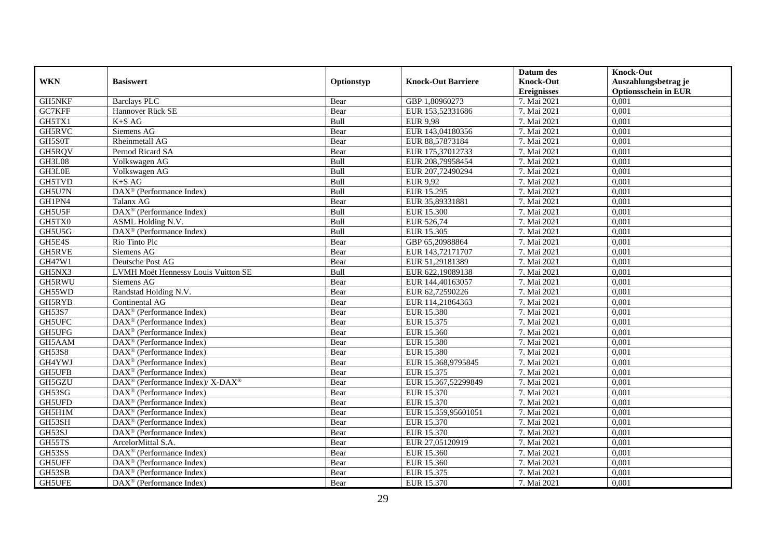|               |                                                                  |            |                           | Datum des          | <b>Knock-Out</b>            |
|---------------|------------------------------------------------------------------|------------|---------------------------|--------------------|-----------------------------|
| <b>WKN</b>    | <b>Basiswert</b>                                                 | Optionstyp | <b>Knock-Out Barriere</b> | <b>Knock-Out</b>   | Auszahlungsbetrag je        |
|               |                                                                  |            |                           | <b>Ereignisses</b> | <b>Optionsschein in EUR</b> |
| <b>GH5NKF</b> | <b>Barclays PLC</b>                                              | Bear       | GBP 1,80960273            | 7. Mai 2021        | 0,001                       |
| GC7KFF        | Hannover Rück SE                                                 | Bear       | EUR 153,52331686          | 7. Mai 2021        | 0,001                       |
| GH5TX1        | $K+SAG$                                                          | Bull       | <b>EUR 9,98</b>           | 7. Mai 2021        | 0,001                       |
| GH5RVC        | Siemens AG                                                       | Bear       | EUR 143,04180356          | 7. Mai 2021        | 0,001                       |
| GH5S0T        | Rheinmetall AG                                                   | Bear       | EUR 88,57873184           | 7. Mai 2021        | 0,001                       |
| GH5RQV        | Pernod Ricard SA                                                 | Bear       | EUR 175,37012733          | 7. Mai 2021        | 0,001                       |
| GH3L08        | Volkswagen AG                                                    | Bull       | EUR 208,79958454          | 7. Mai 2021        | 0,001                       |
| GH3L0E        | Volkswagen AG                                                    | Bull       | EUR 207,72490294          | 7. Mai 2021        | 0,001                       |
| <b>GH5TVD</b> | $K+SAG$                                                          | Bull       | <b>EUR 9,92</b>           | 7. Mai 2021        | 0,001                       |
| GH5U7N        | $\overline{\text{DAX}^{\circledast}(\text{Performance Index})}$  | Bull       | EUR 15.295                | 7. Mai 2021        | 0,001                       |
| GH1PN4        | Talanx AG                                                        | Bear       | EUR 35,89331881           | 7. Mai 2021        | 0,001                       |
| GH5U5F        | DAX <sup>®</sup> (Performance Index)                             | Bull       | <b>EUR 15.300</b>         | 7. Mai 2021        | 0,001                       |
| GH5TX0        | <b>ASML</b> Holding N.V.                                         | Bull       | EUR 526,74                | 7. Mai 2021        | 0,001                       |
| GH5U5G        | DAX <sup>®</sup> (Performance Index)                             | Bull       | EUR 15.305                | 7. Mai 2021        | 0,001                       |
| GH5E4S        | Rio Tinto Plc                                                    | Bear       | GBP 65,20988864           | 7. Mai 2021        | 0,001                       |
| GH5RVE        | Siemens AG                                                       | Bear       | EUR 143,72171707          | 7. Mai 2021        | 0,001                       |
| GH47W1        | Deutsche Post AG                                                 | Bear       | EUR 51,29181389           | 7. Mai 2021        | 0,001                       |
| GH5NX3        | LVMH Moët Hennessy Louis Vuitton SE                              | Bull       | EUR 622,19089138          | 7. Mai 2021        | 0,001                       |
| GH5RWU        | Siemens AG                                                       | Bear       | EUR 144,40163057          | 7. Mai 2021        | 0,001                       |
| GH55WD        | Randstad Holding N.V.                                            | Bear       | EUR 62,72590226           | 7. Mai 2021        | 0,001                       |
| GH5RYB        | Continental AG                                                   | Bear       | EUR 114,21864363          | 7. Mai 2021        | 0,001                       |
| GH53S7        | $\overline{\text{DAX}^{\otimes}}$ (Performance Index)            | Bear       | EUR 15.380                | 7. Mai 2021        | 0,001                       |
| <b>GH5UFC</b> | DAX <sup>®</sup> (Performance Index)                             | Bear       | EUR 15.375                | 7. Mai 2021        | 0,001                       |
| GH5UFG        | $DAX^{\circledcirc}$ (Performance Index)                         | Bear       | EUR 15.360                | 7. Mai 2021        | 0,001                       |
| GH5AAM        | DAX <sup>®</sup> (Performance Index)                             | Bear       | <b>EUR 15.380</b>         | 7. Mai 2021        | 0,001                       |
| <b>GH53S8</b> | $DAX^{\circledR}$ (Performance Index)                            | Bear       | <b>EUR 15.380</b>         | 7. Mai 2021        | 0,001                       |
| GH4YWJ        | $\overline{\text{DAX}^{\otimes}}$ (Performance Index)            | Bear       | EUR 15.368,9795845        | 7. Mai 2021        | 0,001                       |
| GH5UFB        | $DAX^{\circledR}$ (Performance Index)                            | Bear       | EUR 15.375                | 7. Mai 2021        | 0,001                       |
| GH5GZU        | $\text{DAX}^{\circledR}$ (Performance Index)/ X-DAX <sup>®</sup> | Bear       | EUR 15.367,52299849       | 7. Mai 2021        | 0,001                       |
| GH53SG        | DAX <sup>®</sup> (Performance Index)                             | Bear       | EUR 15.370                | 7. Mai 2021        | 0,001                       |
| GH5UFD        | $DAX^{\circledcirc}$ (Performance Index)                         | Bear       | EUR 15.370                | 7. Mai 2021        | 0,001                       |
| GH5H1M        | DAX <sup>®</sup> (Performance Index)                             | Bear       | EUR 15.359,95601051       | 7. Mai 2021        | 0,001                       |
| GH53SH        | $DAX^{\circledcirc}$ (Performance Index)                         | Bear       | EUR 15.370                | 7. Mai 2021        | 0,001                       |
| GH53SJ        | $\overline{\text{DAX}^{\otimes}}$ (Performance Index)            | Bear       | EUR 15.370                | 7. Mai 2021        | 0,001                       |
| GH55TS        | ArcelorMittal S.A.                                               | Bear       | EUR 27,05120919           | 7. Mai 2021        | 0,001                       |
| GH53SS        | DAX <sup>®</sup> (Performance Index)                             | Bear       | EUR 15.360                | 7. Mai 2021        | 0,001                       |
| <b>GH5UFF</b> | $\text{DAX}^{\textcircled{}}$ (Performance Index)                | Bear       | EUR 15.360                | 7. Mai 2021        | 0,001                       |
| GH53SB        | DAX <sup>®</sup> (Performance Index)                             | Bear       | EUR 15.375                | 7. Mai 2021        | 0,001                       |
| <b>GH5UFE</b> | $DAX^{\circledR}$ (Performance Index)                            | Bear       | EUR 15.370                | 7. Mai 2021        | 0,001                       |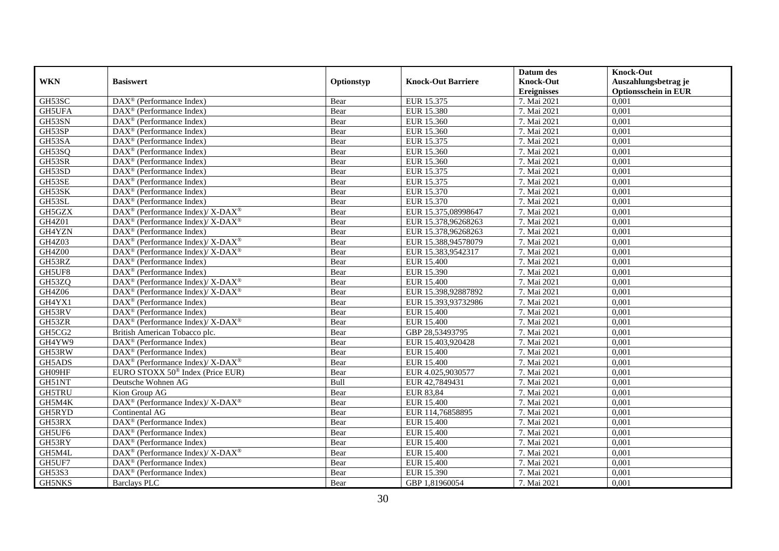|               |                                                                  |            |                           | Datum des          | <b>Knock-Out</b>            |
|---------------|------------------------------------------------------------------|------------|---------------------------|--------------------|-----------------------------|
| <b>WKN</b>    | <b>Basiswert</b>                                                 | Optionstyp | <b>Knock-Out Barriere</b> | <b>Knock-Out</b>   | Auszahlungsbetrag je        |
|               |                                                                  |            |                           | <b>Ereignisses</b> | <b>Optionsschein in EUR</b> |
| GH53SC        | DAX <sup>®</sup> (Performance Index)                             | Bear       | EUR 15.375                | 7. Mai 2021        | 0,001                       |
| <b>GH5UFA</b> | $DAX^{\circledcirc}$ (Performance Index)                         | Bear       | <b>EUR 15.380</b>         | 7. Mai 2021        | 0,001                       |
| GH53SN        | $DAX^{\circledast}$ (Performance Index)                          | Bear       | EUR 15.360                | 7. Mai 2021        | 0,001                       |
| GH53SP        | DAX <sup>®</sup> (Performance Index)                             | Bear       | EUR 15.360                | 7. Mai 2021        | 0,001                       |
| GH53SA        | $\overline{\text{DAX}}^{\textcirc}$ (Performance Index)          | Bear       | EUR 15.375                | 7. Mai 2021        | 0,001                       |
| GH53SQ        | DAX <sup>®</sup> (Performance Index)                             | Bear       | EUR 15.360                | 7. Mai 2021        | 0,001                       |
| GH53SR        | $\text{DAX}^{\textcircled{}}$ (Performance Index)                | Bear       | EUR 15.360                | 7. Mai 2021        | 0,001                       |
| GH53SD        | DAX <sup>®</sup> (Performance Index)                             | Bear       | EUR 15.375                | 7. Mai 2021        | 0,001                       |
| GH53SE        | $DAX^{\circledR}$ (Performance Index)                            | Bear       | EUR 15.375                | 7. Mai 2021        | 0,001                       |
| GH53SK        | DAX <sup>®</sup> (Performance Index)                             | Bear       | EUR 15.370                | 7. Mai 2021        | 0,001                       |
| GH53SL        | $DAX^{\circledcirc}$ (Performance Index)                         | Bear       | EUR 15.370                | 7. Mai 2021        | 0,001                       |
| GH5GZX        | DAX <sup>®</sup> (Performance Index)/X-DAX <sup>®</sup>          | Bear       | EUR 15.375,08998647       | 7. Mai 2021        | 0,001                       |
| <b>GH4Z01</b> | DAX <sup>®</sup> (Performance Index)/ X-DAX <sup>®</sup>         | Bear       | EUR 15.378,96268263       | 7. Mai 2021        | 0,001                       |
| GH4YZN        | DAX <sup>®</sup> (Performance Index)                             | Bear       | EUR 15.378,96268263       | 7. Mai 2021        | 0,001                       |
| GH4Z03        | DAX <sup>®</sup> (Performance Index)/ X-DAX <sup>®</sup>         | Bear       | EUR 15.388,94578079       | 7. Mai 2021        | 0,001                       |
| <b>GH4Z00</b> | DAX <sup>®</sup> (Performance Index)/ X-DAX <sup>®</sup>         | Bear       | EUR 15.383,9542317        | 7. Mai 2021        | 0,001                       |
| GH53RZ        | DAX <sup>®</sup> (Performance Index)                             | Bear       | <b>EUR 15.400</b>         | 7. Mai 2021        | 0,001                       |
| GH5UF8        | $\text{DAX}^{\textcircled{}}$ (Performance Index)                | Bear       | EUR 15.390                | 7. Mai 2021        | 0,001                       |
| GH53ZQ        | DAX <sup>®</sup> (Performance Index)/ X-DAX <sup>®</sup>         | Bear       | <b>EUR 15.400</b>         | 7. Mai 2021        | 0,001                       |
| GH4Z06        | $\text{DAX}^{\circledR}$ (Performance Index)/ X-DAX <sup>®</sup> | Bear       | EUR 15.398,92887892       | 7. Mai 2021        | 0,001                       |
| GH4YX1        | $DAX^{\circledast}$ (Performance Index)                          | Bear       | EUR 15.393,93732986       | 7. Mai 2021        | 0,001                       |
| GH53RV        | $\overline{\text{DAX}^{\otimes}}$ (Performance Index)            | Bear       | <b>EUR 15.400</b>         | 7. Mai 2021        | 0,001                       |
| GH53ZR        | DAX <sup>®</sup> (Performance Index)/ X-DAX <sup>®</sup>         | Bear       | EUR 15.400                | 7. Mai 2021        | 0,001                       |
| GH5CG2        | British American Tobacco plc.                                    | Bear       | GBP 28,53493795           | 7. Mai 2021        | 0,001                       |
| GH4YW9        | $DAX^{\circledast}$ (Performance Index)                          | Bear       | EUR 15.403,920428         | 7. Mai 2021        | 0,001                       |
| GH53RW        | $\overline{\text{DAX}^{\otimes}}$ (Performance Index)            | Bear       | <b>EUR 15.400</b>         | 7. Mai 2021        | 0,001                       |
| GH5ADS        | DAX <sup>®</sup> (Performance Index)/X-DAX <sup>®</sup>          | Bear       | <b>EUR 15.400</b>         | 7. Mai 2021        | 0,001                       |
| GH09HF        | EURO STOXX 50 <sup>®</sup> Index (Price EUR)                     | Bear       | EUR 4.025,9030577         | 7. Mai 2021        | 0,001                       |
| GH51NT        | Deutsche Wohnen AG                                               | Bull       | EUR 42,7849431            | 7. Mai 2021        | 0,001                       |
| <b>GH5TRU</b> | Kion Group AG                                                    | Bear       | EUR 83,84                 | 7. Mai 2021        | 0,001                       |
| GH5M4K        | DAX <sup>®</sup> (Performance Index)/X-DAX <sup>®</sup>          | Bear       | <b>EUR 15.400</b>         | 7. Mai 2021        | 0,001                       |
| GH5RYD        | Continental AG                                                   | Bear       | EUR 114,76858895          | 7. Mai 2021        | 0,001                       |
| GH53RX        | $DAX^{\circledast}$ (Performance Index)                          | Bear       | <b>EUR 15.400</b>         | 7. Mai 2021        | 0,001                       |
| GH5UF6        | DAX <sup>®</sup> (Performance Index)                             | Bear       | <b>EUR 15.400</b>         | 7. Mai 2021        | 0,001                       |
| GH53RY        | $DAX^{\circledcirc}$ (Performance Index)                         | Bear       | EUR 15.400                | 7. Mai 2021        | 0,001                       |
| GH5M4L        | DAX <sup>®</sup> (Performance Index)/ X-DAX <sup>®</sup>         | Bear       | <b>EUR 15.400</b>         | 7. Mai 2021        | 0,001                       |
| GH5UF7        | DAX <sup>®</sup> (Performance Index)                             | Bear       | <b>EUR 15.400</b>         | 7. Mai 2021        | 0,001                       |
| GH53S3        | DAX <sup>®</sup> (Performance Index)                             | Bear       | <b>EUR 15.390</b>         | 7. Mai 2021        | 0,001                       |
| <b>GH5NKS</b> | Barclays PLC                                                     | Bear       | GBP 1,81960054            | 7. Mai 2021        | 0,001                       |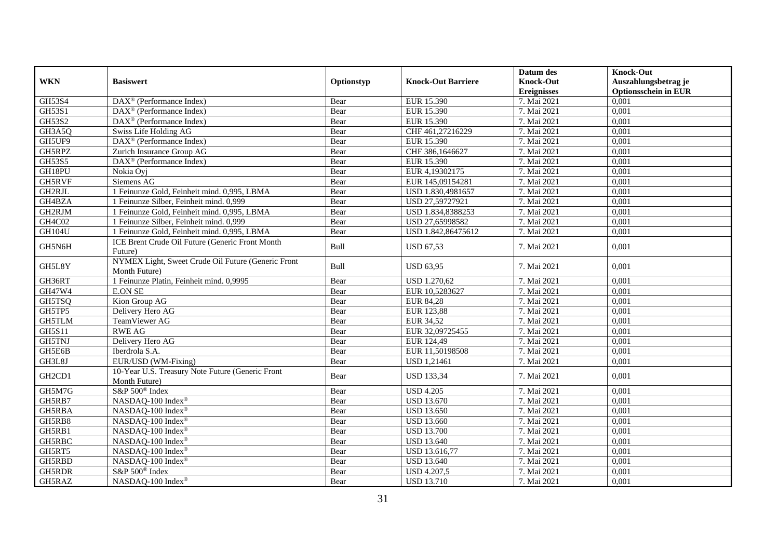|               |                                                                     |            |                           | Datum des          | <b>Knock-Out</b>            |
|---------------|---------------------------------------------------------------------|------------|---------------------------|--------------------|-----------------------------|
| <b>WKN</b>    | <b>Basiswert</b>                                                    | Optionstyp | <b>Knock-Out Barriere</b> | <b>Knock-Out</b>   | Auszahlungsbetrag je        |
|               |                                                                     |            |                           | <b>Ereignisses</b> | <b>Optionsschein in EUR</b> |
| GH53S4        | $\text{DAX}^{\textcircled{}}$ (Performance Index)                   | Bear       | EUR 15.390                | 7. Mai 2021        | 0,001                       |
| GH53S1        | $DAX^{\circledR}$ (Performance Index)                               | Bear       | EUR 15.390                | 7. Mai 2021        | 0,001                       |
| GH53S2        | $DAX^{\circledR}$ (Performance Index)                               | Bear       | EUR 15.390                | 7. Mai 2021        | 0,001                       |
| GH3A5Q        | Swiss Life Holding AG                                               | Bear       | CHF 461,27216229          | 7. Mai 2021        | 0,001                       |
| GH5UF9        | $\overline{\text{DAX}^{\otimes}(\text{Performance Index})}$         | Bear       | EUR 15.390                | 7. Mai 2021        | 0,001                       |
| GH5RPZ        | Zurich Insurance Group AG                                           | Bear       | CHF 386,1646627           | 7. Mai 2021        | 0,001                       |
| GH53S5        | DAX <sup>®</sup> (Performance Index)                                | Bear       | EUR 15.390                | 7. Mai 2021        | 0,001                       |
| GH18PU        | Nokia Oyj                                                           | Bear       | EUR 4,19302175            | 7. Mai 2021        | 0,001                       |
| <b>GH5RVF</b> | Siemens AG                                                          | Bear       | EUR 145,09154281          | 7. Mai 2021        | 0,001                       |
| GH2RJL        | 1 Feinunze Gold, Feinheit mind. 0,995, LBMA                         | Bear       | USD 1.830,4981657         | 7. Mai 2021        | 0,001                       |
| GH4BZA        | 1 Feinunze Silber, Feinheit mind. 0,999                             | Bear       | USD 27,59727921           | 7. Mai 2021        | 0,001                       |
| GH2RJM        | 1 Feinunze Gold, Feinheit mind. 0,995, LBMA                         | Bear       | USD 1.834,8388253         | 7. Mai 2021        | 0,001                       |
| GH4C02        | 1 Feinunze Silber, Feinheit mind. 0,999                             | Bear       | USD 27,65998582           | 7. Mai 2021        | 0,001                       |
| GH104U        | 1 Feinunze Gold, Feinheit mind. 0,995, LBMA                         | Bear       | USD 1.842,86475612        | 7. Mai 2021        | 0,001                       |
| GH5N6H        | ICE Brent Crude Oil Future (Generic Front Month<br>Future)          | Bull       | <b>USD 67,53</b>          | 7. Mai 2021        | 0,001                       |
| GH5L8Y        | NYMEX Light, Sweet Crude Oil Future (Generic Front<br>Month Future) | Bull       | <b>USD 63,95</b>          | 7. Mai 2021        | 0,001                       |
| GH36RT        | 1 Feinunze Platin, Feinheit mind. 0,9995                            | Bear       | <b>USD 1.270,62</b>       | 7. Mai 2021        | 0,001                       |
| GH47W4        | <b>E.ON SE</b>                                                      | Bear       | EUR 10,5283627            | 7. Mai 2021        | 0,001                       |
| GH5TSQ        | Kion Group AG                                                       | Bear       | <b>EUR 84,28</b>          | 7. Mai 2021        | 0,001                       |
| GH5TP5        | Delivery Hero AG                                                    | Bear       | EUR 123,88                | 7. Mai 2021        | 0,001                       |
| <b>GH5TLM</b> | TeamViewer AG                                                       | Bear       | EUR 34,52                 | 7. Mai 2021        | 0,001                       |
| <b>GH5S11</b> | <b>RWE AG</b>                                                       | Bear       | EUR 32,09725455           | 7. Mai 2021        | 0,001                       |
| <b>GH5TNJ</b> | Delivery Hero AG                                                    | Bear       | EUR 124,49                | 7. Mai 2021        | 0,001                       |
| GH5E6B        | Iberdrola S.A.                                                      | Bear       | EUR 11,50198508           | 7. Mai 2021        | 0,001                       |
| GH3L8J        | EUR/USD (WM-Fixing)                                                 | Bear       | <b>USD 1,21461</b>        | 7. Mai 2021        | 0,001                       |
| GH2CD1        | 10-Year U.S. Treasury Note Future (Generic Front<br>Month Future)   | Bear       | <b>USD 133,34</b>         | 7. Mai 2021        | 0.001                       |
| GH5M7G        | S&P 500 <sup>®</sup> Index                                          | Bear       | <b>USD 4.205</b>          | 7. Mai 2021        | 0,001                       |
| GH5RB7        | NASDAQ-100 Index®                                                   | Bear       | <b>USD 13.670</b>         | 7. Mai 2021        | 0,001                       |
| GH5RBA        | NASDAQ-100 Index®                                                   | Bear       | <b>USD 13.650</b>         | 7. Mai 2021        | 0,001                       |
| GH5RB8        | NASDAQ-100 Index®                                                   | Bear       | <b>USD 13.660</b>         | 7. Mai 2021        | 0,001                       |
| GH5RB1        | NASDAQ-100 Index®                                                   | Bear       | <b>USD 13.700</b>         | 7. Mai 2021        | 0,001                       |
| <b>GH5RBC</b> | NASDAQ-100 Index®                                                   | Bear       | <b>USD 13.640</b>         | 7. Mai 2021        | 0,001                       |
| GH5RT5        | NASDAQ-100 Index®                                                   | Bear       | USD 13.616,77             | 7. Mai 2021        | 0,001                       |
| GH5RBD        | NASDAQ-100 Index®                                                   | Bear       | <b>USD 13.640</b>         | 7. Mai 2021        | 0,001                       |
| GH5RDR        | S&P 500 <sup>®</sup> Index                                          | Bear       | <b>USD 4.207,5</b>        | 7. Mai 2021        | 0,001                       |
| GH5RAZ        | NASDAQ-100 Index®                                                   | Bear       | <b>USD 13.710</b>         | 7. Mai 2021        | 0,001                       |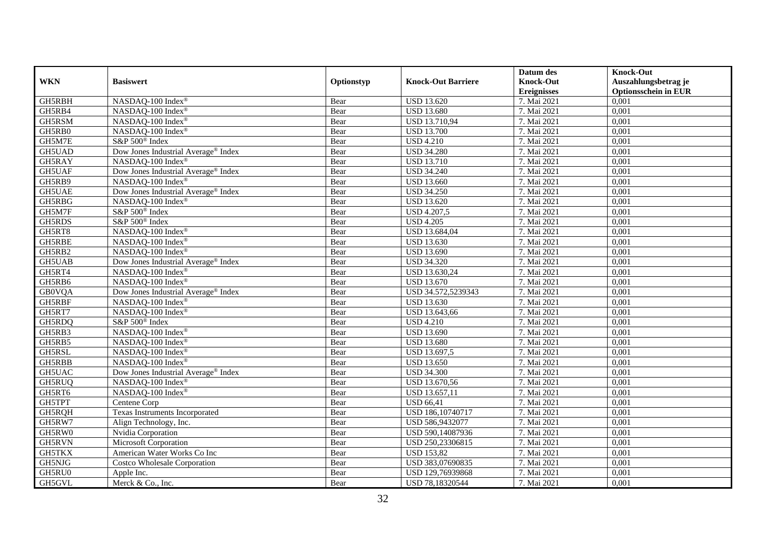|               |                                     |            |                           | Datum des          | <b>Knock-Out</b>            |
|---------------|-------------------------------------|------------|---------------------------|--------------------|-----------------------------|
| <b>WKN</b>    | <b>Basiswert</b>                    | Optionstyp | <b>Knock-Out Barriere</b> | <b>Knock-Out</b>   | Auszahlungsbetrag je        |
|               |                                     |            |                           | <b>Ereignisses</b> | <b>Optionsschein in EUR</b> |
| GH5RBH        | NASDAQ-100 Index®                   | Bear       | <b>USD 13.620</b>         | 7. Mai 2021        | 0,001                       |
| GH5RB4        | NASDAQ-100 Index®                   | Bear       | <b>USD 13.680</b>         | 7. Mai 2021        | 0,001                       |
| GH5RSM        | NASDAQ-100 Index®                   | Bear       | USD 13.710,94             | 7. Mai 2021        | 0,001                       |
| GH5RB0        | NASDAQ-100 Index®                   | Bear       | <b>USD 13.700</b>         | 7. Mai 2021        | 0,001                       |
| GH5M7E        | S&P 500 <sup>®</sup> Index          | Bear       | <b>USD 4.210</b>          | 7. Mai 2021        | 0,001                       |
| GH5UAD        | Dow Jones Industrial Average® Index | Bear       | <b>USD 34.280</b>         | 7. Mai 2021        | 0,001                       |
| GH5RAY        | NASDAQ-100 Index®                   | Bear       | <b>USD 13.710</b>         | 7. Mai 2021        | 0,001                       |
| GH5UAF        | Dow Jones Industrial Average® Index | Bear       | <b>USD 34.240</b>         | 7. Mai 2021        | 0,001                       |
| GH5RB9        | NASDAQ-100 Index®                   | Bear       | <b>USD 13.660</b>         | 7. Mai 2021        | 0,001                       |
| <b>GH5UAE</b> | Dow Jones Industrial Average® Index | Bear       | <b>USD 34.250</b>         | 7. Mai 2021        | 0,001                       |
| GH5RBG        | NASDAQ-100 Index®                   | Bear       | <b>USD 13.620</b>         | 7. Mai 2021        | 0,001                       |
| GH5M7F        | S&P 500 <sup>®</sup> Index          | Bear       | <b>USD 4.207,5</b>        | 7. Mai 2021        | 0,001                       |
| GH5RDS        | S&P 500 <sup>®</sup> Index          | Bear       | <b>USD 4.205</b>          | 7. Mai 2021        | 0,001                       |
| GH5RT8        | NASDAQ-100 Index®                   | Bear       | USD 13.684,04             | 7. Mai 2021        | 0,001                       |
| GH5RBE        | NASDAQ-100 Index®                   | Bear       | <b>USD 13.630</b>         | 7. Mai 2021        | 0,001                       |
| GH5RB2        | NASDAQ-100 Index®                   | Bear       | <b>USD 13.690</b>         | 7. Mai 2021        | 0,001                       |
| GH5UAB        | Dow Jones Industrial Average® Index | Bear       | <b>USD 34.320</b>         | 7. Mai 2021        | $\overline{0,001}$          |
| GH5RT4        | NASDAQ-100 Index®                   | Bear       | USD 13.630,24             | 7. Mai 2021        | 0,001                       |
| GH5RB6        | NASDAQ-100 Index®                   | Bear       | <b>USD 13.670</b>         | 7. Mai 2021        | 0,001                       |
| <b>GB0VQA</b> | Dow Jones Industrial Average® Index | Bear       | USD 34.572,5239343        | 7. Mai 2021        | 0,001                       |
| GH5RBF        | NASDAQ-100 Index®                   | Bear       | <b>USD 13.630</b>         | 7. Mai 2021        | 0,001                       |
| GH5RT7        | NASDAQ-100 Index®                   | Bear       | USD 13.643,66             | 7. Mai 2021        | 0,001                       |
| GH5RDQ        | S&P 500 <sup>®</sup> Index          | Bear       | <b>USD 4.210</b>          | 7. Mai 2021        | 0,001                       |
| GH5RB3        | NASDAQ-100 Index®                   | Bear       | <b>USD 13.690</b>         | 7. Mai 2021        | 0,001                       |
| GH5RB5        | NASDAQ-100 Index®                   | Bear       | <b>USD 13.680</b>         | 7. Mai 2021        | 0,001                       |
| GH5RSL        | NASDAQ-100 Index®                   | Bear       | USD 13.697,5              | 7. Mai 2021        | 0,001                       |
| GH5RBB        | NASDAQ-100 Index®                   | Bear       | <b>USD 13.650</b>         | 7. Mai 2021        | 0,001                       |
| GH5UAC        | Dow Jones Industrial Average® Index | Bear       | <b>USD 34.300</b>         | 7. Mai 2021        | 0,001                       |
| GH5RUQ        | NASDAQ-100 Index®                   | Bear       | USD 13.670,56             | 7. Mai 2021        | 0,001                       |
| GH5RT6        | NASDAQ-100 Index®                   | Bear       | USD 13.657,11             | 7. Mai 2021        | 0,001                       |
| GH5TPT        | Centene Corp                        | Bear       | <b>USD 66,41</b>          | 7. Mai 2021        | 0,001                       |
| GH5RQH        | Texas Instruments Incorporated      | Bear       | USD 186,10740717          | 7. Mai 2021        | 0,001                       |
| GH5RW7        | Align Technology, Inc.              | Bear       | USD 586,9432077           | 7. Mai 2021        | 0,001                       |
| GH5RW0        | Nvidia Corporation                  | Bear       | USD 590,14087936          | 7. Mai 2021        | 0,001                       |
| GH5RVN        | Microsoft Corporation               | Bear       | USD 250,23306815          | 7. Mai 2021        | 0,001                       |
| GH5TKX        | American Water Works Co Inc         | Bear       | <b>USD 153,82</b>         | 7. Mai 2021        | 0,001                       |
| GH5NJG        | <b>Costco Wholesale Corporation</b> | Bear       | USD 383,07690835          | 7. Mai 2021        | 0,001                       |
| GH5RU0        | Apple Inc.                          | Bear       | USD 129,76939868          | 7. Mai 2021        | 0,001                       |
| GH5GVL        | Merck & Co., Inc.                   | Bear       | USD 78,18320544           | 7. Mai 2021        | 0,001                       |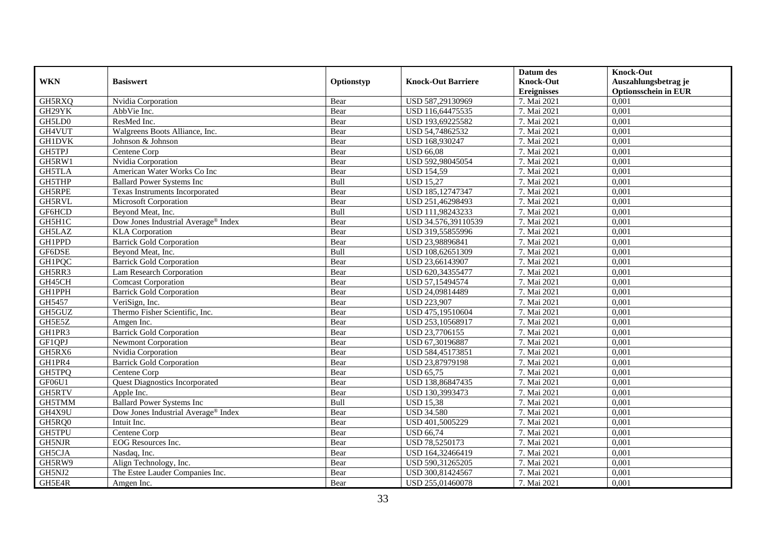|               |                                       |            |                           | Datum des          | <b>Knock-Out</b>            |
|---------------|---------------------------------------|------------|---------------------------|--------------------|-----------------------------|
| <b>WKN</b>    | <b>Basiswert</b>                      | Optionstyp | <b>Knock-Out Barriere</b> | <b>Knock-Out</b>   | Auszahlungsbetrag je        |
|               |                                       |            |                           | <b>Ereignisses</b> | <b>Optionsschein in EUR</b> |
| GH5RXQ        | Nvidia Corporation                    | Bear       | USD 587,29130969          | 7. Mai 2021        | 0,001                       |
| GH29YK        | AbbVie Inc.                           | Bear       | USD 116,64475535          | 7. Mai 2021        | 0,001                       |
| GH5LD0        | ResMed Inc.                           | Bear       | USD 193,69225582          | 7. Mai 2021        | 0,001                       |
| GH4VUT        | Walgreens Boots Alliance, Inc.        | Bear       | USD 54,74862532           | 7. Mai 2021        | 0,001                       |
| <b>GH1DVK</b> | Johnson & Johnson                     | Bear       | USD 168,930247            | 7. Mai 2021        | 0,001                       |
| GH5TPJ        | Centene Corp                          | Bear       | <b>USD 66,08</b>          | 7. Mai 2021        | 0,001                       |
| GH5RW1        | Nvidia Corporation                    | Bear       | USD 592,98045054          | 7. Mai 2021        | 0,001                       |
| GH5TLA        | American Water Works Co Inc           | Bear       | <b>USD 154,59</b>         | 7. Mai 2021        | 0,001                       |
| GH5THP        | <b>Ballard Power Systems Inc</b>      | Bull       | <b>USD 15,27</b>          | 7. Mai 2021        | 0,001                       |
| <b>GH5RPE</b> | Texas Instruments Incorporated        | Bear       | USD 185,12747347          | 7. Mai 2021        | 0,001                       |
| GH5RVL        | Microsoft Corporation                 | Bear       | USD 251,46298493          | 7. Mai 2021        | 0,001                       |
| GF6HCD        | Beyond Meat, Inc.                     | Bull       | USD 111,98243233          | 7. Mai 2021        | 0,001                       |
| GH5H1C        | Dow Jones Industrial Average® Index   | Bear       | USD 34.576,39110539       | 7. Mai 2021        | 0,001                       |
| GH5LAZ        | <b>KLA</b> Corporation                | Bear       | USD 319.55855996          | 7. Mai 2021        | 0,001                       |
| GH1PPD        | <b>Barrick Gold Corporation</b>       | Bear       | USD 23,98896841           | 7. Mai 2021        | 0,001                       |
| GF6DSE        | Beyond Meat, Inc.                     | Bull       | USD 108,62651309          | 7. Mai 2021        | 0,001                       |
| <b>GH1PQC</b> | <b>Barrick Gold Corporation</b>       | Bear       | USD 23,66143907           | 7. Mai 2021        | 0,001                       |
| GH5RR3        | <b>Lam Research Corporation</b>       | Bear       | USD 620,34355477          | 7. Mai 2021        | 0,001                       |
| GH45CH        | <b>Comcast Corporation</b>            | Bear       | USD 57,15494574           | 7. Mai 2021        | 0,001                       |
| GH1PPH        | <b>Barrick Gold Corporation</b>       | Bear       | USD 24,09814489           | 7. Mai 2021        | 0,001                       |
| GH5457        | VeriSign, Inc.                        | Bear       | <b>USD 223,907</b>        | 7. Mai 2021        | 0,001                       |
| GH5GUZ        | Thermo Fisher Scientific, Inc.        | Bear       | USD 475,19510604          | 7. Mai 2021        | 0,001                       |
| GH5E5Z        | Amgen Inc.                            | Bear       | USD 253,10568917          | 7. Mai 2021        | 0,001                       |
| GH1PR3        | <b>Barrick Gold Corporation</b>       | Bear       | USD 23,7706155            | 7. Mai 2021        | 0,001                       |
| GF1QPJ        | Newmont Corporation                   | Bear       | USD 67,30196887           | 7. Mai 2021        | 0,001                       |
| GH5RX6        | Nvidia Corporation                    | Bear       | USD 584,45173851          | 7. Mai 2021        | 0,001                       |
| GH1PR4        | <b>Barrick Gold Corporation</b>       | Bear       | USD 23,87979198           | 7. Mai 2021        | 0,001                       |
| GH5TPQ        | Centene Corp                          | Bear       | <b>USD 65,75</b>          | 7. Mai 2021        | 0,001                       |
| GF06U1        | <b>Ouest Diagnostics Incorporated</b> | Bear       | USD 138,86847435          | 7. Mai 2021        | 0,001                       |
| GH5RTV        | Apple Inc.                            | Bear       | USD 130,3993473           | 7. Mai 2021        | 0,001                       |
| GH5TMM        | <b>Ballard Power Systems Inc</b>      | Bull       | <b>USD 15,38</b>          | 7. Mai 2021        | 0,001                       |
| GH4X9U        | Dow Jones Industrial Average® Index   | Bear       | <b>USD 34.580</b>         | 7. Mai 2021        | 0,001                       |
| GH5RQ0        | Intuit Inc.                           | Bear       | USD 401,5005229           | 7. Mai 2021        | 0,001                       |
| <b>GH5TPU</b> | Centene Corp                          | Bear       | <b>USD 66,74</b>          | 7. Mai 2021        | 0,001                       |
| GH5NJR        | EOG Resources Inc.                    | Bear       | USD 78,5250173            | 7. Mai 2021        | 0,001                       |
| GH5CJA        | Nasdaq, Inc.                          | Bear       | USD 164,32466419          | 7. Mai 2021        | 0,001                       |
| GH5RW9        | Align Technology, Inc.                | Bear       | USD 590,31265205          | 7. Mai 2021        | 0,001                       |
| GH5NJ2        | The Estee Lauder Companies Inc.       | Bear       | USD 300,81424567          | 7. Mai 2021        | 0,001                       |
| GH5E4R        | Amgen Inc.                            | Bear       | USD 255,01460078          | 7. Mai 2021        | 0,001                       |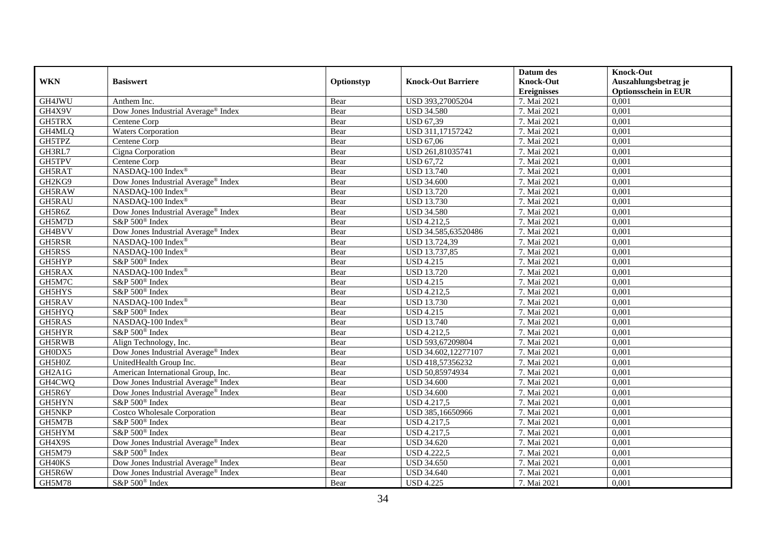|               |                                                 |            |                           | Datum des          | <b>Knock-Out</b>            |
|---------------|-------------------------------------------------|------------|---------------------------|--------------------|-----------------------------|
| <b>WKN</b>    | <b>Basiswert</b>                                | Optionstyp | <b>Knock-Out Barriere</b> | <b>Knock-Out</b>   | Auszahlungsbetrag je        |
|               |                                                 |            |                           | <b>Ereignisses</b> | <b>Optionsschein in EUR</b> |
| GH4JWU        | Anthem Inc.                                     | Bear       | USD 393,27005204          | 7. Mai 2021        | 0,001                       |
| GH4X9V        | Dow Jones Industrial Average® Index             | Bear       | <b>USD 34.580</b>         | 7. Mai 2021        | 0,001                       |
| GH5TRX        | Centene Corp                                    | Bear       | <b>USD 67,39</b>          | 7. Mai 2021        | 0,001                       |
| GH4MLQ        | Waters Corporation                              | Bear       | USD 311,17157242          | 7. Mai 2021        | 0,001                       |
| GH5TPZ        | Centene Corp                                    | Bear       | <b>USD 67,06</b>          | 7. Mai 2021        | 0,001                       |
| GH3RL7        | Cigna Corporation                               | Bear       | USD 261,81035741          | 7. Mai 2021        | 0,001                       |
| GH5TPV        | Centene Corp                                    | Bear       | <b>USD 67,72</b>          | 7. Mai 2021        | 0,001                       |
| GH5RAT        | NASDAQ-100 Index®                               | Bear       | <b>USD 13.740</b>         | 7. Mai 2021        | 0,001                       |
| GH2KG9        | Dow Jones Industrial Average® Index             | Bear       | <b>USD 34.600</b>         | 7. Mai 2021        | 0,001                       |
| GH5RAW        | NASDAQ-100 Index®                               | Bear       | <b>USD 13.720</b>         | 7. Mai 2021        | 0,001                       |
| GH5RAU        | NASDAQ-100 Index®                               | Bear       | <b>USD 13.730</b>         | 7. Mai 2021        | 0,001                       |
| GH5R6Z        | Dow Jones Industrial Average <sup>®</sup> Index | Bear       | <b>USD 34.580</b>         | 7. Mai 2021        | 0,001                       |
| GH5M7D        | S&P 500 <sup>®</sup> Index                      | Bear       | <b>USD 4.212,5</b>        | 7. Mai 2021        | 0,001                       |
| GH4BVV        | Dow Jones Industrial Average <sup>®</sup> Index | Bear       | USD 34.585,63520486       | 7. Mai 2021        | 0,001                       |
| GH5RSR        | NASDAQ-100 Index®                               | Bear       | USD 13.724,39             | 7. Mai 2021        | 0,001                       |
| GH5RSS        | NASDAQ-100 Index®                               | Bear       | <b>USD 13.737,85</b>      | 7. Mai 2021        | 0,001                       |
| GH5HYP        | S&P 500 <sup>®</sup> Index                      | Bear       | <b>USD 4.215</b>          | 7. Mai 2021        | 0,001                       |
| GH5RAX        | NASDAQ-100 Index®                               | Bear       | <b>USD 13.720</b>         | 7. Mai 2021        | 0,001                       |
| GH5M7C        | $S\&P 500^{\circ}$ Index                        | Bear       | <b>USD 4.215</b>          | 7. Mai 2021        | 0,001                       |
| GH5HYS        | S&P 500 <sup>®</sup> Index                      | Bear       | <b>USD 4.212,5</b>        | 7. Mai 2021        | 0,001                       |
| GH5RAV        | NASDAQ-100 Index®                               | Bear       | <b>USD 13.730</b>         | 7. Mai 2021        | 0,001                       |
| GH5HYQ        | S&P 500 <sup>®</sup> Index                      | Bear       | <b>USD 4.215</b>          | 7. Mai 2021        | 0,001                       |
| GH5RAS        | NASDAQ-100 Index®                               | Bear       | <b>USD 13.740</b>         | 7. Mai 2021        | 0,001                       |
| GH5HYR        | S&P 500 <sup>®</sup> Index                      | Bear       | <b>USD 4.212,5</b>        | 7. Mai 2021        | 0,001                       |
| GH5RWB        | Align Technology, Inc.                          | Bear       | USD 593,67209804          | 7. Mai 2021        | 0,001                       |
| GH0DX5        | Dow Jones Industrial Average <sup>®</sup> Index | Bear       | USD 34.602,12277107       | 7. Mai 2021        | 0,001                       |
| GH5H0Z        | UnitedHealth Group Inc.                         | Bear       | USD 418,57356232          | 7. Mai 2021        | 0,001                       |
| GH2A1G        | American International Group, Inc.              | Bear       | USD 50,85974934           | 7. Mai 2021        | 0,001                       |
| GH4CWQ        | Dow Jones Industrial Average® Index             | Bear       | <b>USD 34.600</b>         | 7. Mai 2021        | 0,001                       |
| GH5R6Y        | Dow Jones Industrial Average <sup>®</sup> Index | Bear       | <b>USD 34.600</b>         | 7. Mai 2021        | 0,001                       |
| GH5HYN        | S&P 500 <sup>®</sup> Index                      | Bear       | <b>USD 4.217,5</b>        | 7. Mai 2021        | 0,001                       |
| GH5NKP        | <b>Costco Wholesale Corporation</b>             | Bear       | USD 385,16650966          | 7. Mai 2021        | 0,001                       |
| GH5M7B        | S&P 500 <sup>®</sup> Index                      | Bear       | <b>USD 4.217,5</b>        | 7. Mai 2021        | 0,001                       |
| GH5HYM        | S&P 500 <sup>®</sup> Index                      | Bear       | <b>USD 4.217,5</b>        | 7. Mai 2021        | 0,001                       |
| GH4X9S        | Dow Jones Industrial Average® Index             | Bear       | <b>USD 34.620</b>         | 7. Mai 2021        | 0,001                       |
| GH5M79        | S&P 500 <sup>®</sup> Index                      | Bear       | <b>USD 4.222,5</b>        | 7. Mai 2021        | 0,001                       |
| GH40KS        | Dow Jones Industrial Average® Index             | Bear       | <b>USD 34.650</b>         | 7. Mai 2021        | 0,001                       |
| GH5R6W        | Dow Jones Industrial Average® Index             | Bear       | <b>USD 34.640</b>         | 7. Mai 2021        | 0,001                       |
| <b>GH5M78</b> | S&P 500 <sup>®</sup> Index                      | Bear       | <b>USD 4.225</b>          | 7. Mai 2021        | 0,001                       |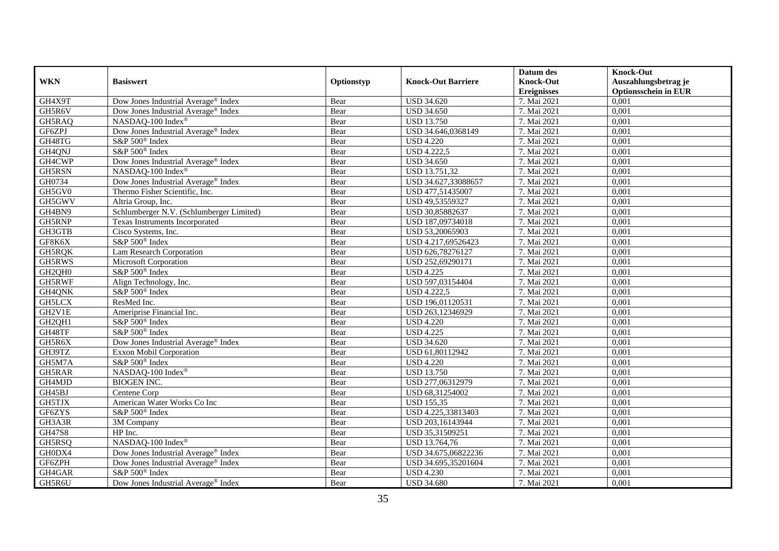|                                 |                                                 |            |                           | Datum des          | <b>Knock-Out</b>            |
|---------------------------------|-------------------------------------------------|------------|---------------------------|--------------------|-----------------------------|
| <b>WKN</b>                      | <b>Basiswert</b>                                | Optionstyp | <b>Knock-Out Barriere</b> | <b>Knock-Out</b>   | Auszahlungsbetrag je        |
|                                 |                                                 |            |                           | <b>Ereignisses</b> | <b>Optionsschein in EUR</b> |
| GH4X9T                          | Dow Jones Industrial Average® Index             | Bear       | <b>USD 34.620</b>         | 7. Mai 2021        | 0,001                       |
| GH5R6V                          | Dow Jones Industrial Average <sup>®</sup> Index | Bear       | <b>USD 34.650</b>         | 7. Mai 2021        | 0,001                       |
| GH5RAQ                          | NASDAQ-100 Index <sup>®</sup>                   | Bear       | <b>USD 13.750</b>         | 7. Mai 2021        | 0,001                       |
| GF6ZPJ                          | Dow Jones Industrial Average <sup>®</sup> Index | Bear       | USD 34.646,0368149        | 7. Mai 2021        | 0,001                       |
| GH48TG                          | S&P 500 <sup>®</sup> Index                      | Bear       | <b>USD 4.220</b>          | 7. Mai 2021        | 0,001                       |
| GH4QNJ                          | S&P 500 <sup>®</sup> Index                      | Bear       | <b>USD 4.222,5</b>        | 7. Mai 2021        | 0,001                       |
| GH4CWP                          | Dow Jones Industrial Average® Index             | Bear       | <b>USD 34.650</b>         | 7. Mai 2021        | 0,001                       |
| GH5RSN                          | NASDAQ-100 Index®                               | Bear       | USD 13.751,32             | 7. Mai 2021        | 0,001                       |
| GH0734                          | Dow Jones Industrial Average <sup>®</sup> Index | Bear       | USD 34.627,33088657       | 7. Mai 2021        | 0,001                       |
| GH5GV0                          | Thermo Fisher Scientific, Inc.                  | Bear       | USD 477,51435007          | 7. Mai 2021        | 0,001                       |
| GH5GWV                          | Altria Group, Inc.                              | Bear       | USD 49,53559327           | 7. Mai 2021        | 0,001                       |
| GH4BN9                          | Schlumberger N.V. (Schlumberger Limited)        | Bear       | USD 30,85882637           | 7. Mai 2021        | 0.001                       |
| GH5RNP                          | Texas Instruments Incorporated                  | Bear       | USD 187,09734018          | 7. Mai 2021        | 0,001                       |
| GH3GTB                          | Cisco Systems, Inc.                             | Bear       | USD 53,20065903           | 7. Mai 2021        | 0,001                       |
| GF8K6X                          | S&P 500 <sup>®</sup> Index                      | Bear       | USD 4.217,69526423        | 7. Mai 2021        | 0,001                       |
| GH5RQK                          | Lam Research Corporation                        | Bear       | USD 626,78276127          | 7. Mai 2021        | 0,001                       |
| GH5RWS                          | Microsoft Corporation                           | Bear       | USD 252,69290171          | 7. Mai 2021        | 0,001                       |
| GH <sub>2</sub> QH <sub>0</sub> | S&P 500 <sup>®</sup> Index                      | Bear       | <b>USD 4.225</b>          | 7. Mai 2021        | 0,001                       |
| GH5RWF                          | Align Technology, Inc.                          | Bear       | USD 597,03154404          | 7. Mai 2021        | 0,001                       |
| GH4QNK                          | S&P 500 <sup>®</sup> Index                      | Bear       | <b>USD 4.222,5</b>        | 7. Mai 2021        | 0,001                       |
| <b>GH5LCX</b>                   | ResMed Inc.                                     | Bear       | USD 196,01120531          | 7. Mai 2021        | 0.001                       |
| GH2V1E                          | Ameriprise Financial Inc.                       | Bear       | USD 263,12346929          | 7. Mai 2021        | 0,001                       |
| GH2QH1                          | S&P 500 <sup>®</sup> Index                      | Bear       | <b>USD 4.220</b>          | 7. Mai 2021        | 0,001                       |
| GH48TF                          | S&P 500 <sup>®</sup> Index                      | Bear       | <b>USD 4.225</b>          | 7. Mai 2021        | 0,001                       |
| GH5R6X                          | Dow Jones Industrial Average® Index             | Bear       | <b>USD 34.620</b>         | 7. Mai 2021        | 0,001                       |
| GH39TZ                          | Exxon Mobil Corporation                         | Bear       | USD 61,80112942           | 7. Mai 2021        | 0,001                       |
| GH5M7A                          | S&P 500 <sup>®</sup> Index                      | Bear       | <b>USD 4.220</b>          | 7. Mai 2021        | 0,001                       |
| GH5RAR                          | NASDAQ-100 Index®                               | Bear       | <b>USD 13.750</b>         | 7. Mai 2021        | 0.001                       |
| GH4MJD                          | <b>BIOGEN INC.</b>                              | Bear       | USD 277,06312979          | 7. Mai 2021        | 0,001                       |
| GH45BJ                          | Centene Corp                                    | Bear       | USD 68,31254002           | 7. Mai 2021        | 0.001                       |
| GH5TJX                          | American Water Works Co Inc                     | Bear       | <b>USD 155,35</b>         | 7. Mai 2021        | 0,001                       |
| GF6ZYS                          | S&P 500 <sup>®</sup> Index                      | Bear       | USD 4.225,33813403        | 7. Mai 2021        | 0,001                       |
| GH3A3R                          | 3M Company                                      | Bear       | USD 203,16143944          | 7. Mai 2021        | 0,001                       |
| GH47S8                          | HP Inc.                                         | Bear       | USD 35,31509251           | 7. Mai 2021        | 0,001                       |
| GH5RSQ                          | NASDAQ-100 Index®                               | Bear       | USD 13.764,76             | 7. Mai 2021        | 0,001                       |
| GH0DX4                          | Dow Jones Industrial Average <sup>®</sup> Index | Bear       | USD 34.675,06822236       | 7. Mai 2021        | 0,001                       |
| GF6ZPH                          | Dow Jones Industrial Average <sup>®</sup> Index | Bear       | USD 34.695,35201604       | 7. Mai 2021        | 0,001                       |
| GH4GAR                          | S&P 500 <sup>®</sup> Index                      | Bear       | <b>USD 4.230</b>          | 7. Mai 2021        | 0,001                       |
| GH5R6U                          | Dow Jones Industrial Average® Index             | Bear       | <b>USD 34.680</b>         | 7. Mai 2021        | 0,001                       |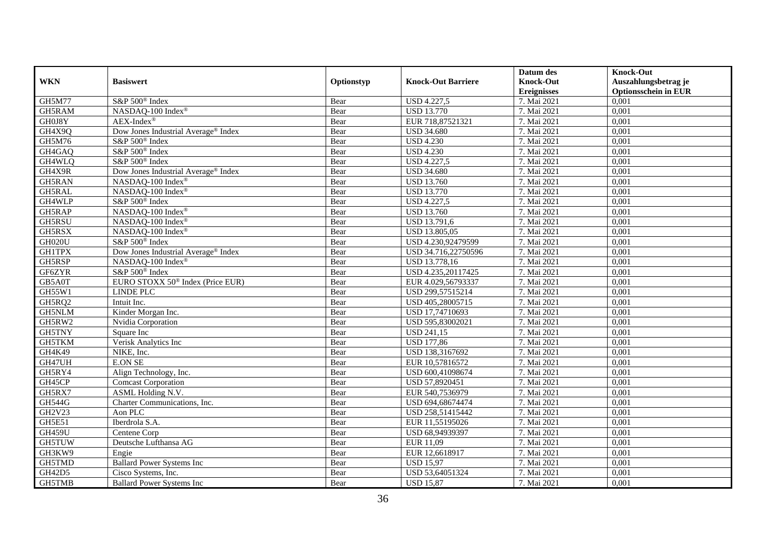|               |                                                 |            |                           | Datum des          | <b>Knock-Out</b>            |
|---------------|-------------------------------------------------|------------|---------------------------|--------------------|-----------------------------|
| <b>WKN</b>    | <b>Basiswert</b>                                | Optionstyp | <b>Knock-Out Barriere</b> | <b>Knock-Out</b>   | Auszahlungsbetrag je        |
|               |                                                 |            |                           | <b>Ereignisses</b> | <b>Optionsschein in EUR</b> |
| <b>GH5M77</b> | S&P 500 <sup>®</sup> Index                      | Bear       | <b>USD 4.227,5</b>        | 7. Mai 2021        | 0,001                       |
| GH5RAM        | NASDAQ-100 Index®                               | Bear       | <b>USD 13.770</b>         | 7. Mai 2021        | 0,001                       |
| GH0J8Y        | $AEX-Index^{\circledR}$                         | Bear       | EUR 718,87521321          | 7. Mai 2021        | 0,001                       |
| GH4X9Q        | Dow Jones Industrial Average <sup>®</sup> Index | Bear       | <b>USD 34.680</b>         | 7. Mai 2021        | 0,001                       |
| GH5M76        | S&P 500 <sup>®</sup> Index                      | Bear       | <b>USD 4.230</b>          | 7. Mai 2021        | 0,001                       |
| GH4GAQ        | S&P 500 <sup>®</sup> Index                      | Bear       | <b>USD 4.230</b>          | 7. Mai 2021        | 0,001                       |
| GH4WLQ        | S&P 500 <sup>®</sup> Index                      | Bear       | <b>USD 4.227,5</b>        | 7. Mai 2021        | 0,001                       |
| GH4X9R        | Dow Jones Industrial Average® Index             | Bear       | <b>USD 34.680</b>         | 7. Mai 2021        | 0,001                       |
| GH5RAN        | NASDAQ-100 Index®                               | Bear       | <b>USD 13.760</b>         | 7. Mai 2021        | 0,001                       |
| GH5RAL        | NASDAQ-100 Index®                               | Bear       | <b>USD 13.770</b>         | 7. Mai 2021        | 0,001                       |
| GH4WLP        | S&P 500 <sup>®</sup> Index                      | Bear       | <b>USD 4.227,5</b>        | 7. Mai 2021        | 0,001                       |
| GH5RAP        | NASDAQ-100 Index®                               | Bear       | <b>USD 13.760</b>         | 7. Mai 2021        | 0,001                       |
| GH5RSU        | NASDAQ-100 Index®                               | Bear       | USD 13.791,6              | 7. Mai 2021        | 0,001                       |
| GH5RSX        | NASDAQ-100 Index®                               | Bear       | USD 13.805,05             | 7. Mai 2021        | 0,001                       |
| GH020U        | S&P 500 <sup>®</sup> Index                      | Bear       | USD 4.230,92479599        | 7. Mai 2021        | 0,001                       |
| <b>GH1TPX</b> | Dow Jones Industrial Average® Index             | Bear       | USD 34.716,22750596       | 7. Mai 2021        | 0,001                       |
| GH5RSP        | NASDAQ-100 Index®                               | Bear       | USD 13.778,16             | 7. Mai 2021        | 0,001                       |
| GF6ZYR        | S&P 500 <sup>®</sup> Index                      | Bear       | USD 4.235,20117425        | 7. Mai 2021        | 0,001                       |
| GB5A0T        | EURO STOXX 50 <sup>®</sup> Index (Price EUR)    | Bear       | EUR 4.029,56793337        | 7. Mai 2021        | 0,001                       |
| GH55W1        | <b>LINDE PLC</b>                                | Bear       | USD 299,57515214          | 7. Mai 2021        | 0,001                       |
| GH5RQ2        | Intuit Inc.                                     | Bear       | USD 405,28005715          | 7. Mai 2021        | 0,001                       |
| <b>GH5NLM</b> | Kinder Morgan Inc.                              | Bear       | USD 17,74710693           | 7. Mai 2021        | 0,001                       |
| GH5RW2        | Nvidia Corporation                              | Bear       | USD 595,83002021          | 7. Mai 2021        | 0,001                       |
| GH5TNY        | Square Inc                                      | Bear       | <b>USD 241,15</b>         | 7. Mai 2021        | 0,001                       |
| GH5TKM        | Verisk Analytics Inc                            | Bear       | <b>USD 177,86</b>         | 7. Mai 2021        | 0,001                       |
| GH4K49        | NIKE, Inc.                                      | Bear       | USD 138,3167692           | 7. Mai 2021        | 0,001                       |
| GH47UH        | E.ON SE                                         | Bear       | EUR 10,57816572           | 7. Mai 2021        | 0,001                       |
| GH5RY4        | Align Technology, Inc.                          | Bear       | USD 600,41098674          | 7. Mai 2021        | 0,001                       |
| GH45CP        | <b>Comcast Corporation</b>                      | Bear       | USD 57,8920451            | 7. Mai 2021        | 0,001                       |
| GH5RX7        | ASML Holding N.V.                               | Bear       | EUR 540,7536979           | 7. Mai 2021        | 0,001                       |
| <b>GH544G</b> | Charter Communications, Inc.                    | Bear       | USD 694,68674474          | 7. Mai 2021        | 0,001                       |
| GH2V23        | Aon PLC                                         | Bear       | USD 258,51415442          | 7. Mai 2021        | 0,001                       |
| GH5E51        | Iberdrola S.A.                                  | Bear       | EUR 11,55195026           | 7. Mai 2021        | 0,001                       |
| <b>GH459U</b> | Centene Corp                                    | Bear       | USD 68,94939397           | 7. Mai 2021        | 0,001                       |
| GH5TUW        | Deutsche Lufthansa AG                           | Bear       | EUR 11,09                 | 7. Mai 2021        | 0,001                       |
| GH3KW9        | Engie                                           | Bear       | EUR 12,6618917            | 7. Mai 2021        | 0,001                       |
| GH5TMD        | <b>Ballard Power Systems Inc</b>                | Bear       | <b>USD 15,97</b>          | 7. Mai 2021        | 0,001                       |
| GH42D5        | Cisco Systems, Inc.                             | Bear       | USD 53,64051324           | 7. Mai 2021        | 0,001                       |
| GH5TMB        | <b>Ballard Power Systems Inc</b>                | Bear       | <b>USD 15,87</b>          | 7. Mai 2021        | 0,001                       |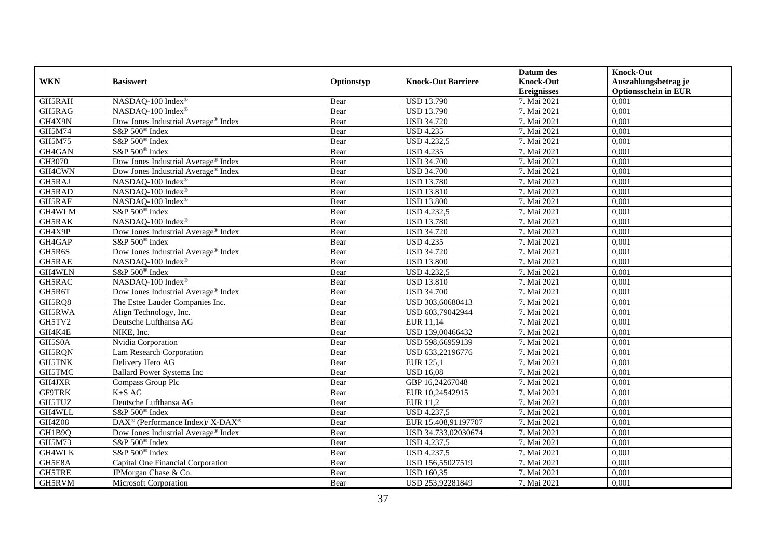|               |                                                              |            |                           | Datum des          | <b>Knock-Out</b>            |
|---------------|--------------------------------------------------------------|------------|---------------------------|--------------------|-----------------------------|
| <b>WKN</b>    | <b>Basiswert</b>                                             | Optionstyp | <b>Knock-Out Barriere</b> | <b>Knock-Out</b>   | Auszahlungsbetrag je        |
|               |                                                              |            |                           | <b>Ereignisses</b> | <b>Optionsschein in EUR</b> |
| GH5RAH        | NASDAQ-100 Index®                                            | Bear       | <b>USD 13.790</b>         | 7. Mai 2021        | 0,001                       |
| GH5RAG        | NASDAQ-100 Index®                                            | Bear       | <b>USD 13.790</b>         | 7. Mai 2021        | 0,001                       |
| GH4X9N        | Dow Jones Industrial Average <sup>®</sup> Index              | Bear       | <b>USD 34.720</b>         | 7. Mai 2021        | 0,001                       |
| GH5M74        | S&P 500 <sup>®</sup> Index                                   | Bear       | <b>USD 4.235</b>          | 7. Mai 2021        | 0,001                       |
| GH5M75        | S&P 500 <sup>®</sup> Index                                   | Bear       | <b>USD 4.232,5</b>        | 7. Mai 2021        | 0,001                       |
| GH4GAN        | S&P 500 <sup>®</sup> Index                                   | Bear       | <b>USD 4.235</b>          | 7. Mai 2021        | 0,001                       |
| GH3070        | Dow Jones Industrial Average <sup>®</sup> Index              | Bear       | <b>USD 34.700</b>         | 7. Mai 2021        | 0,001                       |
| GH4CWN        | Dow Jones Industrial Average® Index                          | Bear       | <b>USD 34.700</b>         | 7. Mai 2021        | 0,001                       |
| GH5RAJ        | NASDAQ-100 Index®                                            | Bear       | <b>USD 13.780</b>         | 7. Mai 2021        | 0,001                       |
| GH5RAD        | NASDAQ-100 Index®                                            | Bear       | <b>USD</b> 13.810         | 7. Mai 2021        | 0,001                       |
| GH5RAF        | NASDAQ-100 Index <sup>®</sup>                                | Bear       | <b>USD 13.800</b>         | 7. Mai 2021        | 0,001                       |
| GH4WLM        | S&P 500 <sup>®</sup> Index                                   | Bear       | <b>USD 4.232,5</b>        | 7. Mai 2021        | 0,001                       |
| GH5RAK        | NASDAQ-100 Index®                                            | Bear       | <b>USD 13.780</b>         | 7. Mai 2021        | 0,001                       |
| GH4X9P        | Dow Jones Industrial Average <sup>®</sup> Index              | Bear       | <b>USD 34.720</b>         | 7. Mai 2021        | 0,001                       |
| GH4GAP        | S&P 500 <sup>®</sup> Index                                   | Bear       | <b>USD 4.235</b>          | 7. Mai 2021        | 0,001                       |
| GH5R6S        | Dow Jones Industrial Average <sup>®</sup> Index              | Bear       | <b>USD 34.720</b>         | 7. Mai 2021        | 0,001                       |
| GH5RAE        | NASDAQ-100 Index®                                            | Bear       | <b>USD 13.800</b>         | 7. Mai 2021        | 0,001                       |
| GH4WLN        | S&P 500 <sup>®</sup> Index                                   | Bear       | <b>USD 4.232,5</b>        | 7. Mai 2021        | 0,001                       |
| GH5RAC        | NASDAQ-100 Index®                                            | Bear       | <b>USD 13.810</b>         | 7. Mai 2021        | 0,001                       |
| GH5R6T        | Dow Jones Industrial Average® Index                          | Bear       | <b>USD 34.700</b>         | 7. Mai 2021        | 0,001                       |
| GH5RQ8        | The Estee Lauder Companies Inc.                              | Bear       | USD 303,60680413          | 7. Mai 2021        | 0,001                       |
| GH5RWA        | Align Technology, Inc.                                       | Bear       | USD 603,79042944          | 7. Mai 2021        | 0,001                       |
| GH5TV2        | Deutsche Lufthansa AG                                        | Bear       | EUR 11,14                 | 7. Mai 2021        | 0,001                       |
| GH4K4E        | NIKE, Inc.                                                   | Bear       | USD 139,00466432          | 7. Mai 2021        | 0,001                       |
| GH5S0A        | Nvidia Corporation                                           | Bear       | USD 598,66959139          | 7. Mai 2021        | 0,001                       |
| GH5RQN        | Lam Research Corporation                                     | Bear       | USD 633,22196776          | 7. Mai 2021        | 0,001                       |
| <b>GH5TNK</b> | Delivery Hero AG                                             | Bear       | EUR 125,1                 | 7. Mai 2021        | 0,001                       |
| GH5TMC        | <b>Ballard Power Systems Inc</b>                             | Bear       | <b>USD 16.08</b>          | 7. Mai 2021        | 0,001                       |
| GH4JXR        | Compass Group Plc                                            | Bear       | GBP 16,24267048           | 7. Mai 2021        | 0,001                       |
| <b>GF9TRK</b> | $K+SAG$                                                      | Bear       | EUR 10,24542915           | 7. Mai 2021        | 0,001                       |
| <b>GH5TUZ</b> | Deutsche Lufthansa AG                                        | Bear       | EUR 11,2                  | 7. Mai 2021        | 0,001                       |
| GH4WLL        | S&P 500 <sup>®</sup> Index                                   | Bear       | <b>USD 4.237,5</b>        | 7. Mai 2021        | 0,001                       |
| <b>GH4Z08</b> | $DAX^{\circledcirc}$ (Performance Index)/ X-DAX <sup>®</sup> | Bear       | EUR 15.408,91197707       | 7. Mai 2021        | 0,001                       |
| GH1B9Q        | Dow Jones Industrial Average® Index                          | Bear       | USD 34.733,02030674       | 7. Mai 2021        | 0,001                       |
| GH5M73        | S&P 500 <sup>®</sup> Index                                   | Bear       | <b>USD 4.237,5</b>        | 7. Mai 2021        | 0,001                       |
| GH4WLK        | S&P 500 <sup>®</sup> Index                                   | Bear       | <b>USD 4.237,5</b>        | 7. Mai 2021        | 0,001                       |
| GH5E8A        | Capital One Financial Corporation                            | Bear       | USD 156,55027519          | 7. Mai 2021        | 0,001                       |
| GH5TRE        | JPMorgan Chase & Co.                                         | Bear       | <b>USD 160,35</b>         | 7. Mai 2021        | 0,001                       |
| GH5RVM        | <b>Microsoft Corporation</b>                                 | Bear       | USD 253,92281849          | 7. Mai 2021        | 0,001                       |